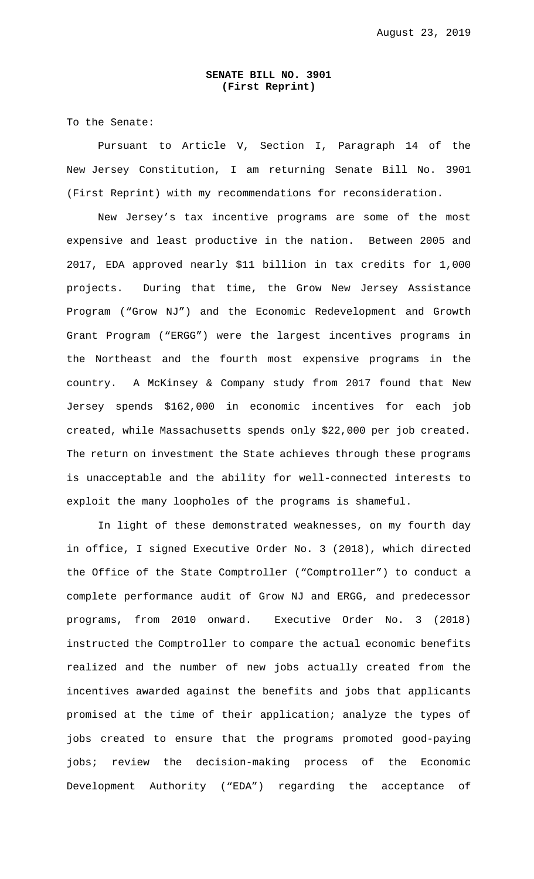## **SENATE BILL NO. 3901 (First Reprint)**

To the Senate:

 Pursuant to Article V, Section I, Paragraph 14 of the New Jersey Constitution, I am returning Senate Bill No. 3901 (First Reprint) with my recommendations for reconsideration.

 New Jersey's tax incentive programs are some of the most expensive and least productive in the nation. Between 2005 and 2017, EDA approved nearly \$11 billion in tax credits for 1,000 projects. During that time, the Grow New Jersey Assistance Program ("Grow NJ") and the Economic Redevelopment and Growth Grant Program ("ERGG") were the largest incentives programs in the Northeast and the fourth most expensive programs in the country. A McKinsey & Company study from 2017 found that New Jersey spends \$162,000 in economic incentives for each job created, while Massachusetts spends only \$22,000 per job created. The return on investment the State achieves through these programs is unacceptable and the ability for well-connected interests to exploit the many loopholes of the programs is shameful.

In light of these demonstrated weaknesses, on my fourth day in office, I signed Executive Order No. 3 (2018), which directed the Office of the State Comptroller ("Comptroller") to conduct a complete performance audit of Grow NJ and ERGG, and predecessor programs, from 2010 onward. Executive Order No. 3 (2018) instructed the Comptroller to compare the actual economic benefits realized and the number of new jobs actually created from the incentives awarded against the benefits and jobs that applicants promised at the time of their application; analyze the types of jobs created to ensure that the programs promoted good-paying jobs; review the decision-making process of the Economic Development Authority ("EDA") regarding the acceptance of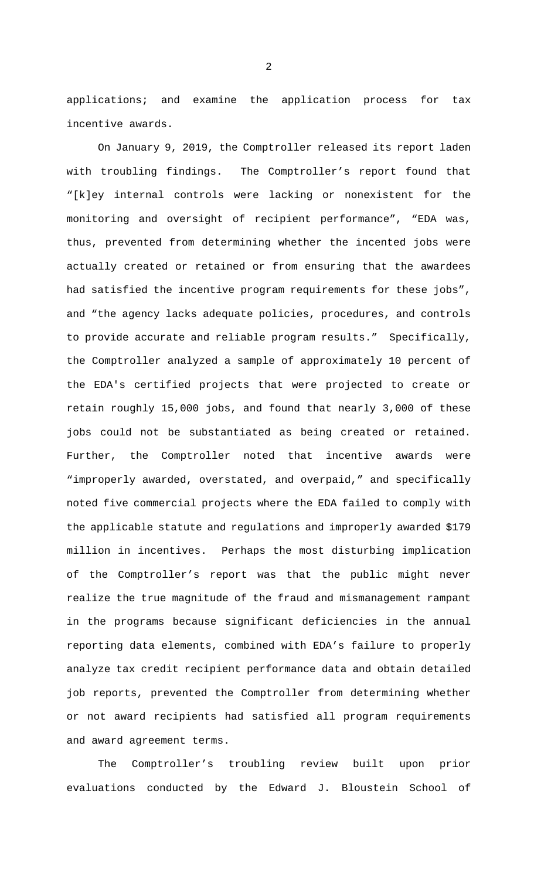applications; and examine the application process for tax incentive awards.

 On January 9, 2019, the Comptroller released its report laden with troubling findings. The Comptroller's report found that "[k]ey internal controls were lacking or nonexistent for the monitoring and oversight of recipient performance", "EDA was, thus, prevented from determining whether the incented jobs were actually created or retained or from ensuring that the awardees had satisfied the incentive program requirements for these jobs", and "the agency lacks adequate policies, procedures, and controls to provide accurate and reliable program results." Specifically, the Comptroller analyzed a sample of approximately 10 percent of the EDA's certified projects that were projected to create or retain roughly 15,000 jobs, and found that nearly 3,000 of these jobs could not be substantiated as being created or retained. Further, the Comptroller noted that incentive awards were "improperly awarded, overstated, and overpaid," and specifically noted five commercial projects where the EDA failed to comply with the applicable statute and regulations and improperly awarded \$179 million in incentives. Perhaps the most disturbing implication of the Comptroller's report was that the public might never realize the true magnitude of the fraud and mismanagement rampant in the programs because significant deficiencies in the annual reporting data elements, combined with EDA's failure to properly analyze tax credit recipient performance data and obtain detailed job reports, prevented the Comptroller from determining whether or not award recipients had satisfied all program requirements and award agreement terms.

 The Comptroller's troubling review built upon prior evaluations conducted by the Edward J. Bloustein School of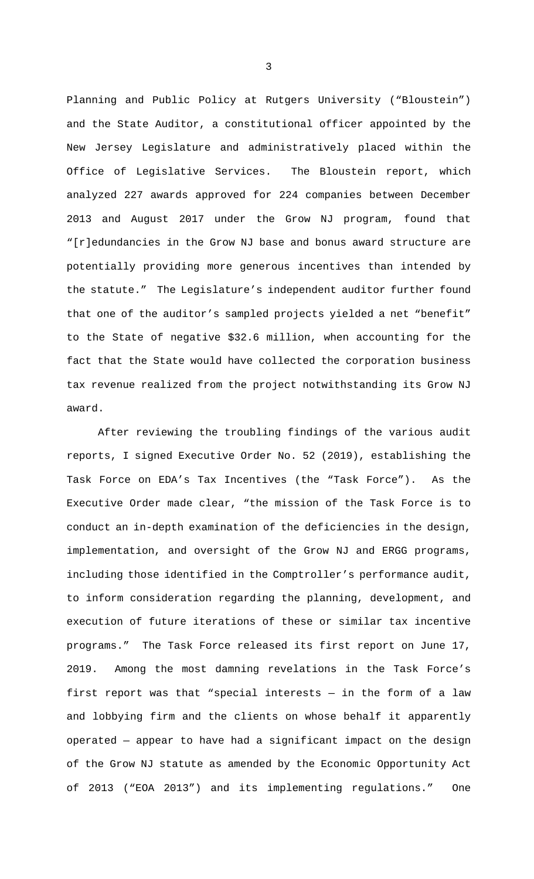Planning and Public Policy at Rutgers University ("Bloustein") and the State Auditor, a constitutional officer appointed by the New Jersey Legislature and administratively placed within the Office of Legislative Services. The Bloustein report, which analyzed 227 awards approved for 224 companies between December 2013 and August 2017 under the Grow NJ program, found that "[r]edundancies in the Grow NJ base and bonus award structure are potentially providing more generous incentives than intended by the statute." The Legislature's independent auditor further found that one of the auditor's sampled projects yielded a net "benefit" to the State of negative \$32.6 million, when accounting for the fact that the State would have collected the corporation business tax revenue realized from the project notwithstanding its Grow NJ award.

 After reviewing the troubling findings of the various audit reports, I signed Executive Order No. 52 (2019), establishing the Task Force on EDA's Tax Incentives (the "Task Force"). As the Executive Order made clear, "the mission of the Task Force is to conduct an in-depth examination of the deficiencies in the design, implementation, and oversight of the Grow NJ and ERGG programs, including those identified in the Comptroller's performance audit, to inform consideration regarding the planning, development, and execution of future iterations of these or similar tax incentive programs." The Task Force released its first report on June 17, 2019. Among the most damning revelations in the Task Force's first report was that "special interests — in the form of a law and lobbying firm and the clients on whose behalf it apparently operated — appear to have had a significant impact on the design of the Grow NJ statute as amended by the Economic Opportunity Act of 2013 ("EOA 2013") and its implementing regulations." One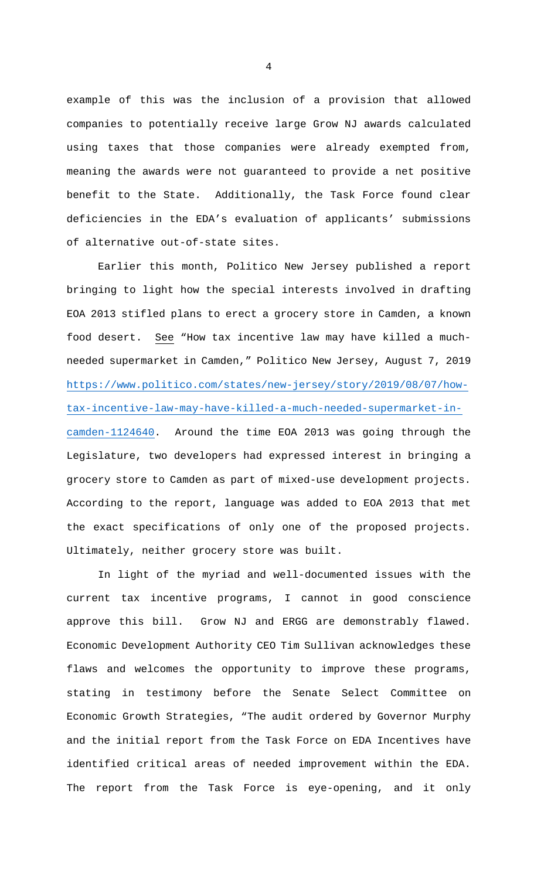example of this was the inclusion of a provision that allowed companies to potentially receive large Grow NJ awards calculated using taxes that those companies were already exempted from, meaning the awards were not guaranteed to provide a net positive benefit to the State. Additionally, the Task Force found clear deficiencies in the EDA's evaluation of applicants' submissions of alternative out-of-state sites.

 Earlier this month, Politico New Jersey published a report bringing to light how the special interests involved in drafting EOA 2013 stifled plans to erect a grocery store in Camden, a known food desert. See "How tax incentive law may have killed a muchneeded supermarket in Camden," Politico New Jersey, August 7, 2019 https://www.politico.com/states/new-jersey/story/2019/08/07/howtax-incentive-law-may-have-killed-a-much-needed-supermarket-incamden-1124640. Around the time EOA 2013 was going through the Legislature, two developers had expressed interest in bringing a grocery store to Camden as part of mixed-use development projects. According to the report, language was added to EOA 2013 that met the exact specifications of only one of the proposed projects. Ultimately, neither grocery store was built.

 In light of the myriad and well-documented issues with the current tax incentive programs, I cannot in good conscience approve this bill. Grow NJ and ERGG are demonstrably flawed. Economic Development Authority CEO Tim Sullivan acknowledges these flaws and welcomes the opportunity to improve these programs, stating in testimony before the Senate Select Committee on Economic Growth Strategies, "The audit ordered by Governor Murphy and the initial report from the Task Force on EDA Incentives have identified critical areas of needed improvement within the EDA. The report from the Task Force is eye-opening, and it only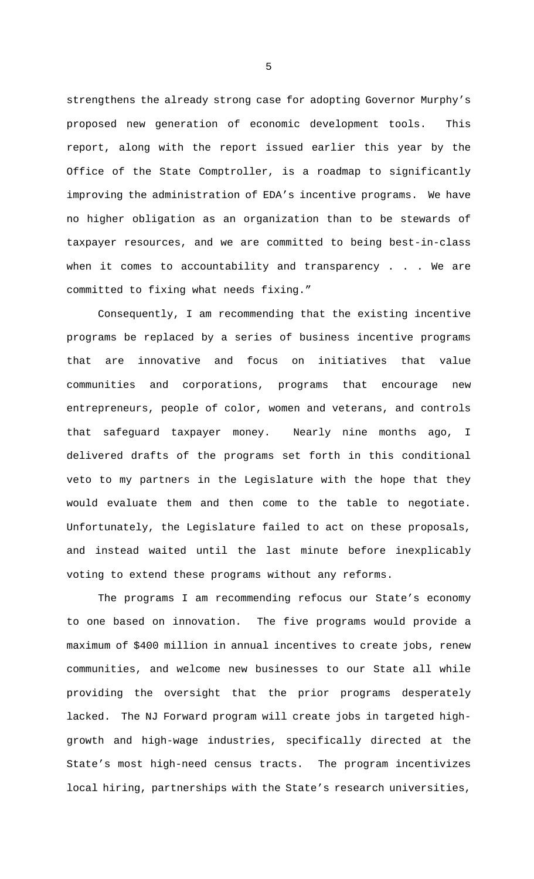strengthens the already strong case for adopting Governor Murphy's proposed new generation of economic development tools. This report, along with the report issued earlier this year by the Office of the State Comptroller, is a roadmap to significantly improving the administration of EDA's incentive programs. We have no higher obligation as an organization than to be stewards of taxpayer resources, and we are committed to being best-in-class when it comes to accountability and transparency . . . We are committed to fixing what needs fixing."

Consequently, I am recommending that the existing incentive programs be replaced by a series of business incentive programs that are innovative and focus on initiatives that value communities and corporations, programs that encourage new entrepreneurs, people of color, women and veterans, and controls that safeguard taxpayer money. Nearly nine months ago, I delivered drafts of the programs set forth in this conditional veto to my partners in the Legislature with the hope that they would evaluate them and then come to the table to negotiate. Unfortunately, the Legislature failed to act on these proposals, and instead waited until the last minute before inexplicably voting to extend these programs without any reforms.

 The programs I am recommending refocus our State's economy to one based on innovation. The five programs would provide a maximum of \$400 million in annual incentives to create jobs, renew communities, and welcome new businesses to our State all while providing the oversight that the prior programs desperately lacked. The NJ Forward program will create jobs in targeted highgrowth and high-wage industries, specifically directed at the State's most high-need census tracts. The program incentivizes local hiring, partnerships with the State's research universities,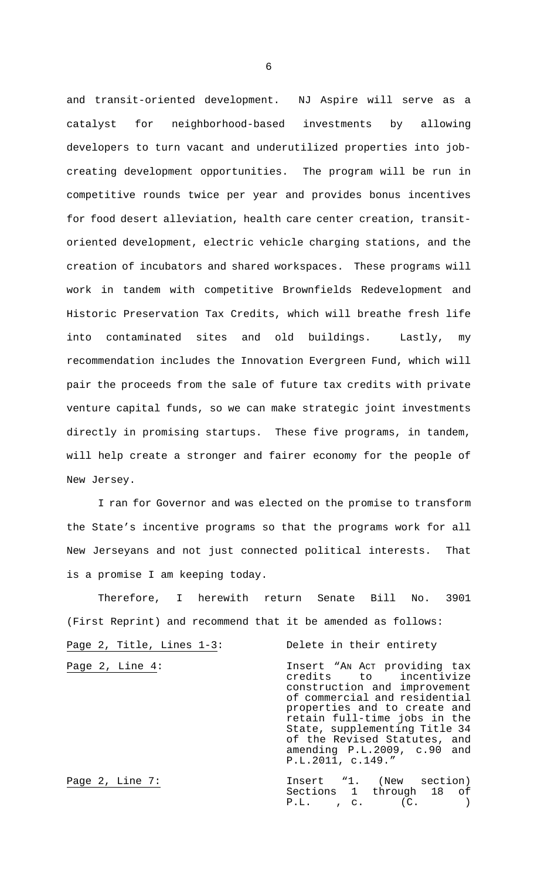and transit-oriented development. NJ Aspire will serve as a catalyst for neighborhood-based investments by allowing developers to turn vacant and underutilized properties into jobcreating development opportunities. The program will be run in competitive rounds twice per year and provides bonus incentives for food desert alleviation, health care center creation, transitoriented development, electric vehicle charging stations, and the creation of incubators and shared workspaces. These programs will work in tandem with competitive Brownfields Redevelopment and Historic Preservation Tax Credits, which will breathe fresh life into contaminated sites and old buildings. Lastly, my recommendation includes the Innovation Evergreen Fund, which will pair the proceeds from the sale of future tax credits with private venture capital funds, so we can make strategic joint investments directly in promising startups. These five programs, in tandem, will help create a stronger and fairer economy for the people of New Jersey.

I ran for Governor and was elected on the promise to transform the State's incentive programs so that the programs work for all New Jerseyans and not just connected political interests. That is a promise I am keeping today.

 Therefore, I herewith return Senate Bill No. 3901 (First Reprint) and recommend that it be amended as follows:

Page 2, Title, Lines 1-3: Delete in their entirety

Page 2, Line 4: The Insert "AN Act providing tax credits to incentivize to incentivize construction and improvement of commercial and residential properties and to create and retain full-time jobs in the State, supplementing Title 34 of the Revised Statutes, and amending P.L.2009, c.90 and P.L.2011, c.149."

Page 2, Line 7: The Time Theory of The Theory 1. (New section) Sections 1 through 18 of P.L. , c. (C. )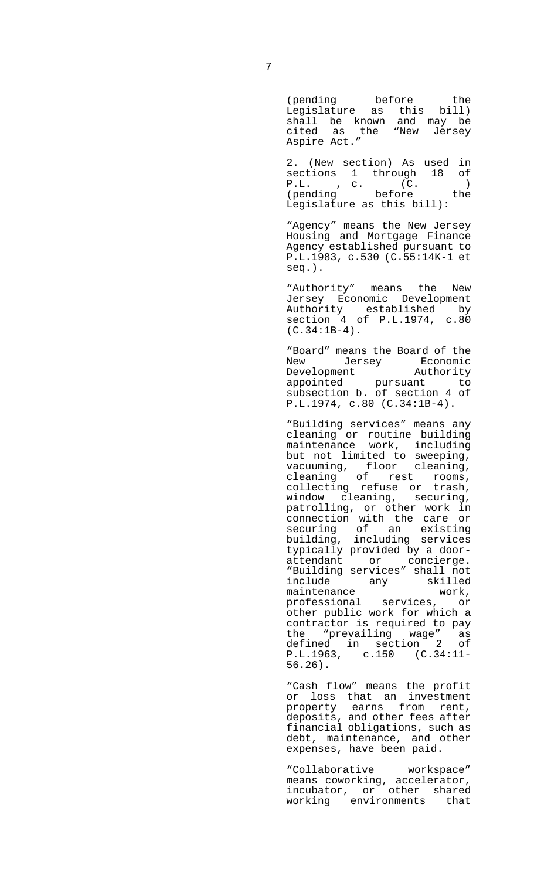(pending before the Legislature as this bill) shall be known and may be cited as the "New Jersey Aspire Act."

 2. (New section) As used in sections 1 through 18 of P.L., c. (C.) (pending before the Legislature as this bill):

 "Agency" means the New Jersey Housing and Mortgage Finance Agency established pursuant to P.L.1983, c.530 (C.55:14K-1 et seq.).

"Authority" means the New Jersey Economic Development Authority established by section 4 of P.L.1974, c.80 (C.34:1B-4).

 "Board" means the Board of the New Jersey Economic<br>Development Authority Development appointed pursuant to subsection b. of section 4 of P.L.1974, c.80 (C.34:1B-4).

 "Building services" means any cleaning or routine building maintenance work, including but not limited to sweeping, vacuuming, floor cleaning, cleaning of rest rooms, collecting refuse or trash, window cleaning, securing, patrolling, or other work in connection with the care or securing of an existing building, including services typically provided by a doorattendant or concierge. "Building services" shall not include any skilled<br>maintenance work, maintenance work, professional services, or other public work for which a contractor is required to pay the "prevailing wage" as defined in section 2 of P.L.1963, c.150 (C.34:11- 56.26).

 "Cash flow" means the profit or loss that an investment property earns from rent, deposits, and other fees after financial obligations, such as debt, maintenance, and other expenses, have been paid.

> "Collaborative workspace" means coworking, accelerator, incubator, or other shared working environments that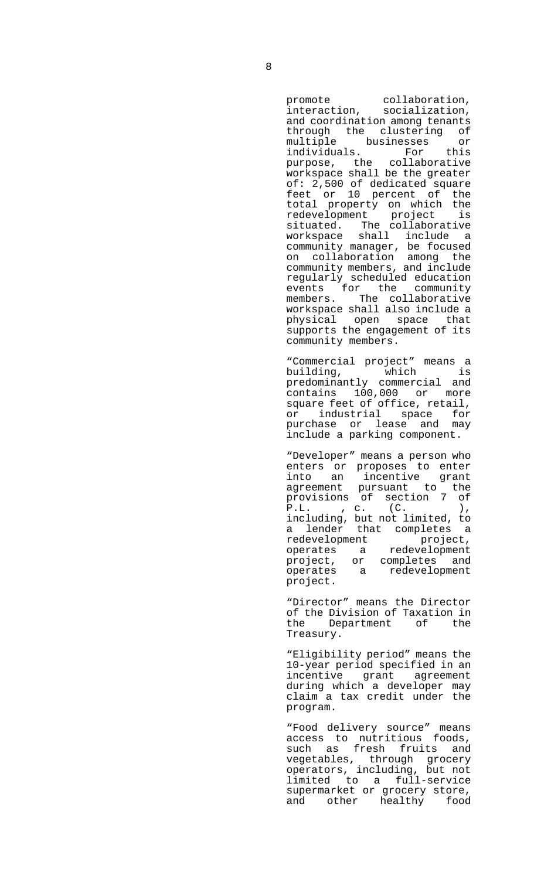promote collaboration, interaction, socialization, and coordination among tenants through the clustering of multiple businesses or individuals. For this purpose, the collaborative workspace shall be the greater of: 2,500 of dedicated square feet or 10 percent of the total property on which the redevelopment project is situated. The collaborative workspace shall include a community manager, be focused on collaboration among the community members, and include regularly scheduled education events for the community members. The collaborative workspace shall also include a physical open space that supports the engagement of its community members.

 "Commercial project" means a building, which is predominantly commercial and contains 100,000 or more square feet of office, retail, or industrial space for purchase or lease and may include a parking component.

 "Developer" means a person who enters or proposes to enter into an incentive grant agreement pursuant to the provisions of section 7 of P.L., c. (C.), including, but not limited, to a lender that completes a redevelopment project, operates a redevelopment project, or completes and operates a redevelopment project.

 "Director" means the Director of the Division of Taxation in<br>the Department of the the Department of the Treasury.

 "Eligibility period" means the 10-year period specified in an incentive grant agreement during which a developer may claim a tax credit under the program.

 "Food delivery source" means access to nutritious foods, such as fresh fruits and vegetables, through grocery operators, including, but not limited to a full-service supermarket or grocery store, and other healthy food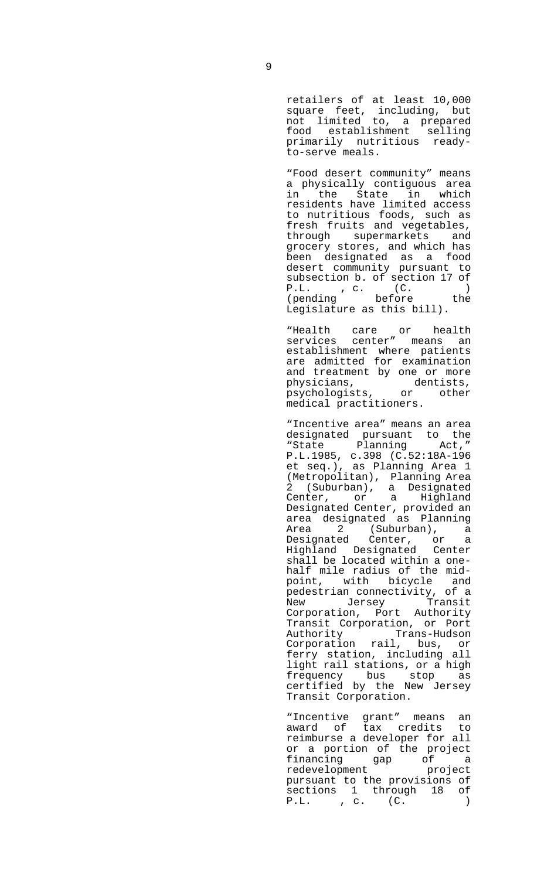retailers of at least 10,000 square feet, including, but not limited to, a prepared food establishment selling primarily nutritious readyto-serve meals.

 "Food desert community" means a physically contiguous area in the State in which residents have limited access to nutritious foods, such as fresh fruits and vegetables, through supermarkets and grocery stores, and which has been designated as a food desert community pursuant to subsection b. of section 17 of P.L. , c. (C. ) (pending before the Legislature as this bill).

 "Health care or health services center" means an establishment where patients are admitted for examination and treatment by one or more physicians, dentists, psychologists, or other medical practitioners.

> "Incentive area" means an area designated pursuant to the<br>"State Planning Act," "State Planning P.L.1985, c.398 (C.52:18A-196 et seq.), as Planning Area 1 (Metropolitan), Planning Area 2 (Suburban), a Designated Center, or a Highland Designated Center, provided an area designated as Planning Area 2 (Suburban), a Designated Center, or a Highland Designated Center shall be located within a onehalf mile radius of the midpoint, with bicycle and pedestrian connectivity, of a New Jersey Transit Corporation, Port Authority Transit Corporation, or Port Authority Trans-Hudson Corporation rail, bus, or ferry station, including all light rail stations, or a high frequency bus stop as certified by the New Jersey Transit Corporation.

> "Incentive grant" means an award of tax credits to reimburse a developer for all or a portion of the project financing gap of a redevelopment project pursuant to the provisions of sections 1 through 18 of P.L. , c. (C. )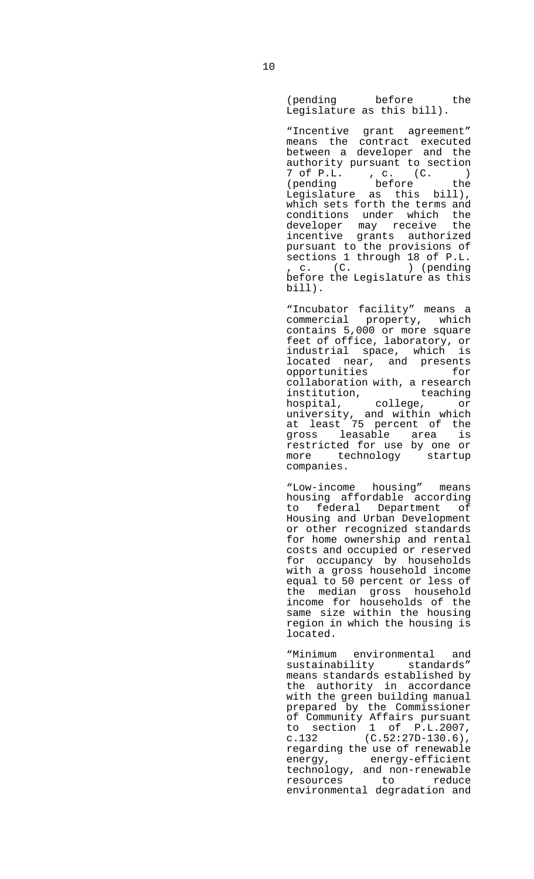(pending before the Legislature as this bill).

 "Incentive grant agreement" means the contract executed between a developer and the authority pursuant to section 7 of P.L. , c. (C. ) (pending before the Legislature as this bill), which sets forth the terms and conditions under which the developer may receive the incentive grants authorized pursuant to the provisions of sections 1 through 18 of P.L. , c. (C. ) (pending before the Legislature as this bill).

 "Incubator facility" means a commercial property, which contains 5,000 or more square feet of office, laboratory, or industrial space, which is located near, and presents<br>opportunities for opportunities collaboration with, a research institution, teaching hospital, college, or university, and within which at least 75 percent of the gross leasable area is restricted for use by one or more technology startup companies.

 "Low-income housing" means housing affordable according to federal Department of Housing and Urban Development or other recognized standards for home ownership and rental costs and occupied or reserved for occupancy by households with a gross household income equal to 50 percent or less of the median gross household income for households of the same size within the housing region in which the housing is located.

 "Minimum environmental and sustainability standards" means standards established by the authority in accordance with the green building manual prepared by the Commissioner of Community Affairs pursuant to section 1 of  $P.L.2007$ ,<br>c.132 (C.52:27D-130.6),  $(C.52:27D-130.6)$ , regarding the use of renewable energy, energy-efficient technology, and non-renewable resources to reduce environmental degradation and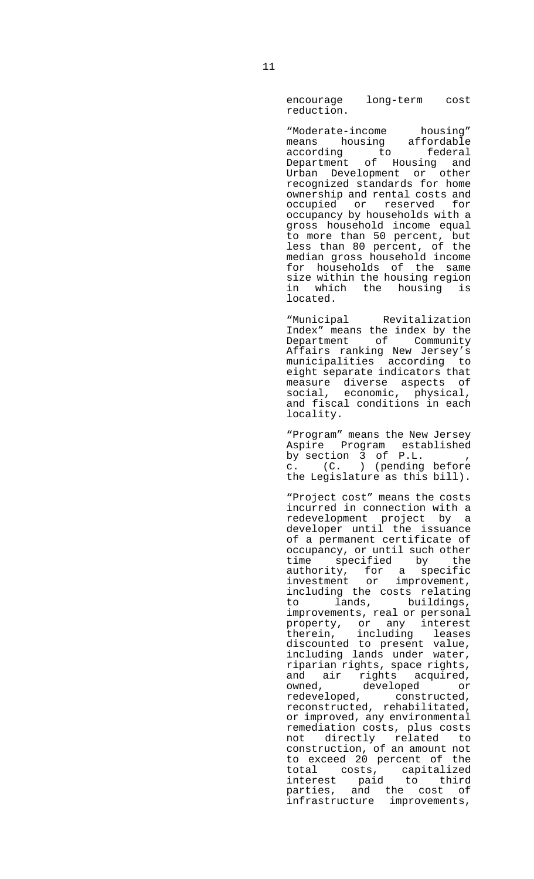encourage long-term cost reduction.

 "Moderate-income housing" means housing affordable according to federal Department of Housing and Urban Development or other recognized standards for home ownership and rental costs and occupied or reserved for occupancy by households with a gross household income equal to more than 50 percent, but less than 80 percent, of the median gross household income for households of the same size within the housing region in which the housing is located.

 "Municipal Revitalization Index" means the index by the Department of Community Affairs ranking New Jersey's municipalities according to eight separate indicators that measure diverse aspects of social, economic, physical, and fiscal conditions in each locality.

 "Program" means the New Jersey Aspire Program established by section 3 of P.L. , c. (C. ) (pending before the Legislature as this bill).

 "Project cost" means the costs incurred in connection with a redevelopment project by a developer until the issuance of a permanent certificate of occupancy, or until such other time specified by the authority, for a specific investment or improvement, including the costs relating to lands, buildings, improvements, real or personal property, or any interest therein, including leases discounted to present value, including lands under water, riparian rights, space rights, and air rights acquired, owned, developed or redeveloped, constructed, reconstructed, rehabilitated, or improved, any environmental remediation costs, plus costs not directly related to construction, of an amount not to exceed 20 percent of the total costs, capitalized interest paid to third parties, and the cost of infrastructure improvements,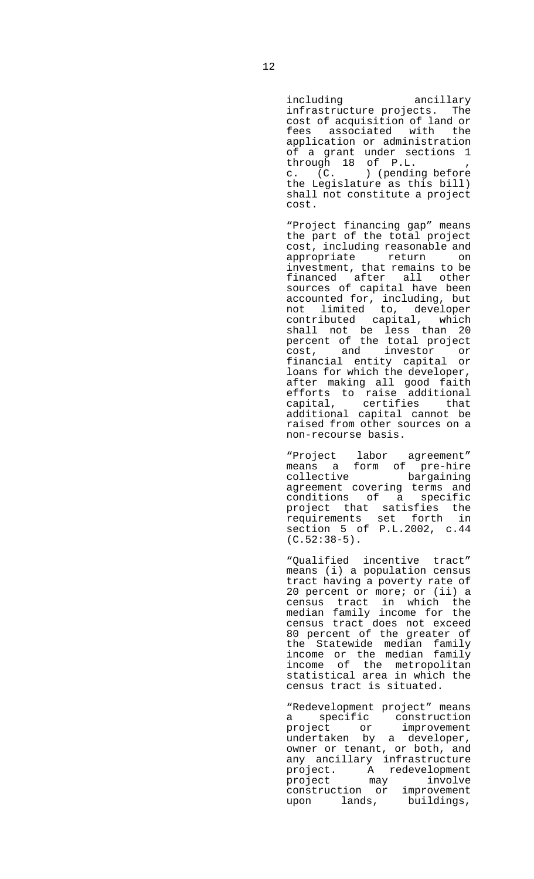including ancillary infrastructure projects. The cost of acquisition of land or fees associated with the application or administration of a grant under sections 1 through 18 of P.L. , c. (C. ) (pending before the Legislature as this bill) shall not constitute a project cost.

 "Project financing gap" means the part of the total project cost, including reasonable and appropriate return on investment, that remains to be financed after all other sources of capital have been accounted for, including, but not limited to, developer contributed capital, which shall not be less than 20 percent of the total project cost, and investor or<br>financial entity capital or financial entity capital loans for which the developer, after making all good faith efforts to raise additional capital, certifies that additional capital cannot be raised from other sources on a non-recourse basis.

 "Project labor agreement" means a form of pre-hire collective bargaining agreement covering terms and conditions of a specific project that satisfies the requirements set forth in section 5 of P.L.2002, c.44  $(C.52:38-5)$ .

> "Qualified incentive tract" means (i) a population census tract having a poverty rate of 20 percent or more; or (ii) a census tract in which the median family income for the census tract does not exceed 80 percent of the greater of the Statewide median family income or the median family income of the metropolitan statistical area in which the census tract is situated.

> "Redevelopment project" means a specific construction project or improvement undertaken by a developer, owner or tenant, or both, and any ancillary infrastructure project. A redevelopment project may involve construction or improvement upon lands, buildings,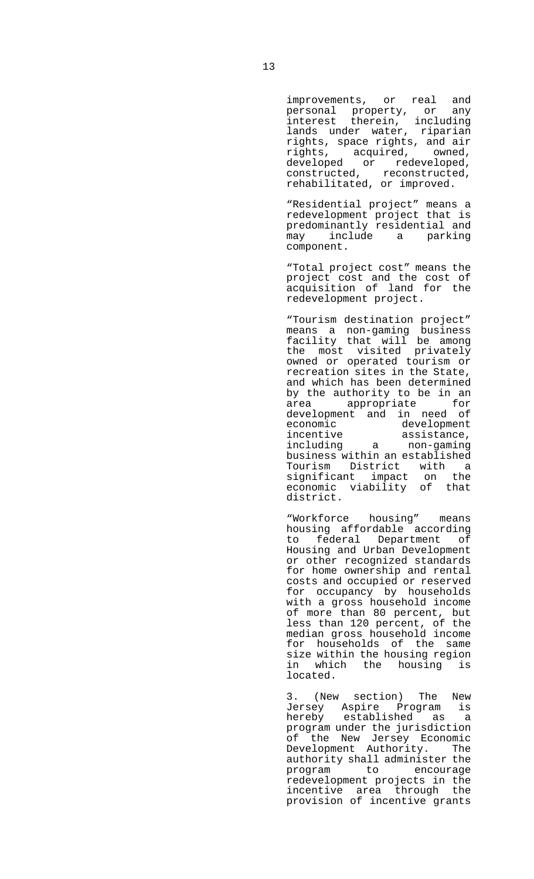improvements, or real and personal property, or any interest therein, including lands under water, riparian rights, space rights, and air rights, acquired, owned, developed or redeveloped, constructed, reconstructed, rehabilitated, or improved.

 "Residential project" means a redevelopment project that is predominantly residential and may include a parking component.

> "Total project cost" means the project cost and the cost of acquisition of land for the redevelopment project.

 "Tourism destination project" means a non-gaming business facility that will be among the most visited privately owned or operated tourism or recreation sites in the State, and which has been determined by the authority to be in an area appropriate for development and in need of<br>economic development economic development incentive assistance, including a non-gaming business within an established Tourism District with a significant impact on the economic viability of that district.

 "Workforce housing" means housing affordable according to federal Department of Housing and Urban Development or other recognized standards for home ownership and rental costs and occupied or reserved for occupancy by households with a gross household income of more than 80 percent, but less than 120 percent, of the median gross household income for households of the same size within the housing region in which the housing is located.

 3. (New section) The New Jersey Aspire Program is hereby established as a program under the jurisdiction of the New Jersey Economic Development Authority. The authority shall administer the<br>program to encourage program to redevelopment projects in the incentive area through the provision of incentive grants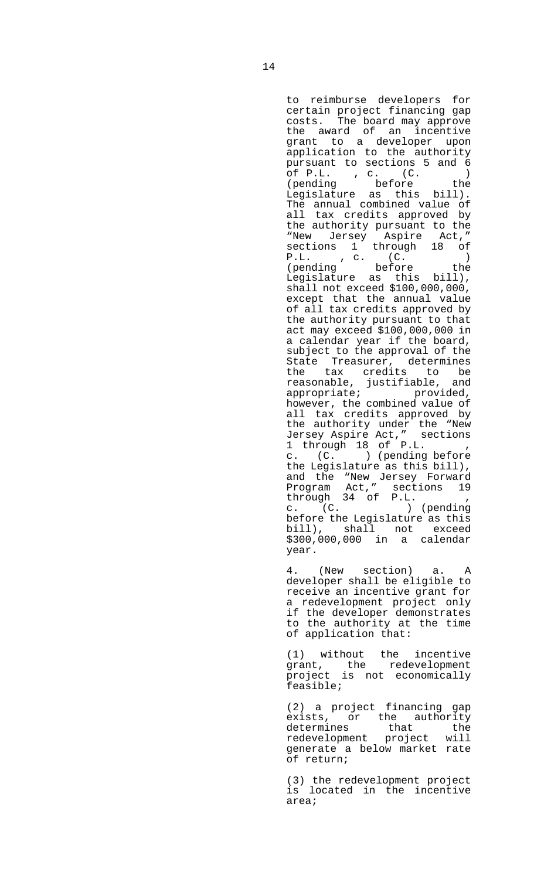to reimburse developers for certain project financing gap costs. The board may approve the award of an incentive grant to a developer upon application to the authority pursuant to sections 5 and 6 of P.L. , c. (C. ) (pending before the Legislature as this bill). The annual combined value of all tax credits approved by the authority pursuant to the "New Jersey Aspire Act," sections 1 through 18 of P.L. , c. (C. ) (pending before the Legislature as this bill), shall not exceed \$100,000,000, except that the annual value of all tax credits approved by the authority pursuant to that act may exceed \$100,000,000 in a calendar year if the board, subject to the approval of the State Treasurer, determines the tax credits to be reasonable, justifiable, and appropriate; entitled, however, the combined value of all tax credits approved by the authority under the "New Jersey Aspire Act," sections 1 through 18 of P.L. , c. (C. ) (pending before the Legislature as this bill), and the "New Jersey Forward Program Act," sections 19 through 34 of P.L. , c. (C. ) (pending before the Legislature as this bill), shall not exceed \$300,000,000 in a calendar year.

 4. (New section) a. A developer shall be eligible to receive an incentive grant for a redevelopment project only if the developer demonstrates to the authority at the time of application that:

 (1) without the incentive grant, the redevelopment project is not economically feasible;

> (2) a project financing gap exists, or the authority<br>determines that the that the<br>project will redevelopment generate a below market rate of return;

> (3) the redevelopment project is located in the incentive area;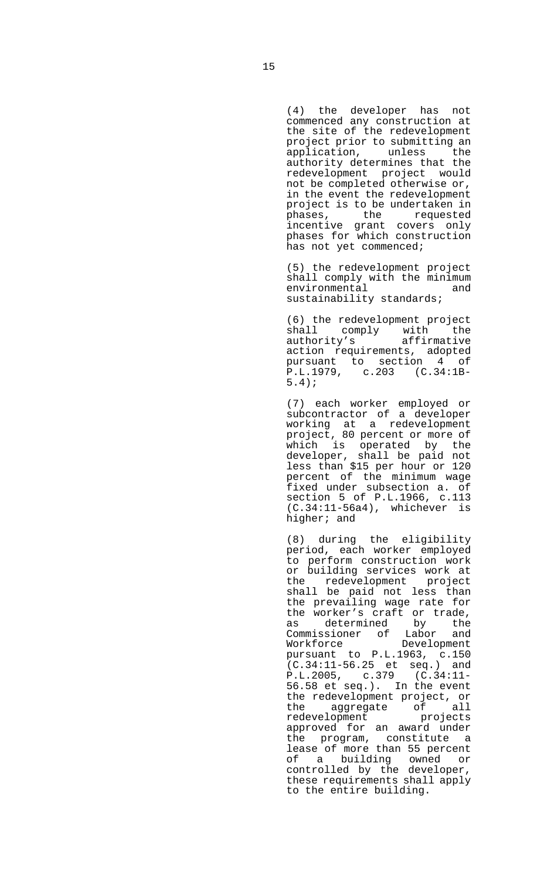(4) the developer has not commenced any construction at the site of the redevelopment project prior to submitting an application, unless the authority determines that the redevelopment project would not be completed otherwise or, in the event the redevelopment project is to be undertaken in phases, the requested incentive grant covers only phases for which construction has not yet commenced;

> (5) the redevelopment project shall comply with the minimum environmental and sustainability standards;

 (6) the redevelopment project shall comply with the<br>authority's affirmative authority's action requirements, adopted pursuant to section 4 of P.L.1979, c.203 (C.34:1B-5.4);

 (7) each worker employed or subcontractor of a developer working at a redevelopment project, 80 percent or more of which is operated by the developer, shall be paid not less than \$15 per hour or 120 percent of the minimum wage fixed under subsection a. of section 5 of P.L.1966, c.113 (C.34:11-56a4), whichever is higher; and

> (8) during the eligibility period, each worker employed to perform construction work or building services work at the redevelopment project shall be paid not less than the prevailing wage rate for the worker's craft or trade,<br>as determined by the as determined Commissioner of Labor and Workforce pursuant to P.L.1963, c.150 (C.34:11-56.25 et seq.) and P.L.2005, c.379 (C.34:11- 56.58 et seq.). In the event the redevelopment project, or the aggregate of all redevelopment projects approved for an award under the program, constitute a lease of more than 55 percent of a building owned or controlled by the developer, these requirements shall apply to the entire building.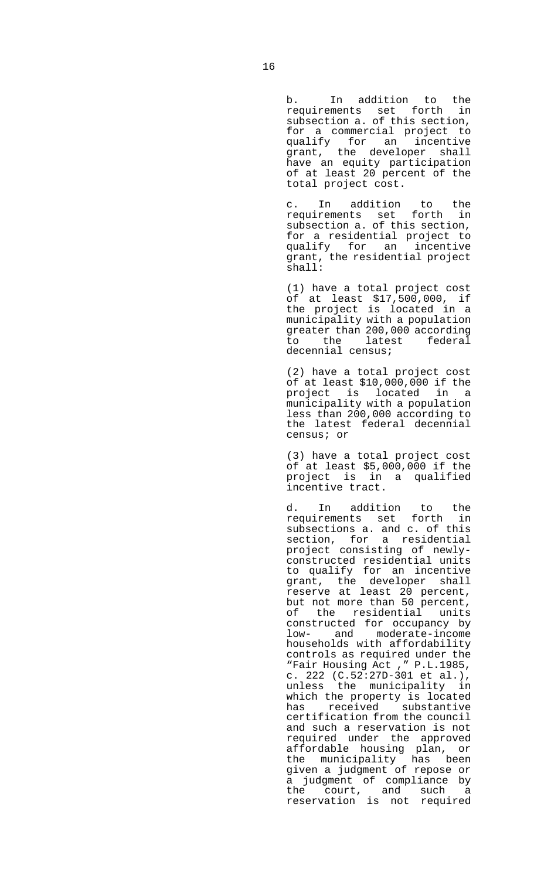b. In addition to the requirements set forth in subsection a. of this section, for a commercial project to qualify for an incentive grant, the developer shall have an equity participation of at least 20 percent of the total project cost.

 c. In addition to the requirements set forth in subsection a. of this section, for a residential project to qualify for an incentive grant, the residential project shall:

> (1) have a total project cost of at least \$17,500,000, if the project is located in a municipality with a population greater than 200,000 according to the latest federal decennial census;

 (2) have a total project cost of at least \$10,000,000 if the project is located in a municipality with a population less than 200,000 according to the latest federal decennial census; or

 (3) have a total project cost of at least  $$5,000,000$  if the project is in a qualified incentive tract.

 d. In addition to the requirements set forth in subsections a. and c. of this section, for a residential project consisting of newlyconstructed residential units to qualify for an incentive grant, the developer shall reserve at least 20 percent, but not more than 50 percent, of the residential units constructed for occupancy by low- and moderate-income households with affordability controls as required under the "Fair Housing Act ," P.L.1985, c. 222 (C.52:27D-301 et al.), unless the municipality in which the property is located has received substantive certification from the council and such a reservation is not required under the approved affordable housing plan, or the municipality has been given a judgment of repose or a judgment of compliance by the court, and such a reservation is not required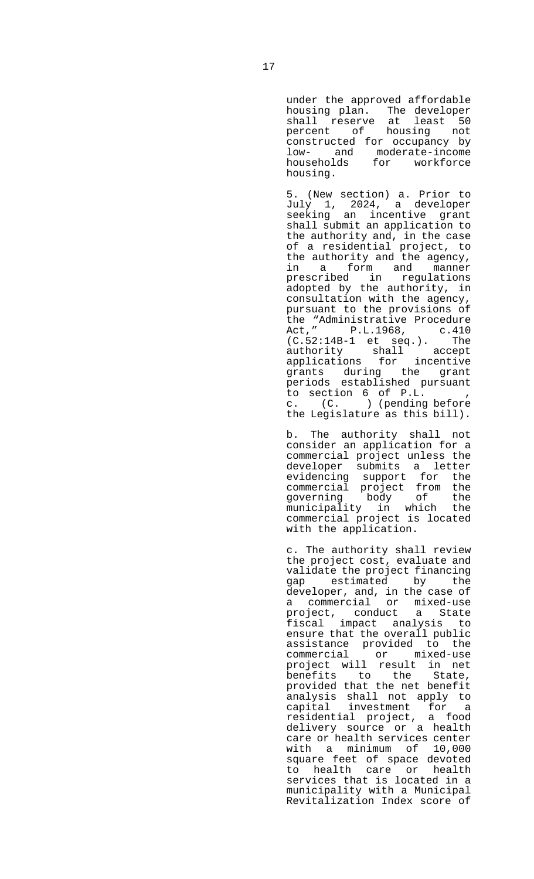under the approved affordable housing plan. The developer shall reserve at least 50 percent of housing not constructed for occupancy by low- and moderate-income households for workforce housing.

 5. (New section) a. Prior to July 1, 2024, a developer seeking an incentive grant shall submit an application to the authority and, in the case of a residential project, to the authority and the agency, in a form and manner prescribed in regulations adopted by the authority, in consultation with the agency, pursuant to the provisions of the "Administrative Procedure Act," P.L.1968, c.410 (C.52:14B-1 et seq.). The authority shall accept applications for incentive grants during the grant periods established pursuant to section 6 of P.L. , c. (C. ) (pending before the Legislature as this bill).

 b. The authority shall not consider an application for a commercial project unless the developer submits a letter evidencing support for the commercial project from the governing body of the municipality in which the commercial project is located with the application.

 c. The authority shall review the project cost, evaluate and validate the project financing gap estimated by the developer, and, in the case of a commercial or mixed-use project, conduct a State fiscal impact analysis to ensure that the overall public assistance provided to the<br>commercial or mixed-use commercial or mixed-use project will result in net benefits to the State, provided that the net benefit analysis shall not apply to capital investment for a residential project, a food delivery source or a health care or health services center with a minimum of 10,000 square feet of space devoted to health care or health services that is located in a municipality with a Municipal Revitalization Index score of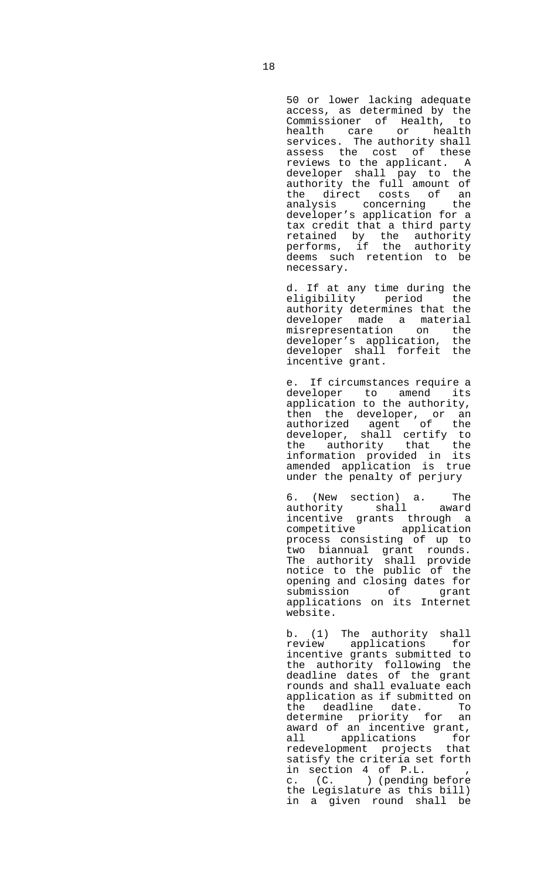50 or lower lacking adequate access, as determined by the Commissioner of Health, to health care or health services. The authority shall assess the cost of these reviews to the applicant. A developer shall pay to the authority the full amount of the direct costs of an analysis concerning the developer's application for a tax credit that a third party retained by the authority performs, if the authority deems such retention to be necessary.

 d. If at any time during the eligibility period the authority determines that the developer made a material misrepresentation on the developer's application, the developer shall forfeit the incentive grant.

 e. If circumstances require a developer to amend its application to the authority, then the developer, or an authorized agent of the developer, shall certify to the authority that the information provided in its amended application is true under the penalty of perjury

 6. (New section) a. The authority shall award incentive grants through a competitive application process consisting of up to two biannual grant rounds. The authority shall provide notice to the public of the opening and closing dates for submission of grant applications on its Internet website.

 b. (1) The authority shall review applications for incentive grants submitted to the authority following the deadline dates of the grant rounds and shall evaluate each application as if submitted on the deadline date. To determine priority for an award of an incentive grant, all applications for redevelopment projects that satisfy the criteria set forth in section 4 of P.L. , c. (C. ) (pending before the Legislature as this bill) in a given round shall be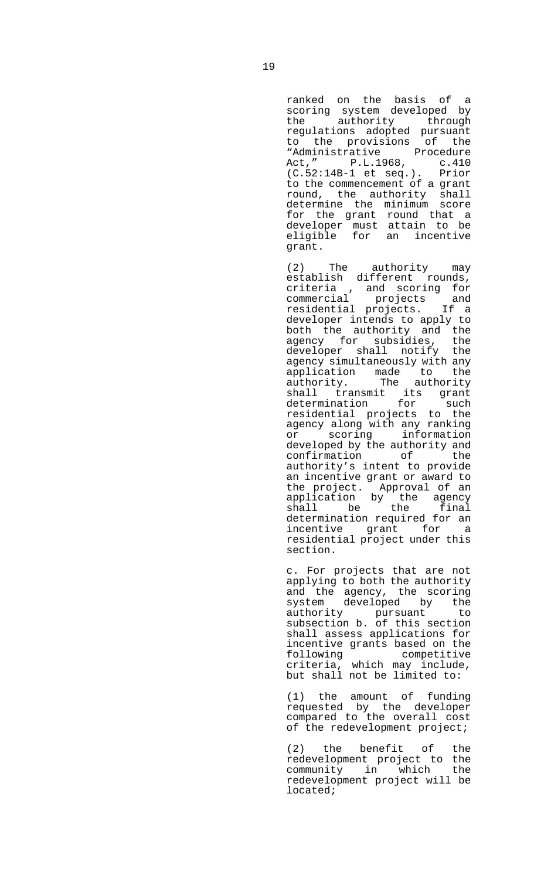ranked on the basis of a scoring system developed by the authority through regulations adopted pursuant to the provisions of the "Administrative Procedure Act," P.L.1968, c.410 (C.52:14B-1 et seq.). Prior to the commencement of a grant round, the authority shall determine the minimum score for the grant round that a developer must attain to be eligible for an incentive grant.

 (2) The authority may establish different rounds,<br>criteria , and scoring for<br>commercial projects and<br>commercial projects. If a criteria , and scoring for commercial projects and residential projects. developer intends to apply to both the authority and the agency for subsidies, the developer shall notify the agency simultaneously with any application made to the authority. The authority shall transmit its grant determination for such residential projects to the agency along with any ranking or scoring information developed by the authority and confirmation of the authority's intent to provide an incentive grant or award to the project. Approval of an application by the agency shall be the final determination required for an incentive grant for a residential project under this section.

 c. For projects that are not applying to both the authority and the agency, the scoring system developed by the authority pursuant to subsection b. of this section shall assess applications for incentive grants based on the following competitive criteria, which may include, but shall not be limited to:

 (1) the amount of funding requested by the developer compared to the overall cost of the redevelopment project;

> (2) the benefit of the redevelopment project to the community in which the redevelopment project will be located;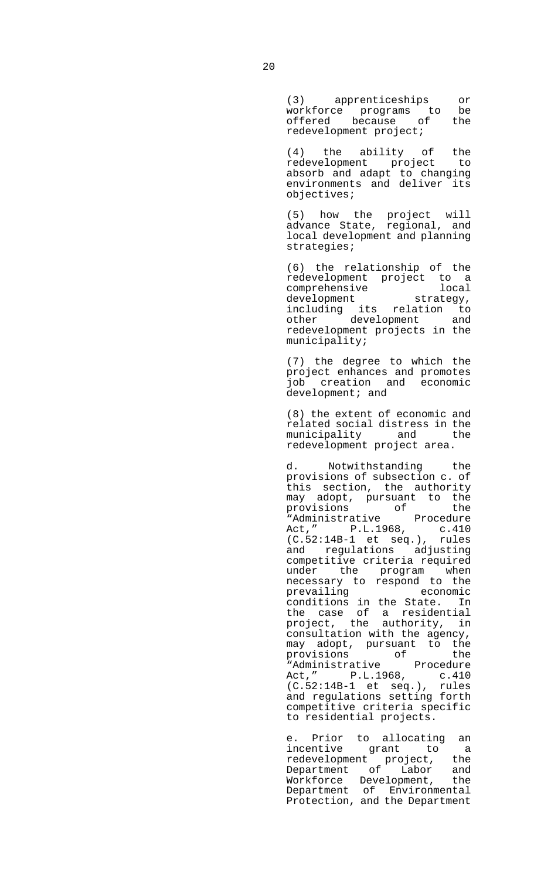(3) apprenticeships or workforce programs to be offered because of the redevelopment project;

 (4) the ability of the redevelopment project to absorb and adapt to changing environments and deliver its objectives;

 (5) how the project will advance State, regional, and local development and planning strategies;

> (6) the relationship of the redevelopment project to a<br>comprehensive local comprehensive local development strategy, deveropment<br>including its relation to other development and redevelopment projects in the municipality;

 (7) the degree to which the project enhances and promotes job creation and economic development; and

 (8) the extent of economic and related social distress in the municipality and the redevelopment project area.

 d. Notwithstanding the provisions of subsection c. of this section, the authority may adopt, pursuant to the<br>provisions of the provisions of the "Administrative Procedure Act," P.L.1968, c.410<br>(C.52:14B-1 et seq.), rules  $(C.52:14B-1$  et seq.), and regulations adjusting competitive criteria required under the program when necessary to respond to the prevailing economic conditions in the State. In the case of a residential project, the authority, in consultation with the agency, may adopt, pursuant to the<br>provisions of the provisions of the "Administrative Procedure Act," P.L.1968, c.410 (C.52:14B-1 et seq.), rules and regulations setting forth competitive criteria specific to residential projects.

 e. Prior to allocating an incentive grant to a redevelopment project, the Department of Labor and Workforce Development, the Department of Environmental Protection, and the Department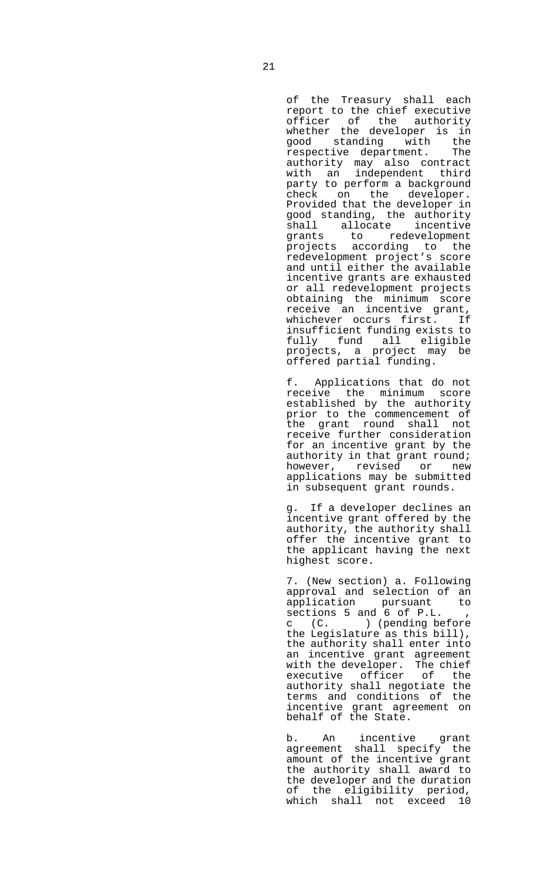of the Treasury shall each report to the chief executive officer of the authority whether the developer is in good standing with the<br>respective department. The respective department. authority may also contract with an independent third party to perform a background check on the developer. Provided that the developer in good standing, the authority<br>shall allocate incentive shall allocate grants to redevelopment projects according to the redevelopment project's score and until either the available incentive grants are exhausted or all redevelopment projects obtaining the minimum score receive an incentive grant, whichever occurs first. If insufficient funding exists to fully fund all eligible projects, a project may be offered partial funding.

 f. Applications that do not receive the minimum score established by the authority prior to the commencement of the grant round shall not receive further consideration for an incentive grant by the authority in that grant round; however, revised or new applications may be submitted in subsequent grant rounds.

 g. If a developer declines an incentive grant offered by the authority, the authority shall offer the incentive grant to the applicant having the next highest score.

 7. (New section) a. Following approval and selection of an application pursuant to sections 5 and 6 of P.L. , c (C. ) (pending before the Legislature as this bill), the authority shall enter into an incentive grant agreement with the developer. The chief executive officer of the authority shall negotiate the terms and conditions of the incentive grant agreement on behalf of the State.

 b. An incentive grant agreement shall specify the amount of the incentive grant the authority shall award to the developer and the duration of the eligibility period, which shall not exceed 10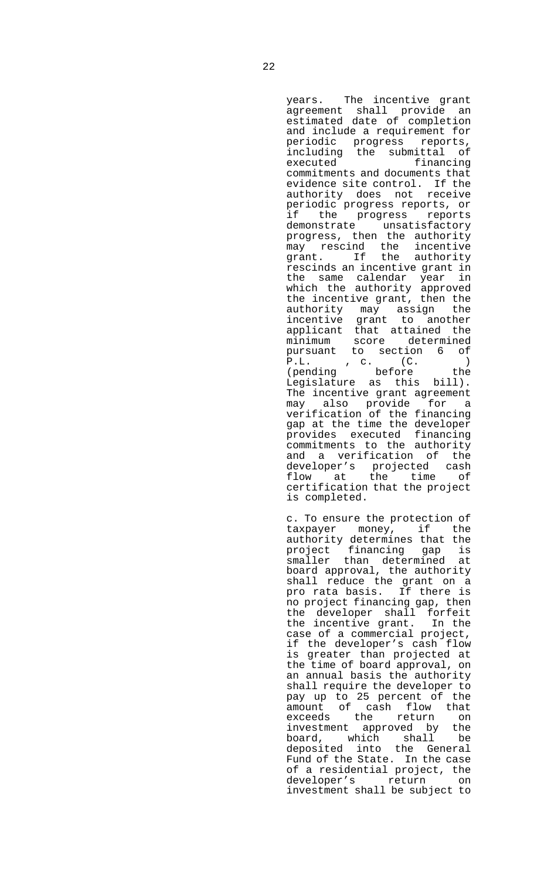years. The incentive grant agreement shall provide an estimated date of completion and include a requirement for periodic progress reports, including the submittal of executed financing commitments and documents that evidence site control. If the authority does not receive periodic progress reports, or if the progress reports demonstrate unsatisfactory progress, then the authority may rescind the incentive grant. If the authority rescinds an incentive grant in the same calendar year in which the authority approved the incentive grant, then the authority may assign the incentive grant to another applicant that attained the minimum score determined pursuant to section 6 of P.L. , c. (C. ) (pending before the Legislature as this bill). The incentive grant agreement may also provide for a verification of the financing gap at the time the developer provides executed financing commitments to the authority and a verification of the developer's projected cash flow at the time of certification that the project is completed.

 c. To ensure the protection of taxpayer money, if the authority determines that the project financing gap is smaller than determined at board approval, the authority shall reduce the grant on a pro rata basis. If there is no project financing gap, then the developer shall forfeit the incentive grant. In the case of a commercial project, if the developer's cash flow is greater than projected at the time of board approval, on an annual basis the authority shall require the developer to pay up to 25 percent of the amount of cash flow that exceeds the return on investment approved by the<br>board, which shall be board, which shall deposited into the General Fund of the State. In the case of a residential project, the developer's return on investment shall be subject to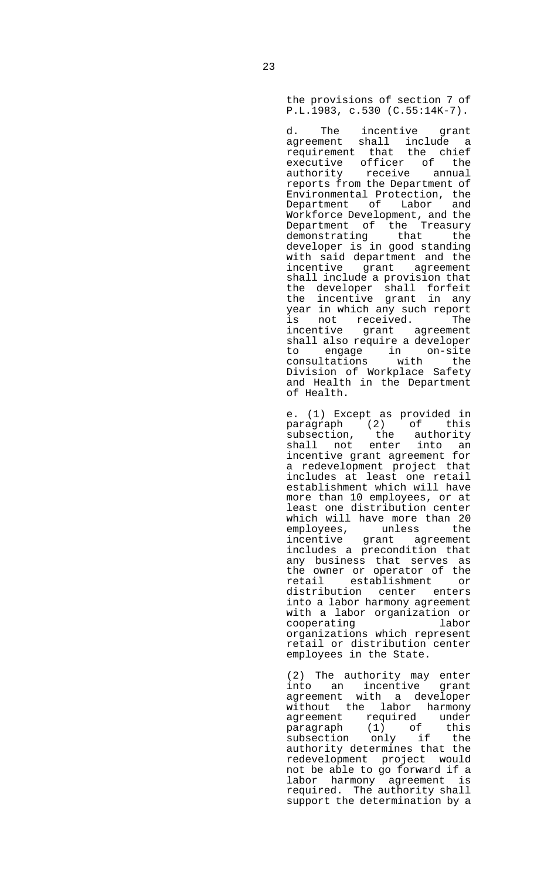the provisions of section 7 of P.L.1983, c.530 (C.55:14K-7).

 d. The incentive grant agreement shall include a requirement that the chief executive officer of the authority receive annual reports from the Department of Environmental Protection, the Department of Labor and Workforce Development, and the Department of the Treasury demonstrating that the developer is in good standing with said department and the incentive grant agreement shall include a provision that the developer shall forfeit the incentive grant in any year in which any such report is not received. The incentive grant agreement shall also require a developer to engage in on-site consultations with the Division of Workplace Safety and Health in the Department of Health.

 e. (1) Except as provided in paragraph (2) of this subsection, the authority shall not enter into an incentive grant agreement for a redevelopment project that includes at least one retail establishment which will have more than 10 employees, or at least one distribution center which will have more than 20 employees, unless the incentive grant agreement includes a precondition that any business that serves as the owner or operator of the retail establishment or distribution center enters into a labor harmony agreement with a labor organization or cooperating labor organizations which represent retail or distribution center employees in the State.

 (2) The authority may enter into an incentive grant agreement with a developer without the labor harmony agreement required under paragraph (1) of this subsection only if the authority determines that the redevelopment project would not be able to go forward if a labor harmony agreement is required. The authority shall support the determination by a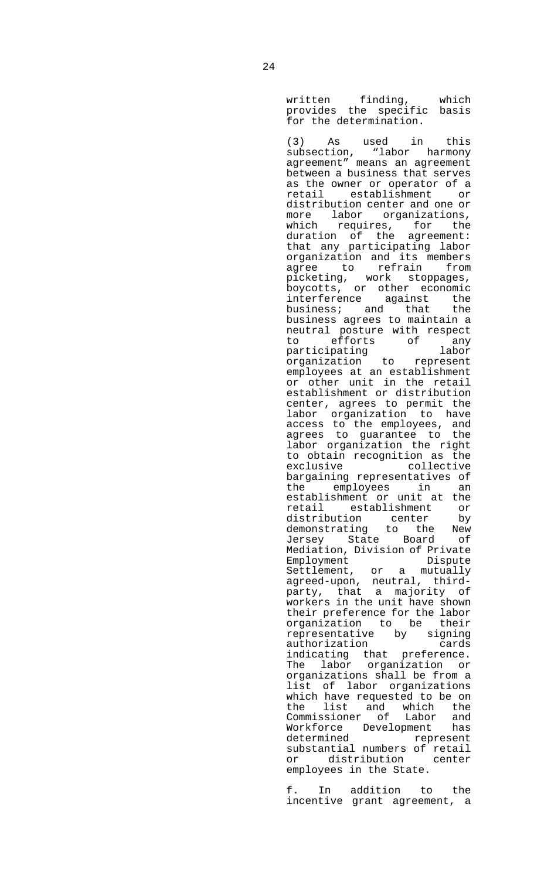written finding, which provides the specific basis for the determination.

 (3) As used in this subsection, "labor harmony agreement" means an agreement between a business that serves as the owner or operator of a retail establishment or distribution center and one or more labor organizations, which requires, for the duration of the agreement: that any participating labor organization and its members agree to refrain from picketing, work stoppages, boycotts, or other economic interference against the business; and that the business agrees to maintain a neutral posture with respect to efforts of any participating labor organization to represent employees at an establishment or other unit in the retail establishment or distribution center, agrees to permit the labor organization to have access to the employees, and agrees to guarantee to the labor organization the right to obtain recognition as the exclusive collective bargaining representatives of<br>the emplovees in an the employees in establishment or unit at the retail establishment or distribution center by demonstrating to the New<br>Jersey State Board of Jersey State Board Mediation, Division of Private Employment Dispute Settlement, or a mutually agreed-upon, neutral, thirdparty, that a majority of workers in the unit have shown their preference for the labor organization to be their organizacion component by signing authorization cards indicating that preference. The labor organization or organizations shall be from a list of labor organizations which have requested to be on the list and which the Commissioner of Labor and Workforce Development has represent substantial numbers of retail or distribution center employees in the State.

 f. In addition to the incentive grant agreement, a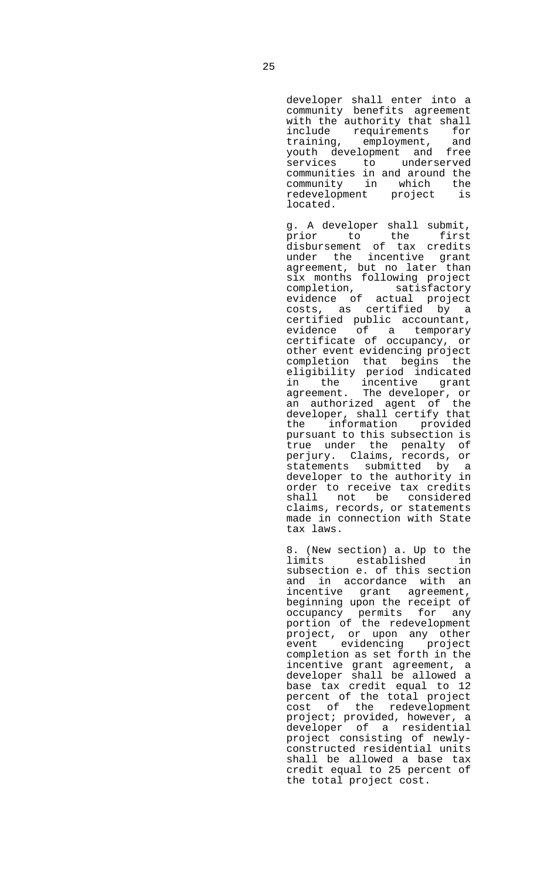developer shall enter into a community benefits agreement with the authority that shall include requirements for training, employment, and youth development and free services to underserved communities in and around the community in which the redevelopment project located.

 g. A developer shall submit, prior to the first disbursement of tax credits under the incentive grant agreement, but no later than six months following project completion, satisfactory evidence of actual project costs, as certified by a certified public accountant, evidence of a temporary certificate of occupancy, or other event evidencing project completion that begins the eligibility period indicated in the incentive grant agreement. The developer, or an authorized agent of the developer, shall certify that the information provided pursuant to this subsection is true under the penalty of perjury. Claims, records, or statements submitted by a developer to the authority in order to receive tax credits shall not be considered claims, records, or statements made in connection with State tax laws.

 8. (New section) a. Up to the limits established in subsection e. of this section and in accordance with an incentive grant agreement, beginning upon the receipt of occupancy permits for any portion of the redevelopment project, or upon any other event evidencing project completion as set forth in the incentive grant agreement, a developer shall be allowed a base tax credit equal to 12 percent of the total project cost of the redevelopment project; provided, however, a developer of a residential project consisting of newlyconstructed residential units shall be allowed a base tax credit equal to 25 percent of the total project cost.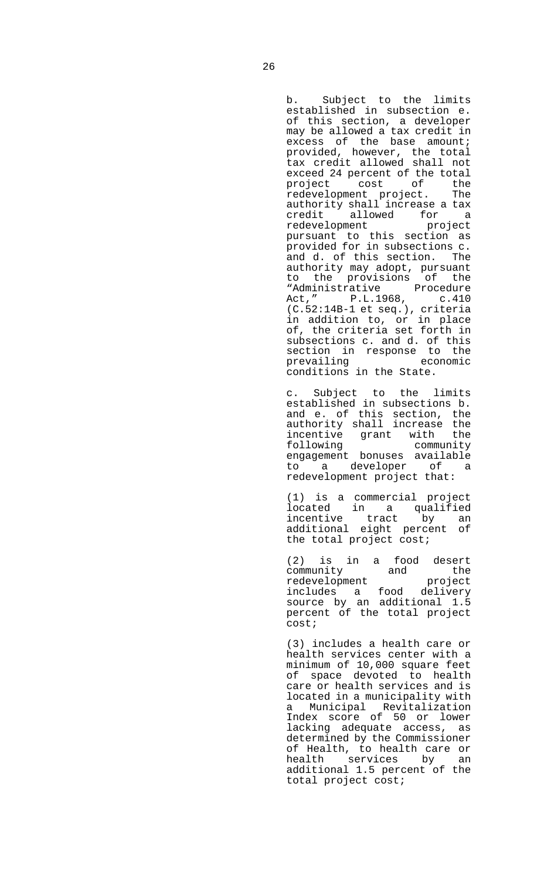b. Subject to the limits established in subsection e. of this section, a developer may be allowed a tax credit in excess of the base amount; provided, however, the total tax credit allowed shall not exceed 24 percent of the total project cost of the redevelopment project. The authority shall increase a tax credit allowed for a redevelopment project pursuant to this section as provided for in subsections c. and d. of this section. The authority may adopt, pursuant to the provisions of the "Administrative Procedure Act," P.L.1968, c.410 (C.52:14B-1 et seq.), criteria in addition to, or in place of, the criteria set forth in subsections c. and d. of this section in response to the prevailing economic conditions in the State.

 c. Subject to the limits established in subsections b. and e. of this section, the authority shall increase the incentive grant with the following community engagement bonuses available to a developer of a redevelopment project that:

 (1) is a commercial project located in a qualified incentive tract by an additional eight percent of the total project cost;

> (2) is in a food desert community and the redevelopment project includes a food delivery source by an additional 1.5 percent of the total project cost;

 (3) includes a health care or health services center with a minimum of 10,000 square feet of space devoted to health care or health services and is located in a municipality with a Municipal Revitalization Index score of 50 or lower lacking adequate access, as determined by the Commissioner of Health, to health care or health services by an additional 1.5 percent of the total project cost;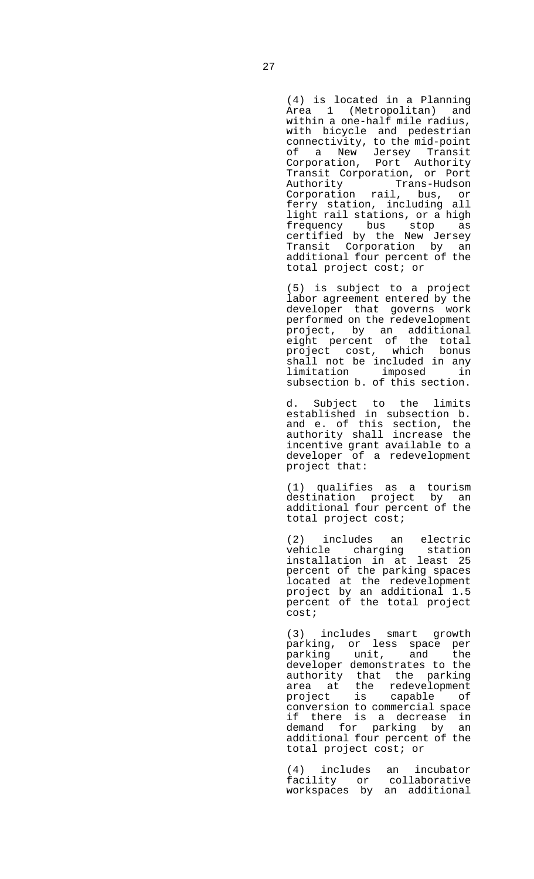(4) is located in a Planning Area 1 (Metropolitan) and within a one-half mile radius, with bicycle and pedestrian connectivity, to the mid-point of a New Jersey Transit Corporation, Port Authority Transit Corporation, or Port Authority Trans-Hudson Corporation rail, bus, or ferry station, including all light rail stations, or a high frequency bus stop as certified by the New Jersey Transit Corporation by an additional four percent of the total project cost; or

 (5) is subject to a project labor agreement entered by the developer that governs work performed on the redevelopment project, by an additional eight percent of the total project cost, which bonus shall not be included in any<br>limitation imposed in limitation imposed subsection b. of this section.

 d. Subject to the limits established in subsection b. and e. of this section, the authority shall increase the incentive grant available to a developer of a redevelopment project that:

 (1) qualifies as a tourism destination project by an additional four percent of the total project cost;

> (2) includes an electric vehicle charging installation in at least 25 percent of the parking spaces located at the redevelopment project by an additional 1.5 percent of the total project cost;

> (3) includes smart growth parking, or less space per parking unit, and developer demonstrates to the authority that the parking area at the redevelopment project is capable of conversion to commercial space if there is a decrease in demand for parking by an additional four percent of the total project cost; or

 (4) includes an incubator facility or workspaces by an additional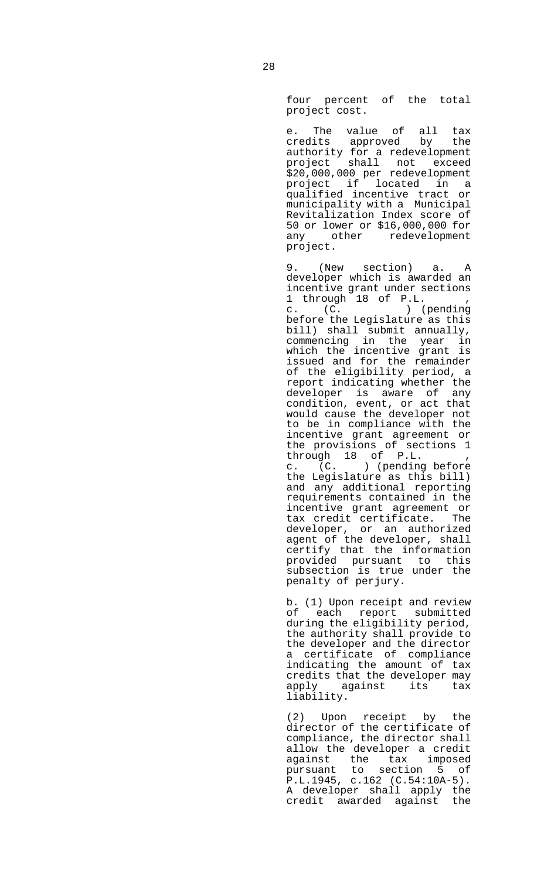four percent of the total project cost.

 e. The value of all tax credits approved by the authority for a redevelopment project shall not exceed \$20,000,000 per redevelopment project if located in a qualified incentive tract or municipality with a Municipal Revitalization Index score of 50 or lower or \$16,000,000 for any other redevelopment project.

 9. (New section) a. A developer which is awarded an incentive grant under sections 1 through 18 of P.L. , c. (C. ) (pending before the Legislature as this bill) shall submit annually, commencing in the year in which the incentive grant is issued and for the remainder of the eligibility period, a report indicating whether the developer is aware of any condition, event, or act that would cause the developer not to be in compliance with the incentive grant agreement or the provisions of sections 1 through 18 of P.L. , c. (C. ) (pending before the Legislature as this bill) and any additional reporting requirements contained in the incentive grant agreement or tax credit certificate. The developer, or an authorized agent of the developer, shall certify that the information provided pursuant to this subsection is true under the penalty of perjury.

 b. (1) Upon receipt and review of each report submitted during the eligibility period, the authority shall provide to the developer and the director a certificate of compliance indicating the amount of tax credits that the developer may apply against its tax liability.

 (2) Upon receipt by the director of the certificate of compliance, the director shall allow the developer a credit against the tax imposed pursuant to section 5 of P.L.1945, c.162 (C.54:10A-5). A developer shall apply the credit awarded against the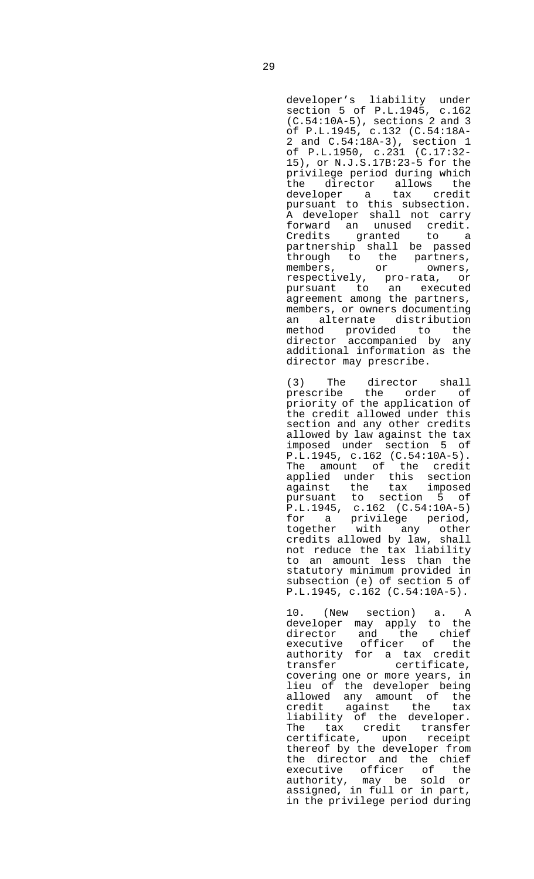developer's liability under section 5 of P.L.1945, c.162 (C.54:10A-5), sections 2 and 3 of P.L.1945, c.132 (C.54:18A-2 and C.54:18A-3), section 1 of P.L.1950, c.231 (C.17:32- 15), or N.J.S.17B:23-5 for the privilege period during which the director allows the<br>developer a tax credit developer a pursuant to this subsection. A developer shall not carry forward an unused credit. Credits granted to a partnership shall be passed through to the partners,<br>members, or owners, members, or owners, respectively, pro-rata, or pursuant to an executed agreement among the partners, members, or owners documenting an alternate distribution method provided to the director accompanied by any additional information as the director may prescribe.

 (3) The director shall prescribe the order of priority of the application of the credit allowed under this section and any other credits allowed by law against the tax imposed under section 5 of P.L.1945, c.162 (C.54:10A-5). The amount of the credit applied under this section against the tax imposed pursuant to section 5 of P.L.1945, c.162 (C.54:10A-5) for a privilege period, together with any other credits allowed by law, shall not reduce the tax liability to an amount less than the statutory minimum provided in subsection (e) of section 5 of P.L.1945, c.162 (C.54:10A-5).

> 10. (New section) a. A developer may apply to the director and the chief executive officer of the authority for a tax credit transfer certificate, covering one or more years, in lieu of the developer being allowed any amount of the credit against the tax liability of the developer. The tax credit transfer certificate, upon receipt thereof by the developer from the director and the chief executive officer of the authority, may be sold or assigned, in full or in part, in the privilege period during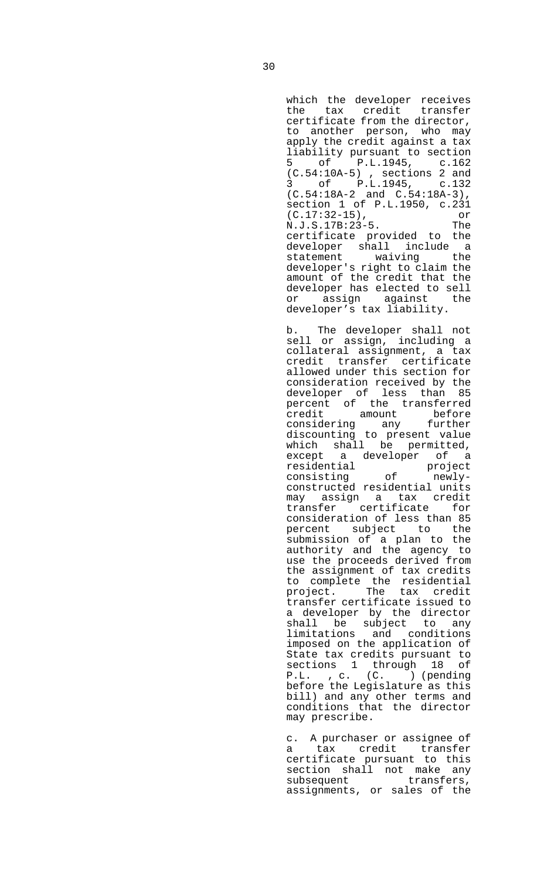which the developer receives the tax credit transfer certificate from the director, to another person, who may apply the credit against a tax liability pursuant to section 5 of P.L.1945, c.162 (C.54:10A-5) , sections 2 and 3 of P.L.1945, c.132 (C.54:18A-2 and C.54:18A-3), section 1 of P.L.1950, c.231 (C.17:32-15), or<br>N.J.S.17B:23-5. The N.J.S.17B:23-5. certificate provided to the developer shall include a<br>statement waiving the waiving the developer's right to claim the amount of the credit that the developer has elected to sell or assign against the developer's tax liability.

 b. The developer shall not sell or assign, including a collateral assignment, a tax credit transfer certificate allowed under this section for consideration received by the developer of less than 85 percent of the transferred credit amount before considering any further discounting to present value which shall be permitted, except a developer of a residential project consisting of newlyconstructed residential units may assign a tax credit transfer certificate for consideration of less than 85 percent subject to the submission of a plan to the authority and the agency to use the proceeds derived from the assignment of tax credits to complete the residential project. The tax credit transfer certificate issued to a developer by the director shall be subject to any limitations and conditions imposed on the application of State tax credits pursuant to<br>sections 1 through 18 of sections  $1$  through  $18$ P.L. , c. (C. ) (pending before the Legislature as this bill) and any other terms and conditions that the director may prescribe.

 c. A purchaser or assignee of a tax credit transfer certificate pursuant to this section shall not make any subsequent transfers, assignments, or sales of the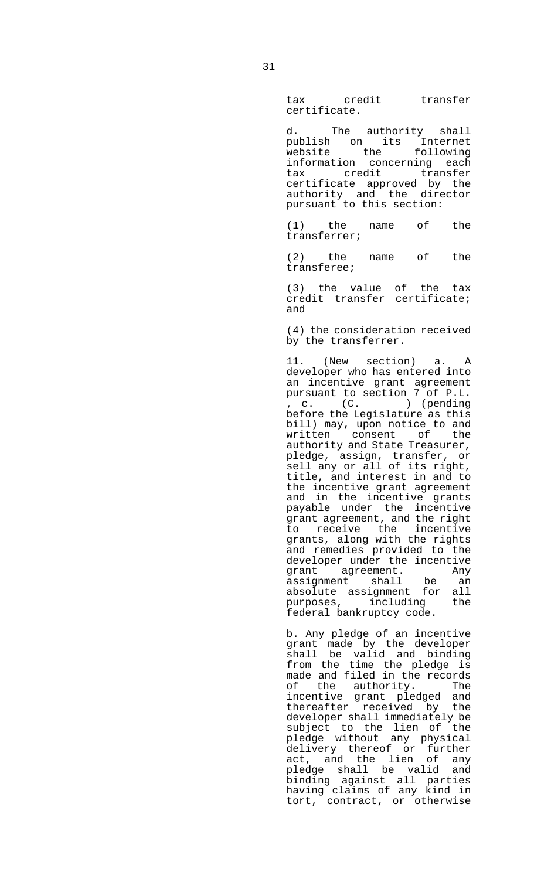tax credit transfer certificate.

 d. The authority shall publish on its Internet website the following information concerning each tax credit transfer certificate approved by the authority and the director pursuant to this section:

 (1) the name of the transferrer;

 (2) the name of the transferee;

 (3) the value of the tax credit transfer certificate; and

> (4) the consideration received by the transferrer.

 11. (New section) a. A developer who has entered into an incentive grant agreement pursuant to section 7 of P.L. , c. (C. ) (pending before the Legislature as this bill) may, upon notice to and written consent of the authority and State Treasurer, pledge, assign, transfer, or sell any or all of its right, title, and interest in and to the incentive grant agreement and in the incentive grants payable under the incentive grant agreement, and the right to receive the incentive grants, along with the rights and remedies provided to the developer under the incentive grant agreement. Any<br>assignment shall be an assignment shall be an absolute assignment for all purposes, including the federal bankruptcy code.

 b. Any pledge of an incentive grant made by the developer shall be valid and binding from the time the pledge is made and filed in the records of the authority. The incentive grant pledged and thereafter received by the developer shall immediately be subject to the lien of the pledge without any physical delivery thereof or further act, and the lien of any pledge shall be valid and binding against all parties having claims of any kind in tort, contract, or otherwise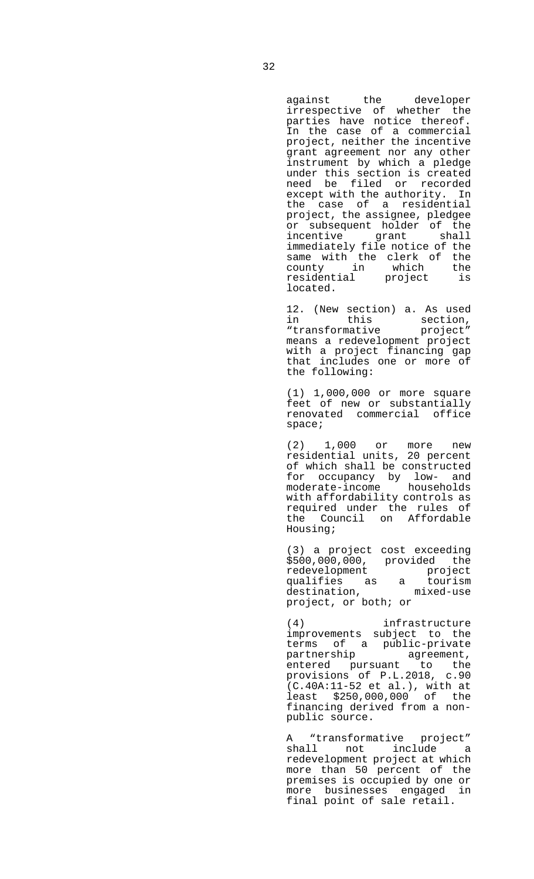against the developer irrespective of whether the parties have notice thereof. In the case of a commercial project, neither the incentive grant agreement nor any other instrument by which a pledge under this section is created need be filed or recorded except with the authority. In the case of a residential project, the assignee, pledgee or subsequent holder of the incentive grant shall immediately file notice of the same with the clerk of the county in which the residential project is located.

 12. (New section) a. As used in this section, "transformative project" means a redevelopment project with a project financing gap that includes one or more of the following:

 (1) 1,000,000 or more square feet of new or substantially renovated commercial office space;

 (2) 1,000 or more new residential units, 20 percent of which shall be constructed for occupancy by low- and moderate-income households with affordability controls as required under the rules of the Council on Affordable Housing;

> (3) a project cost exceeding \$500,000,000, provided the redevelopment project qualifies as a tourism destination, mixed-use project, or both; or

> (4) infrastructure improvements subject to the terms of a public-private<br>partnership agreement, agreement, entered pursuant to the provisions of P.L.2018, c.90 (C.40A:11-52 et al.), with at least \$250,000,000 of the financing derived from a nonpublic source.

> A "transformative project" shall not include a redevelopment project at which more than 50 percent of the premises is occupied by one or more businesses engaged in final point of sale retail.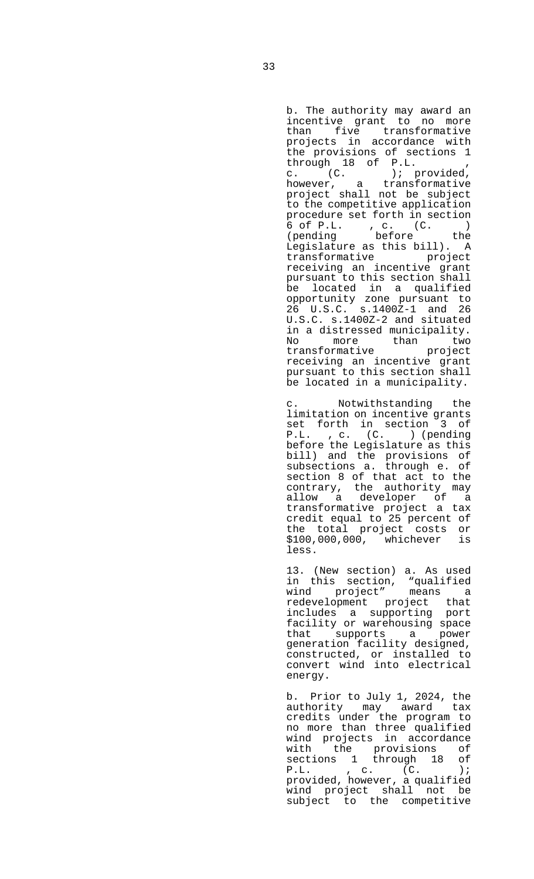b. The authority may award an incentive grant to no more than five transformative projects in accordance with the provisions of sections 1 through 18 of P.L. , c. (C. ); provided, however, a transformative project shall not be subject to the competitive application procedure set forth in section 6 of P.L. , c. (C. ) (pending before the Legislature as this bill). A transformative project receiving an incentive grant pursuant to this section shall be located in a qualified opportunity zone pursuant to 26 U.S.C. s.1400Z-1 and 26 U.S.C. s.1400Z-2 and situated in a distressed municipality. No more than two transformative project receiving an incentive grant pursuant to this section shall be located in a municipality.

> Notwithstanding the limitation on incentive grants set forth in section 3 of P.L. , c. (C. ) (pending before the Legislature as this bill) and the provisions of subsections a. through e. of section 8 of that act to the contrary, the authority may allow a developer of a transformative project a tax credit equal to 25 percent of the total project costs or \$100,000,000, whichever is less.

> 13. (New section) a. As used in this section, "qualified wind project" means a redevelopment project that includes a supporting port facility or warehousing space that supports a power generation facility designed, constructed, or installed to convert wind into electrical energy.

> b. Prior to July 1, 2024, the authority may award tax credits under the program to no more than three qualified wind projects in accordance with the provisions of sections 1 through 18 of P.L. , c. (C. ); provided, however, a qualified wind project shall not be subject to the competitive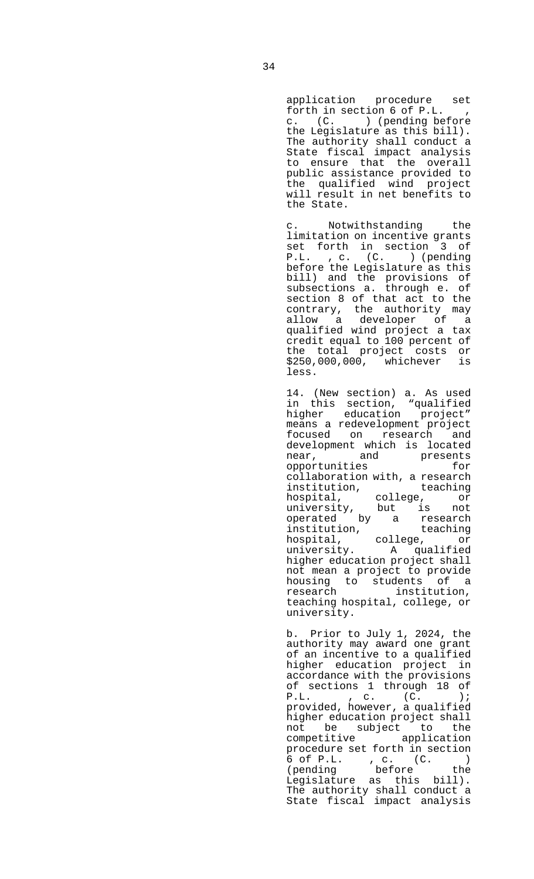application procedure set forth in section 6 of P.L. c. (C. ) (pending before the Legislature as this bill). The authority shall conduct a State fiscal impact analysis to ensure that the overall public assistance provided to the qualified wind project will result in net benefits to the State.

 c. Notwithstanding the limitation on incentive grants set forth in section 3 of<br>P.L. , c. (C. ) (pending , c. (C. ) (pending before the Legislature as this bill) and the provisions of subsections a. through e. of section 8 of that act to the contrary, the authority may allow a developer of a qualified wind project a tax credit equal to 100 percent of the total project costs or \$250,000,000, whichever is less.

 14. (New section) a. As used in this section, "qualified higher education project" means a redevelopment project focused on research and development which is located near, and presents opportunities for collaboration with, a research institution, teaching hospital, college, or university, but is not operated by a research institution, teaching hospital, college, or university. A qualified higher education project shall not mean a project to provide housing to students of a research institution, teaching hospital, college, or university.

 b. Prior to July 1, 2024, the authority may award one grant of an incentive to a qualified higher education project in accordance with the provisions of sections 1 through 18 of P.L. , c. (C. ); provided, however, a qualified higher education project shall not be subject to the competitive application procedure set forth in section 6 of P.L. , c. (C. ) (pending before the Legislature as this bill). The authority shall conduct a State fiscal impact analysis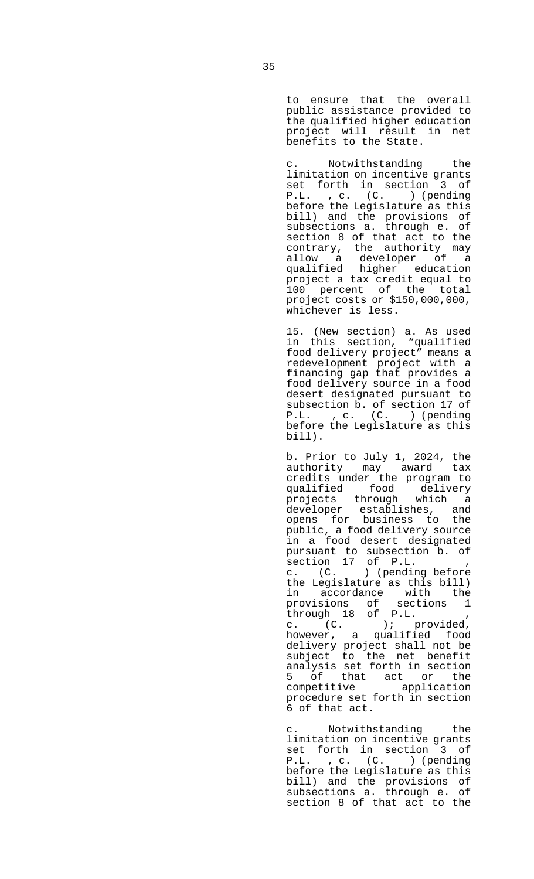to ensure that the overall public assistance provided to the qualified higher education project will result in net benefits to the State.

 c. Notwithstanding the limitation on incentive grants set forth in section 3 of P.L. , c. (C. ) (pending before the Legislature as this bill) and the provisions of subsections a. through e. of section 8 of that act to the contrary, the authority may allow a developer of a qualified higher education project a tax credit equal to 100 percent of the total project costs or \$150,000,000, whichever is less.

 15. (New section) a. As used in this section, "qualified food delivery project" means a redevelopment project with a financing gap that provides a food delivery source in a food desert designated pursuant to subsection b. of section 17 of<br>P.L., c. (C.) (pending , c. (C. ) (pending before the Legislature as this bill).

b. Prior to July 1, 2024, the authority may award tax credits under the program to qualified food delivery projects through which a developer establishes, and opens for business to the public, a food delivery source in a food desert designated pursuant to subsection b. of section 17 of P.L. , c. (C. ) (pending before the Legislature as this bill) in accordance with the provisions of sections 1 through 18 of P.L. , c. (C. ); provided, however, a qualified food delivery project shall not be subject to the net benefit analysis set forth in section 5 of that act or the competitive application procedure set forth in section 6 of that act.

 c. Notwithstanding the limitation on incentive grants set forth in section 3 of P.L. , c. (C. ) (pending before the Legislature as this bill) and the provisions of subsections a. through e. of section 8 of that act to the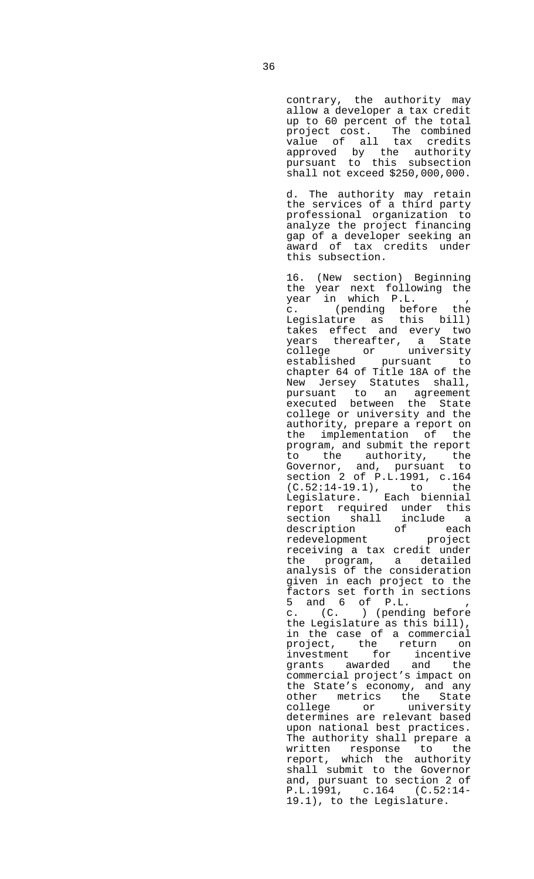contrary, the authority may allow a developer a tax credit up to 60 percent of the total project cost. The combined value of all tax credits approved by the authority pursuant to this subsection shall not exceed \$250,000,000.

d. The authority may retain the services of a third party professional organization to analyze the project financing gap of a developer seeking an award of tax credits under this subsection.

> 16. (New section) Beginning the year next following the year in which P.L. , c. (pending before the Legislature as this bill) takes effect and every two years thereafter, a State college or university established pursuant to chapter 64 of Title 18A of the New Jersey Statutes shall, pursuant to an agreement executed between the State college or university and the authority, prepare a report on the implementation of the program, and submit the report to the authority, the Governor, and, pursuant to section 2 of P.L.1991, c.164 (C.52:14-19.1), to the Legislature. Each biennial report required under this section shall include a description of each redevelopment project receiving a tax credit under the program, a detailed analysis of the consideration given in each project to the factors set forth in sections 5 and 6 of P.L. , c. (C. ) (pending before the Legislature as this bill), in the case of a commercial project, the return on investment for incentive grants awarded and the commercial project's impact on the State's economy, and any other metrics the State college or university determines are relevant based upon national best practices. The authority shall prepare a written response to the report, which the authority shall submit to the Governor and, pursuant to section 2 of P.L.1991, c.164 (C.52:14- 19.1), to the Legislature.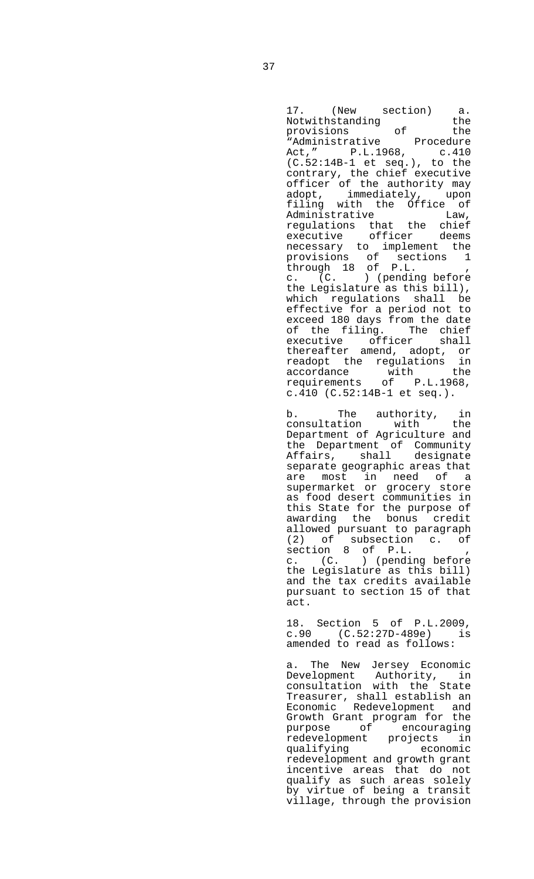17. (New section) a. Notwithstanding the provisions of the "Administrative Procedure Act," P.L.1968, c.410  $(C.52:14B-1$  et seq.), to the contrary, the chief executive officer of the authority may adopt, immediately, upon filing with the Office of Administrative Law, regulations that the chief executive officer deems necessary to implement the provisions of sections 1 through 18 of P.L. , c. (C. ) (pending before the Legislature as this bill), which regulations shall be effective for a period not to exceed 180 days from the date of the filing. The chief executive officer shall thereafter amend, adopt, or readopt the regulations in accordance with the requirements of P.L.1968, c.410 (C.52:14B-1 et seq.).

 b. The authority, in consultation with the Department of Agriculture and the Department of Community Affairs, shall designate separate geographic areas that are most in need of a supermarket or grocery store as food desert communities in this State for the purpose of awarding the bonus credit allowed pursuant to paragraph (2) of subsection c. of section 8 of P.L. , c. (C. ) (pending before the Legislature as this bill) and the tax credits available pursuant to section 15 of that act.

> 18. Section 5 of P.L.2009, c.90 (C.52:27D-489e) is amended to read as follows:

 a. The New Jersey Economic Development Authority, in consultation with the State Treasurer, shall establish an Economic Redevelopment and Growth Grant program for the purpose of encouraging redevelopment projects in qualifying economic redevelopment and growth grant incentive areas that do not qualify as such areas solely by virtue of being a transit village, through the provision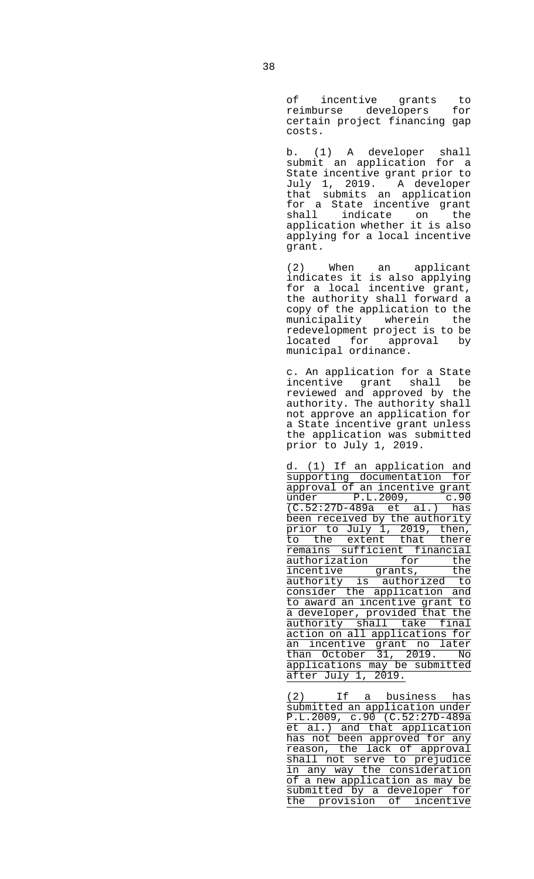of incentive grants to reimburse developers for certain project financing gap costs.

 b. (1) A developer shall submit an application for a State incentive grant prior to July 1, 2019. A developer that submits an application for a State incentive grant shall indicate on the application whether it is also applying for a local incentive grant.

> (2) When an applicant indicates it is also applying for a local incentive grant, the authority shall forward a copy of the application to the municipality wherein the redevelopment project is to be located for approval by municipal ordinance.

 c. An application for a State incentive grant shall be reviewed and approved by the authority. The authority shall not approve an application for a State incentive grant unless the application was submitted prior to July 1, 2019.

 d. (1) If an application and supporting documentation for approval of an incentive grant under P.L.2009, c.90 (C.52:27D-489a et al.) has been received by the authority prior to July 1, 2019, then, to the extent that there remains sufficient financial authorization for the incentive grants, the authority is authorized to consider the application and to award an incentive grant to a developer, provided that the authority shall take final action on all applications for an incentive grant no later than October 31, 2019. No applications may be submitted after July 1, 2019.

 (2) If a business has submitted an application under P.L.2009, c.90 (C.52:27D-489a et al.) and that application has not been approved for any reason, the lack of approval shall not serve to prejudice in any way the consideration of a new application as may be submitted by a developer for the provision of incentive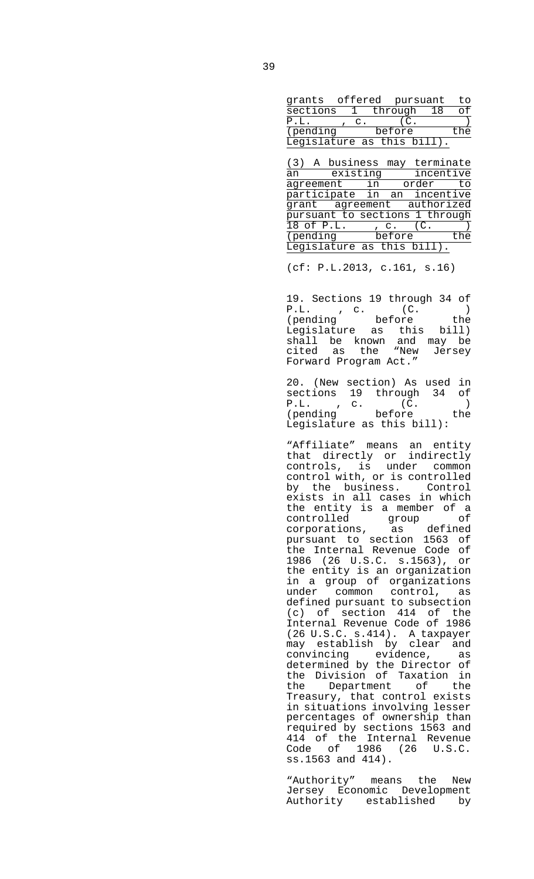| grants offered pursuant    |    |            |     |
|----------------------------|----|------------|-----|
| sections 1                 |    | through 18 |     |
| P.L.                       | C. |            |     |
| (pending                   |    | before     | -he |
| Legislature as this bill). |    |            |     |

|                                |          | (3) A business may terminate |  |        |           |     |  |
|--------------------------------|----------|------------------------------|--|--------|-----------|-----|--|
| an                             | existing |                              |  |        | incentive |     |  |
|                                |          | agreement in                 |  |        | order     | to  |  |
|                                |          | participate in an incentive  |  |        |           |     |  |
|                                |          | grant agreement authorized   |  |        |           |     |  |
| pursuant to sections 1 through |          |                              |  |        |           |     |  |
| 18 of P.L.                     |          |                              |  | $C$ .  |           |     |  |
| pending                        |          |                              |  | before |           | the |  |
|                                |          | Legislature as this bill).   |  |        |           |     |  |

(cf: P.L.2013, c.161, s.16)

 19. Sections 19 through 34 of P.L. , c. (C. ) (pending before the Legislature as this bill) shall be known and may be cited as the "New Jersey Forward Program Act."

 20. (New section) As used in sections  $19$  through  $34$  of  $P.L.$ , c.  $(C.$ P.L., c. (C.) (pending before the Legislature as this bill):

 "Affiliate" means an entity that directly or indirectly controls, is under common control with, or is controlled by the business. Control exists in all cases in which the entity is a member of a controlled group of corporations, as defined pursuant to section 1563 of the Internal Revenue Code of 1986 (26 U.S.C. s.1563), or the entity is an organization in a group of organizations under common control, as defined pursuant to subsection (c) of section 414 of the Internal Revenue Code of 1986 (26 U.S.C. s.414). A taxpayer may establish by clear and convincing evidence, as determined by the Director of the Division of Taxation in the Department of the Treasury, that control exists in situations involving lesser percentages of ownership than required by sections 1563 and 414 of the Internal Revenue Code of 1986 (26 U.S.C. ss.1563 and 414).

> "Authority" means the New Jersey Economic Development Authority established by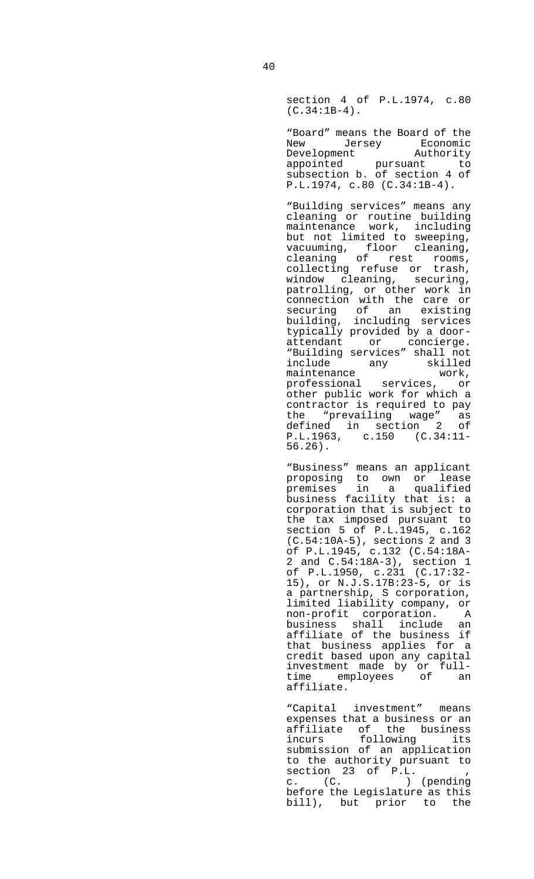section 4 of P.L.1974, c.80  $(C.34:1B-4)$ .

 "Board" means the Board of the New Jersey Economic Development Authority appointed pursuant to subsection b. of section 4 of P.L.1974, c.80 (C.34:1B-4).

 "Building services" means any cleaning or routine building maintenance work, including but not limited to sweeping, vacuuming, floor cleaning, cleaning of rest rooms, collecting refuse or trash, window cleaning, securing, patrolling, or other work in connection with the care or securing of an existing building, including services typically provided by a doorattendant or concierge. "Building services" shall not include any skilled maintenance work,<br>professional services, or professional services, or other public work for which a contractor is required to pay the "prevailing wage" as defined in section 2 of P.L.1963, c.150 (C.34:11- 56.26).

 "Business" means an applicant proposing to own or lease premises in a qualified business facility that is: a corporation that is subject to the tax imposed pursuant to section 5 of P.L.1945, c.162 (C.54:10A-5), sections 2 and 3 of P.L.1945, c.132 (C.54:18A-2 and C.54:18A-3), section 1 of P.L.1950, c.231 (C.17:32- 15), or N.J.S.17B:23-5, or is a partnership, S corporation, limited liability company, or non-profit corporation. A business shall include an affiliate of the business if that business applies for a credit based upon any capital investment made by or fulltime employees of an affiliate.

 "Capital investment" means expenses that a business or an affiliate of the business incurs following its submission of an application to the authority pursuant to section 23 of P.L. , c. (C. ) (pending before the Legislature as this bill), but prior to the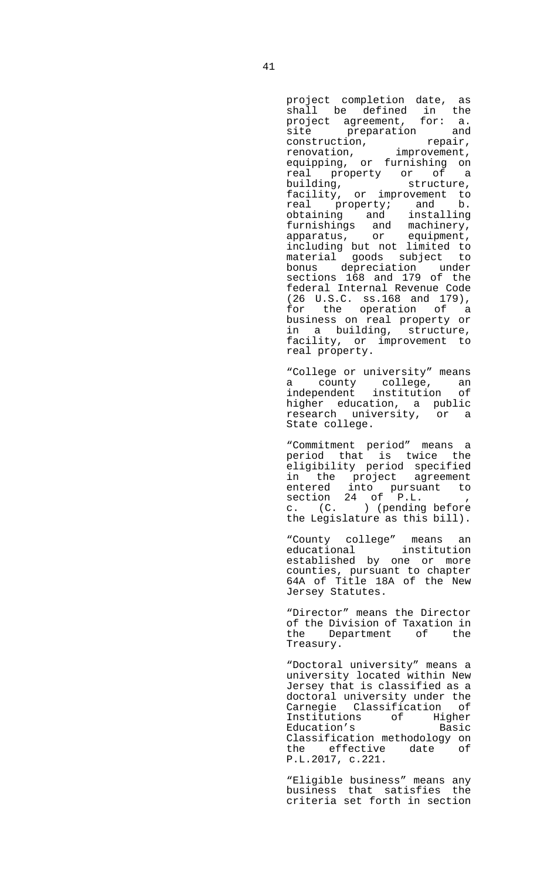project completion date, as shall be defined in the project agreement, for: a. site preparation and construction, repair, renovation, improvement, equipping, or furnishing on real property or of a<br>building, structure, building, structure, facility, or improvement to real property; and b. obtaining and installing furnishings and machinery, apparatus, or equipment, including but not limited to material goods subject to bonus depreciation under sections 168 and 179 of the federal Internal Revenue Code (26 U.S.C. ss.168 and 179), for the operation of a business on real property or in a building, structure, facility, or improvement to real property.

 "College or university" means a county college, an independent institution of higher education, a public research university, or a State college.

 "Commitment period" means a period that is twice the eligibility period specified in the project agreement entered into pursuant to section 24 of P.L. , c. (C. ) (pending before the Legislature as this bill).

 "County college" means an educational institution educational institution<br>established by one or more counties, pursuant to chapter 64A of Title 18A of the New Jersey Statutes.

> "Director" means the Director of the Division of Taxation in the Department of the Treasury.

 "Doctoral university" means a university located within New Jersey that is classified as a doctoral university under the Carnegie Classification of Institutions of Higher Education's Basic Classification methodology on the effective date of P.L.2017, c.221.

 "Eligible business" means any business that satisfies the criteria set forth in section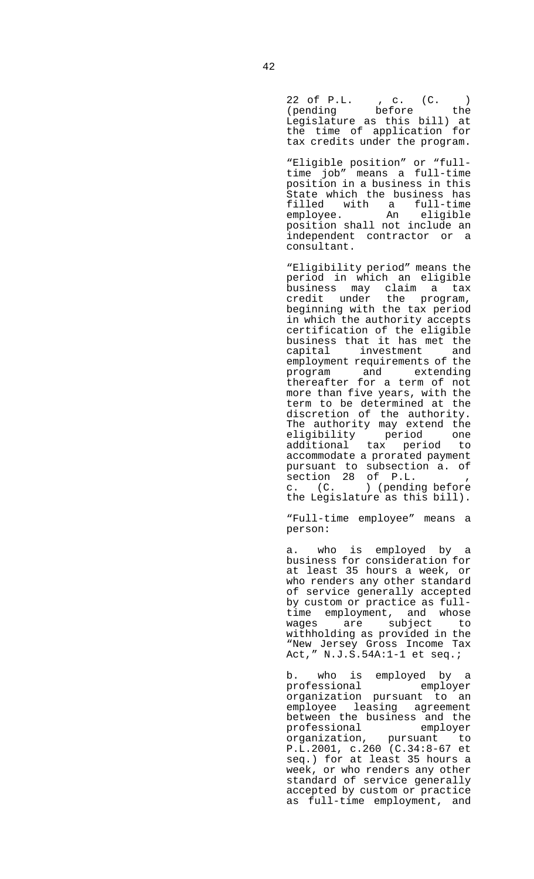22 of P.L. , c. (C. ) (pending before the Legislature as this bill) at the time of application for tax credits under the program.

 "Eligible position" or "fulltime job" means a full-time position in a business in this State which the business has filled with a full-time employee. An eligible position shall not include an independent contractor or a consultant.

> "Eligibility period" means the period in which an eligible business may claim a tax credit under the program, beginning with the tax period in which the authority accepts certification of the eligible business that it has met the capital investment and employment requirements of the program and extending thereafter for a term of not more than five years, with the term to be determined at the discretion of the authority. The authority may extend the eligibility period one additional tax period to accommodate a prorated payment pursuant to subsection a. of section 28 of P.L. , c. (C. ) (pending before the Legislature as this bill).

 "Full-time employee" means a person:

 a. who is employed by a business for consideration for at least 35 hours a week, or who renders any other standard of service generally accepted by custom or practice as fulltime employment, and whose wages are subject to withholding as provided in the "New Jersey Gross Income Tax Act," N.J.S.54A:1-1 et seq.;

 b. who is employed by a professional employer organization pursuant to an employee leasing agreement between the business and the professional employer organization, pursuant to P.L.2001, c.260 (C.34:8-67 et seq.) for at least 35 hours a week, or who renders any other standard of service generally accepted by custom or practice as full-time employment, and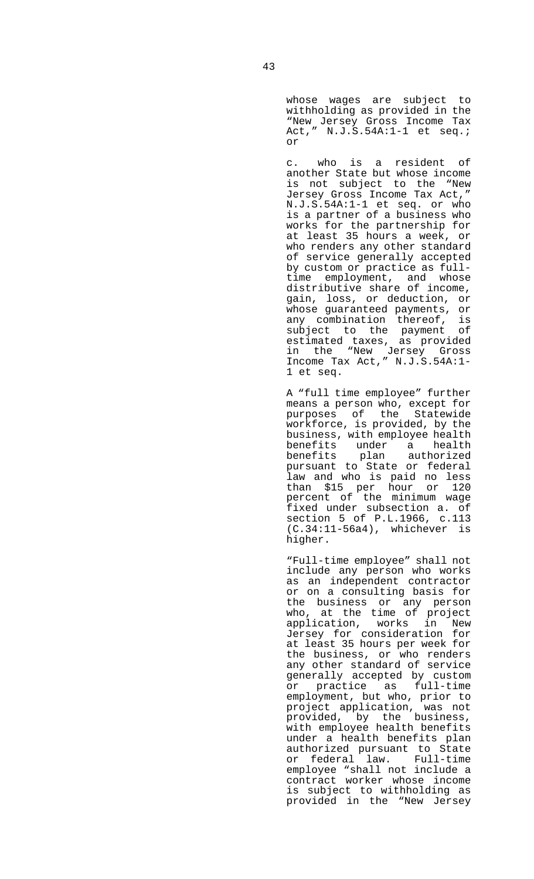whose wages are subject to withholding as provided in the "New Jersey Gross Income Tax Act," N.J.S.54A:1-1 et seq.; or

 c. who is a resident of another State but whose income is not subject to the "New Jersey Gross Income Tax Act," N.J.S.54A:1-1 et seq. or who is a partner of a business who works for the partnership for at least 35 hours a week, or who renders any other standard of service generally accepted by custom or practice as fulltime employment, and whose distributive share of income, gain, loss, or deduction, or whose guaranteed payments, or any combination thereof, is subject to the payment of estimated taxes, as provided in the "New Jersey Gross Income Tax Act," N.J.S.54A:1- 1 et seq.

 A "full time employee" further means a person who, except for purposes of the Statewide workforce, is provided, by the business, with employee health benefits under a health benefits plan authorized pursuant to State or federal law and who is paid no less than \$15 per hour or 120 percent of the minimum wage fixed under subsection a. of section 5 of P.L.1966, c.113 (C.34:11-56a4), whichever is higher.

 "Full-time employee" shall not include any person who works as an independent contractor or on a consulting basis for the business or any person who, at the time of project application, works in New Jersey for consideration for at least 35 hours per week for the business, or who renders any other standard of service generally accepted by custom or practice as full-time employment, but who, prior to project application, was not provided, by the business, with employee health benefits under a health benefits plan authorized pursuant to State or federal law. Full-time employee "shall not include a contract worker whose income is subject to withholding as provided in the "New Jersey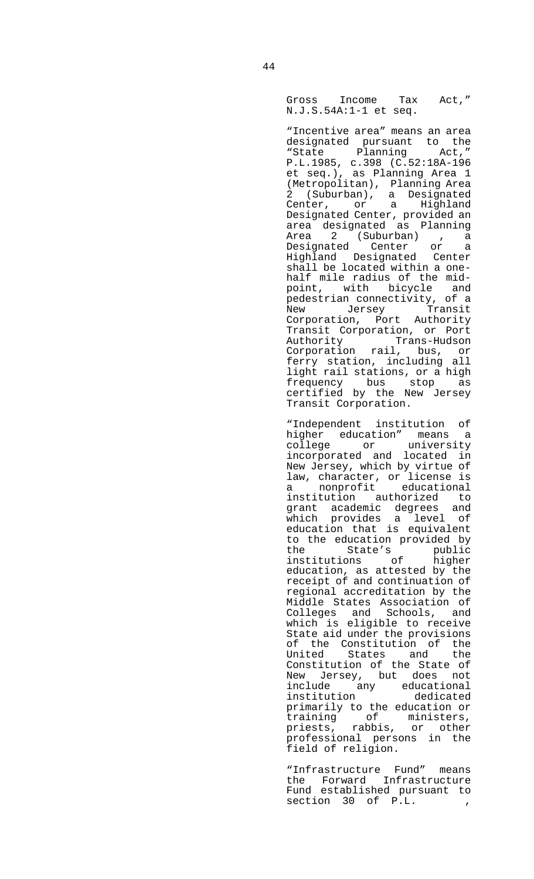Gross Income Tax Act," N.J.S.54A:1-1 et seq.

 "Incentive area" means an area designated pursuant to the<br>"State Planning Act," "State Planning P.L.1985, c.398 (C.52:18A-196 et seq.), as Planning Area 1 (Metropolitan), Planning Area 2 (Suburban), a Designated Center, or a Highland Designated Center, provided an area designated as Planning Area 2 (Suburban) , a<br>Designated Center or a Designated Center or a Highland Designated Center shall be located within a onehalf mile radius of the midpoint, with bicycle and pedestrian connectivity, of a New Jersey Transit Corporation, Port Authority Transit Corporation, or Port Authority Trans-Hudson Corporation rail, bus, or ferry station, including all light rail stations, or a high frequency bus stop as certified by the New Jersey Transit Corporation.

 "Independent institution of higher education" means a college or university incorporated and located in New Jersey, which by virtue of law, character, or license is a nonprofit educational institution authorized to grant academic degrees and which provides a level of education that is equivalent to the education provided by the State's public institutions of higher education, as attested by the receipt of and continuation of regional accreditation by the Middle States Association of Colleges and Schools, and which is eligible to receive State aid under the provisions of the Constitution of the United States and the Constitution of the State of New Jersey, but does not include any educational institution dedicated primarily to the education or training of ministers, priests, rabbis, or other professional persons in the field of religion.

 "Infrastructure Fund" means the Forward Infrastructure Fund established pursuant to  $section \quad 30 \quad of \quad P.L.$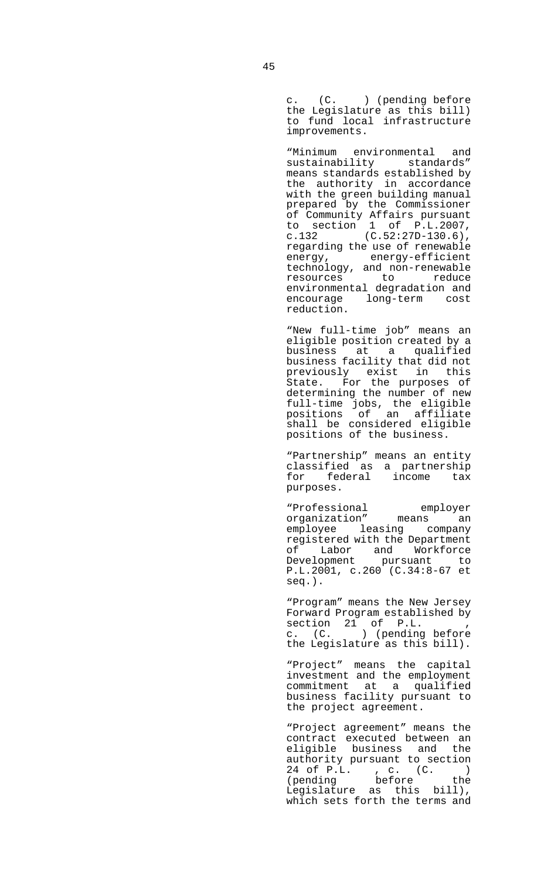c. (C. ) (pending before the Legislature as this bill) to fund local infrastructure improvements.

 "Minimum environmental and sustainability standards" means standards established by the authority in accordance with the green building manual prepared by the Commissioner of Community Affairs pursuant to section 1 of P.L.2007, c.132  $(C.52:27D-130.6)$ , regarding the use of renewable energy<sub>'</sub> energy-efficient technology, and non-renewable resources to reduce environmental degradation and encourage long-term cost reduction.

 "New full-time job" means an eligible position created by a business at a qualified business facility that did not previously exist in this State. For the purposes of determining the number of new full-time jobs, the eligible positions of an affiliate shall be considered eligible positions of the business.

 "Partnership" means an entity classified as a partnership for federal income tax purposes.

 "Professional employer organization" means an employee leasing company registered with the Department of Labor and Workforce Development pursuant to P.L.2001, c.260 (C.34:8-67 et seq.).

> "Program" means the New Jersey Forward Program established by section 21 of P.L. , c. (C. ) (pending before the Legislature as this bill).

 "Project" means the capital investment and the employment commitment at a qualified business facility pursuant to the project agreement.

 "Project agreement" means the contract executed between an eligible business and the authority pursuant to section 24 of P.L. , c. (C. ) (pending before the Legislature as this bill), which sets forth the terms and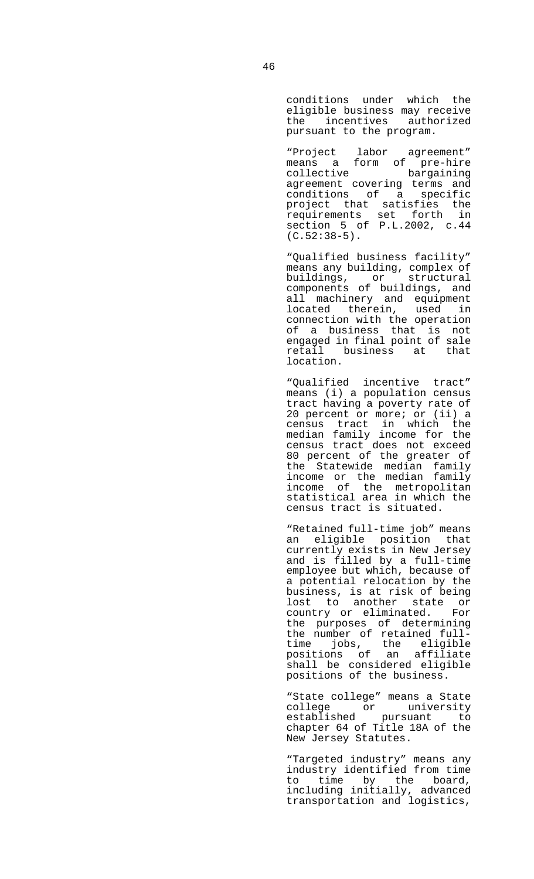conditions under which the eligible business may receive the incentives authorized pursuant to the program.

 "Project labor agreement" means a form of pre-hire collective bargaining agreement covering terms and conditions of a specific project that satisfies the requirements set forth in section 5 of P.L.2002, c.44  $(C.52:38-5)$ .

> "Qualified business facility" means any building, complex of buildings, or structural components of buildings, and all machinery and equipment located therein, used in connection with the operation of a business that is not engaged in final point of sale retail business at that location.

> "Qualified incentive tract" means (i) a population census tract having a poverty rate of 20 percent or more; or (ii) a census tract in which the median family income for the census tract does not exceed 80 percent of the greater of the Statewide median family income or the median family income of the metropolitan statistical area in which the census tract is situated.

> "Retained full-time job" means an eligible position that currently exists in New Jersey and is filled by a full-time employee but which, because of a potential relocation by the business, is at risk of being lost to another state or country or eliminated. For the purposes of determining the number of retained fulltime jobs, the eligible positions of an affiliate shall be considered eligible positions of the business.

 "State college" means a State college or university established pursuant to chapter 64 of Title 18A of the New Jersey Statutes.

> "Targeted industry" means any industry identified from time to time by the board, including initially, advanced transportation and logistics,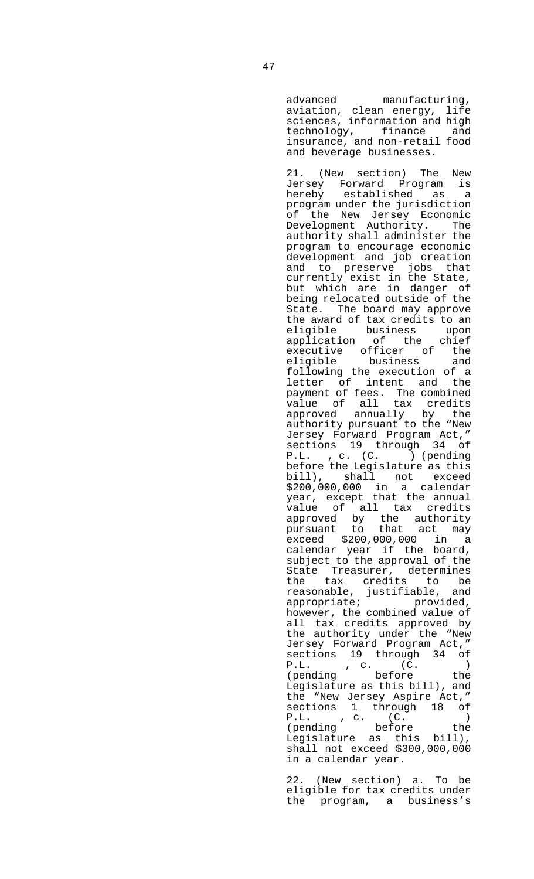advanced manufacturing, aviation, clean energy, life sciences, information and high technology, finance and insurance, and non-retail food and beverage businesses.

 21. (New section) The New Jersey Forward Program is established as a program under the jurisdiction of the New Jersey Economic Development Authority. The authority shall administer the program to encourage economic development and job creation and to preserve jobs that currently exist in the State, but which are in danger of being relocated outside of the State. The board may approve the award of tax credits to an eligible business upon<br>application of the chief application of the chief executive officer of the eligible business and following the execution of a letter of intent and the payment of fees. The combined value of all tax credits approved annually by the authority pursuant to the "New Jersey Forward Program Act," sections 19 through 34 of P.L. , c. (C. ) (pending before the Legislature as this bill), shall not exceed \$200,000,000 in a calendar year, except that the annual value of all tax credits approved by the authority pursuant to that act may exceed \$200,000,000 in a calendar year if the board, subject to the approval of the State Treasurer, determines the tax credits to be reasonable, justifiable, and appropriate; entitled, however, the combined value of all tax credits approved by the authority under the "New Jersey Forward Program Act," sections 19 through 34 of P.L. , c. (C. ) (pending before the Legislature as this bill), and the "New Jersey Aspire Act," sections 1 through 18 of P.L. , c. (C. ) (pending before the Legislature as this bill), shall not exceed \$300,000,000 in a calendar year.

 22. (New section) a. To be eligible for tax credits under the program, a business's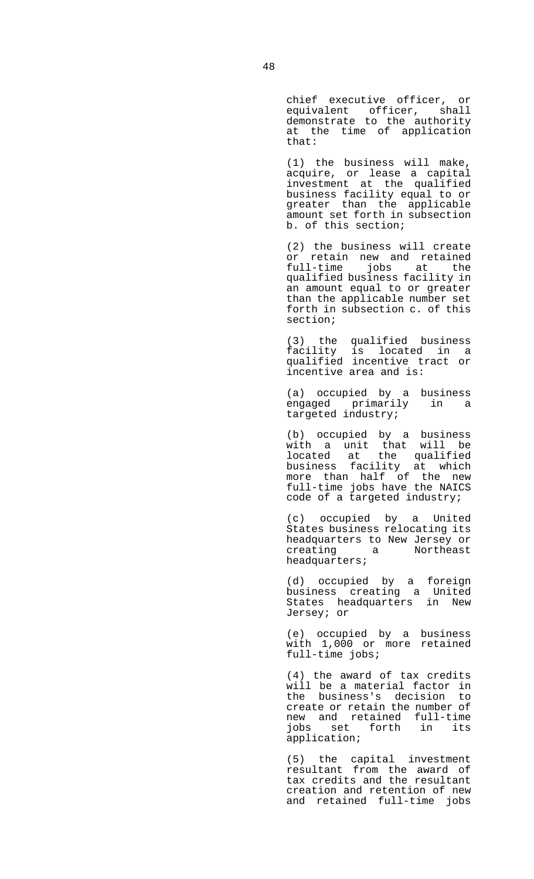chief executive officer, or equivalent officer, shall demonstrate to the authority at the time of application that:

 (1) the business will make, acquire, or lease a capital investment at the qualified business facility equal to or greater than the applicable amount set forth in subsection b. of this section;

 (2) the business will create or retain new and retained full-time jobs at the qualified business facility in an amount equal to or greater than the applicable number set forth in subsection c. of this section;

 (3) the qualified business facility is located in a qualified incentive tract or incentive area and is:

> (a) occupied by a business engaged primarily in a targeted industry;

 (b) occupied by a business with a unit that will be located at the qualified business facility at which more than half of the new full-time jobs have the NAICS code of a targeted industry;

> (c) occupied by a United States business relocating its headquarters to New Jersey or<br>creating a Rortheast creating a Northeast headquarters;

 (d) occupied by a foreign business creating a United States headquarters in New Jersey; or

 (e) occupied by a business with 1,000 or more retained full-time jobs;

> (4) the award of tax credits will be a material factor in the business's decision to create or retain the number of new and retained full-time jobs set forth in its application;

 (5) the capital investment resultant from the award of tax credits and the resultant creation and retention of new and retained full-time jobs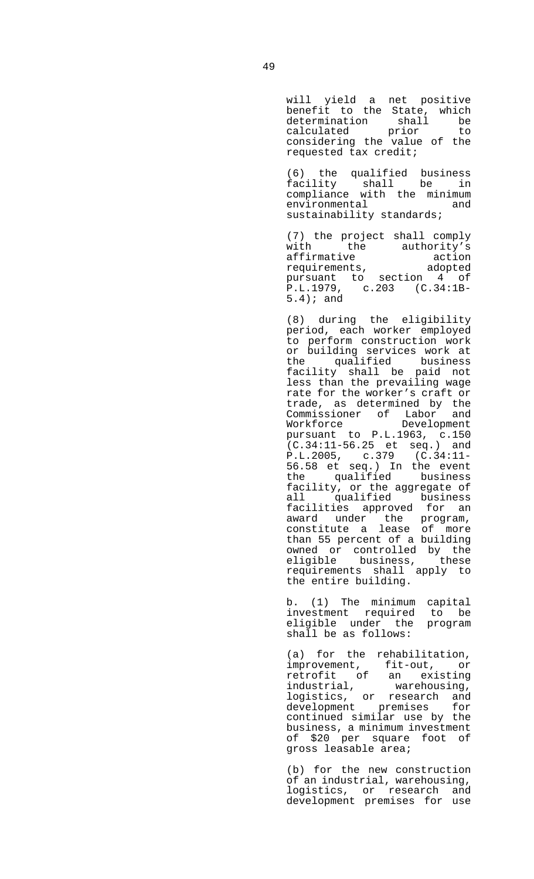will yield a net positive benefit to the State, which determination shall be extermination shall be<br>calculated prior to considering the value of the requested tax credit;

 (6) the qualified business facility shall be in compliance with the minimum environmental and sustainability standards;

> (7) the project shall comply with the authority's<br>affirmative action affirmative action requirements, adopted pursuant to section 4 of P.L.1979, c.203 (C.34:1B-5.4); and

> (8) during the eligibility period, each worker employed to perform construction work or building services work at the qualified business facility shall be paid not less than the prevailing wage rate for the worker's craft or exercians<br>trade, as determined by the<br>Commissioner of Labor and Commissioner of Labor and Workforce Development pursuant to P.L.1963, c.150  $(C.34:11-56.25$  et seq.) and P.L.2005, c.379 (C.34:11- 56.58 et seq.) In the event the qualified business facility, or the aggregate of all qualified business facilities approved for an award under the program, constitute a lease of more than 55 percent of a building owned or controlled by the eligible business, these requirements shall apply to the entire building.

 b. (1) The minimum capital investment required to be eligible under the program shall be as follows:

> (a) for the rehabilitation, improvement, fit-out, or retrofit of an existing industrial, warehousing, logistics, or research and development premises for continued similar use by the business, a minimum investment of \$20 per square foot of gross leasable area;

> (b) for the new construction of an industrial, warehousing, logistics, or research and development premises for use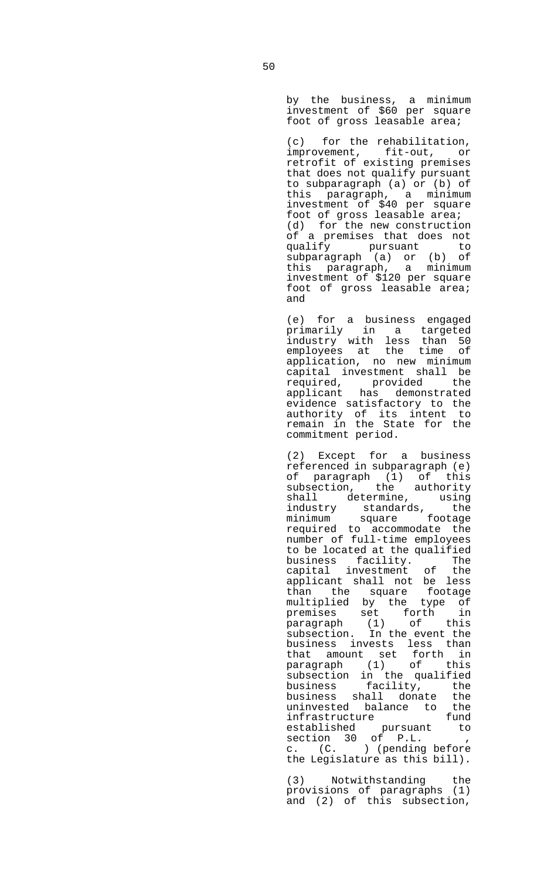by the business, a minimum investment of \$60 per square foot of gross leasable area;

 (c) for the rehabilitation, improvement, fit-out, or retrofit of existing premises that does not qualify pursuant to subparagraph (a) or (b) of this paragraph, a minimum investment of \$40 per square foot of gross leasable area; (d) for the new construction of a premises that does not qualify pursuant to subparagraph (a) or (b) of this paragraph, a minimum investment of \$120 per square foot of gross leasable area; and

 (e) for a business engaged primarily in a targeted industry with less than 50 employees at the time of application, no new minimum capital investment shall be required, provided the applicant has demonstrated evidence satisfactory to the authority of its intent to remain in the State for the commitment period.

 (2) Except for a business referenced in subparagraph (e) of paragraph (1) of this subsection, the authority shall determine, using industry standards, the minimum square footage required to accommodate the number of full-time employees to be located at the qualified business facility. The capital investment of the applicant shall not be less than the square footage multiplied by the type of premises set forth in paragraph (1) of this subsection. In the event the business invests less than that amount set forth in paragraph (1) of this subsection in the qualified business facility, the business shall donate the uninvested balance to the<br>infrastructure fund infrastructure established pursuant to section 30 of P.L. , c. (C. ) (pending before the Legislature as this bill).

 (3) Notwithstanding the provisions of paragraphs (1) and (2) of this subsection,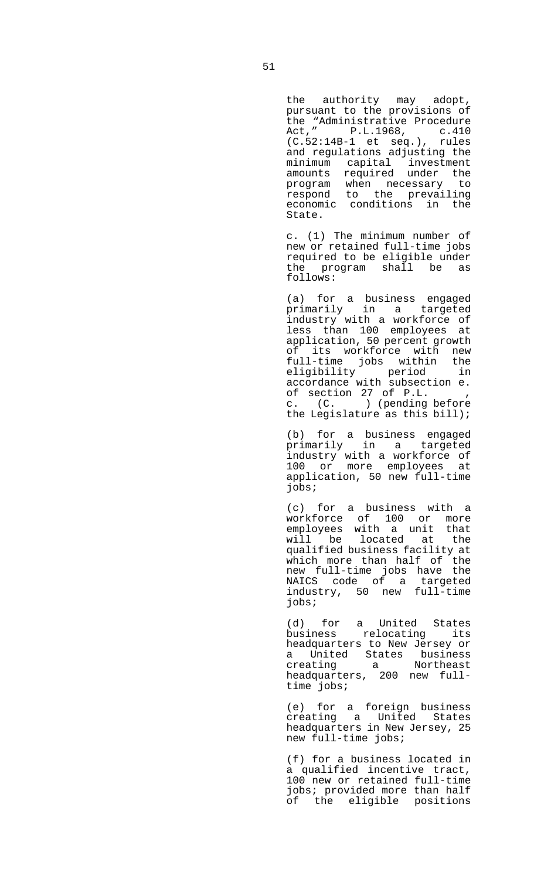the authority may adopt, pursuant to the provisions of the "Administrative Procedure Act," P.L.1968, c.410 (C.52:14B-1 et seq.), rules and regulations adjusting the minimum capital investment amounts required under the program when necessary to respond to the prevailing economic conditions in the State.

 c. (1) The minimum number of new or retained full-time jobs required to be eligible under the program shall be as follows:

 (a) for a business engaged primarily in a targeted industry with a workforce of less than 100 employees at application, 50 percent growth of its workforce with new full-time jobs within the eligibility period in accordance with subsection e. of section 27 of P.L. , c. (C. ) (pending before the Legislature as this bill);

> (b) for a business engaged primarily in a targeted industry with a workforce of 100 or more employees at application, 50 new full-time jobs;

> (c) for a business with a workforce of 100 or more employees with a unit that<br>will be located at the will be located at qualified business facility at which more than half of the new full-time jobs have the NAICS code of a targeted industry, 50 new full-time jobs;

 (d) for a United States business relocating its headquarters to New Jersey or a United States business creating a Northeast headquarters, 200 new fulltime jobs;

 (e) for a foreign business creating a United States headquarters in New Jersey, 25 new full-time jobs;

> (f) for a business located in a qualified incentive tract, 100 new or retained full-time jobs; provided more than half of the eligible positions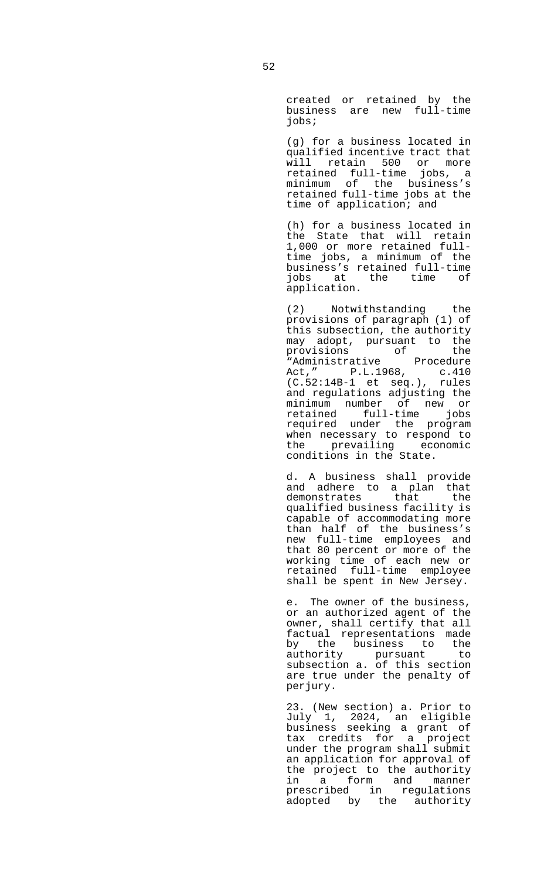created or retained by the business are new full-time jobs;

 (g) for a business located in qualified incentive tract that will retain 500 or more retained full-time jobs, a minimum of the business's retained full-time jobs at the time of application; and

 (h) for a business located in the State that will retain 1,000 or more retained fulltime jobs, a minimum of the business's retained full-time jobs at the time of application.

 (2) Notwithstanding the provisions of paragraph (1) of this subsection, the authority may adopt, pursuant to the provisions of the "Administrative Procedure Act," P.L.1968, c.410 (C.52:14B-1 et seq.), rules and regulations adjusting the minimum number of new or retained full-time jobs required under the program when necessary to respond to<br>the prevailing economic the prevailing conditions in the State.

 d. A business shall provide and adhere to a plan that demonstrates that the qualified business facility is capable of accommodating more than half of the business's new full-time employees and that 80 percent or more of the working time of each new or retained full-time employee shall be spent in New Jersey.

 e. The owner of the business, or an authorized agent of the owner, shall certify that all factual representations made by the business to the authority pursuant to subsection a. of this section are true under the penalty of perjury.

 23. (New section) a. Prior to July 1, 2024, an eligible business seeking a grant of tax credits for a project under the program shall submit an application for approval of the project to the authority in a form and manner prescribed in regulations adopted by the authority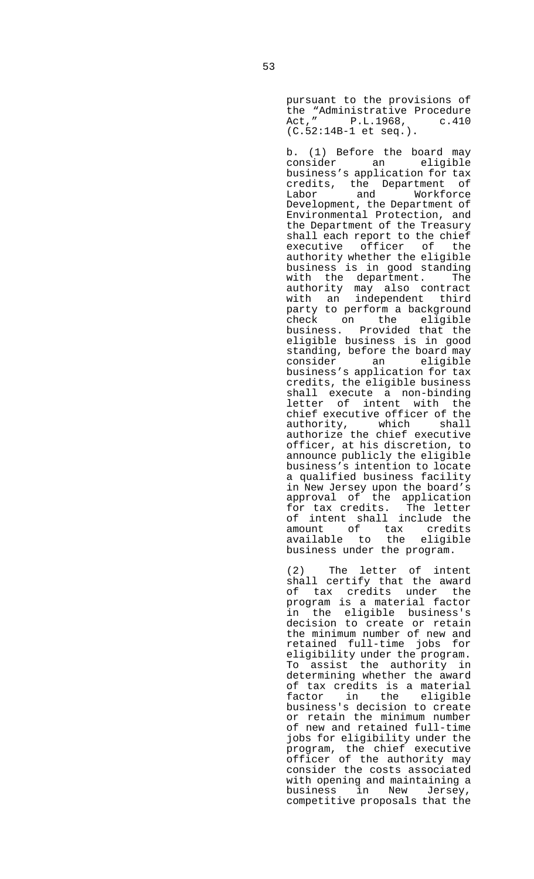pursuant to the provisions of the "Administrative Procedure Act," P.L.1968, c.410 (C.52:14B-1 et seq.).

 b. (1) Before the board may consider an eligible business's application for tax credits, the Department of Labor and Workforce Development, the Department of Environmental Protection, and the Department of the Treasury shall each report to the chief executive officer of the authority whether the eligible business is in good standing with the department. The authority may also contract with an independent third party to perform a background check on the eligible business. Provided that the eligible business is in good standing, before the board may consider an eligible business's application for tax credits, the eligible business shall execute a non-binding letter of intent with the chief executive officer of the authority, which shall authorize the chief executive officer, at his discretion, to announce publicly the eligible business's intention to locate a qualified business facility in New Jersey upon the board's approval of the application for tax credits. The letter of intent shall include the amount of tax credits available to the eligible business under the program.

 (2) The letter of intent shall certify that the award of tax credits under the program is a material factor in the eligible business's decision to create or retain the minimum number of new and retained full-time jobs for eligibility under the program. To assist the authority in determining whether the award of tax credits is a material<br>factor in the eligible factor in the business's decision to create or retain the minimum number of new and retained full-time jobs for eligibility under the program, the chief executive officer of the authority may consider the costs associated with opening and maintaining a business in New Jersey, competitive proposals that the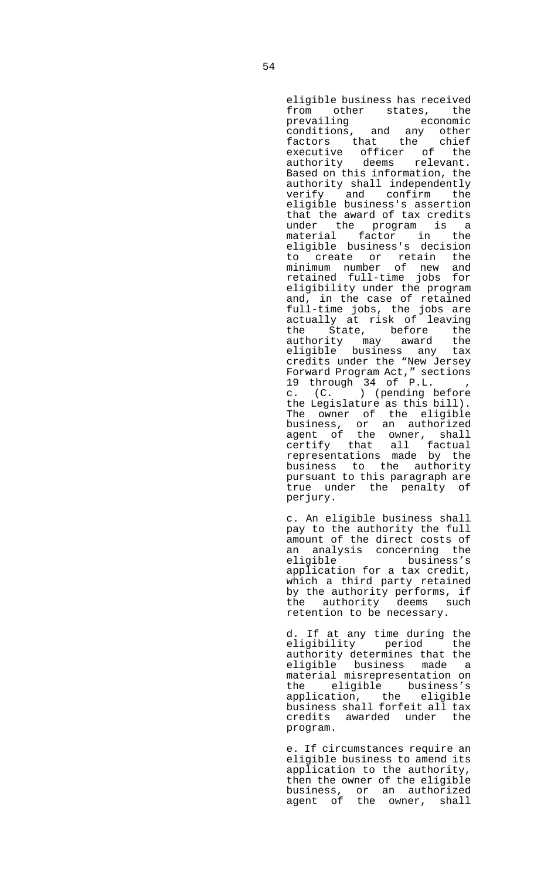eligible business has received from other states, the prevailing economic conditions, and any other factors that the chief executive officer of the authority deems relevant. Based on this information, the authority shall independently verify and confirm the eligible business's assertion that the award of tax credits under the program is a material factor in the eligible business's decision to create or retain the minimum number of new and retained full-time jobs for eligibility under the program and, in the case of retained full-time jobs, the jobs are actually at risk of leaving the State, before the<br>authority may award the<br>eligible business any tax authority may award the eligible business any tax credits under the "New Jersey Forward Program Act," sections 19 through 34 of P.L. c. (C. ) (pending before the Legislature as this bill). The owner of the eligible business, or an authorized agent of the owner, shall certify that all factual representations made by the business to the authority pursuant to this paragraph are true under the penalty of perjury.

 c. An eligible business shall pay to the authority the full amount of the direct costs of an analysis concerning the eligible business's application for a tax credit, which a third party retained by the authority performs, if the authority deems such retention to be necessary.

 d. If at any time during the eligibility period the authority determines that the eligible business made a material misrepresentation on the eligible business's application, the eligible business shall forfeit all tax credits awarded under the program.

 e. If circumstances require an eligible business to amend its application to the authority, then the owner of the eligible business, or an authorized agent of the owner, shall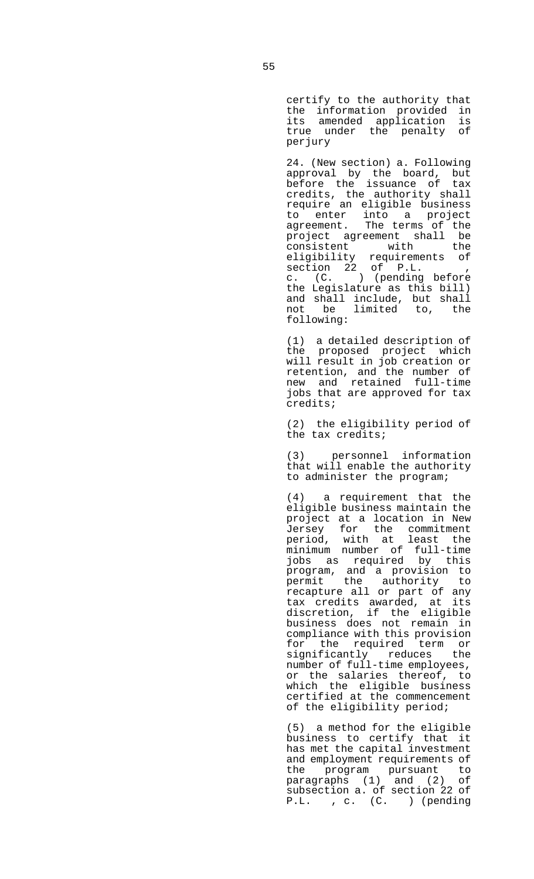certify to the authority that the information provided in its amended application is true under the penalty of perjury

 24. (New section) a. Following approval by the board, but before the issuance of tax credits, the authority shall require an eligible business to enter into a project agreement. The terms of the project agreement shall be consistent with the<br>eligibility requirements of eligibility requirements of section 22 of P.L. , c. (C. ) (pending before the Legislature as this bill) and shall include, but shall not be limited to, the following:

 (1) a detailed description of the proposed project which will result in job creation or retention, and the number of new and retained full-time jobs that are approved for tax credits;

> (2) the eligibility period of the tax credits;

> (3) personnel information that will enable the authority to administer the program;

 (4) a requirement that the eligible business maintain the project at a location in New Jersey for the commitment period, with at least the minimum number of full-time jobs as required by this program, and a provision to permit the authority to recapture all or part of any tax credits awarded, at its discretion, if the eligible business does not remain in compliance with this provision for the required term or significantly reduces the number of full-time employees, or the salaries thereof, to which the eligible business certified at the commencement of the eligibility period;

 (5) a method for the eligible business to certify that it has met the capital investment and employment requirements of the program pursuant to paragraphs (1) and (2) of subsection a. of section 22 of P.L. , c. (C. ) (pending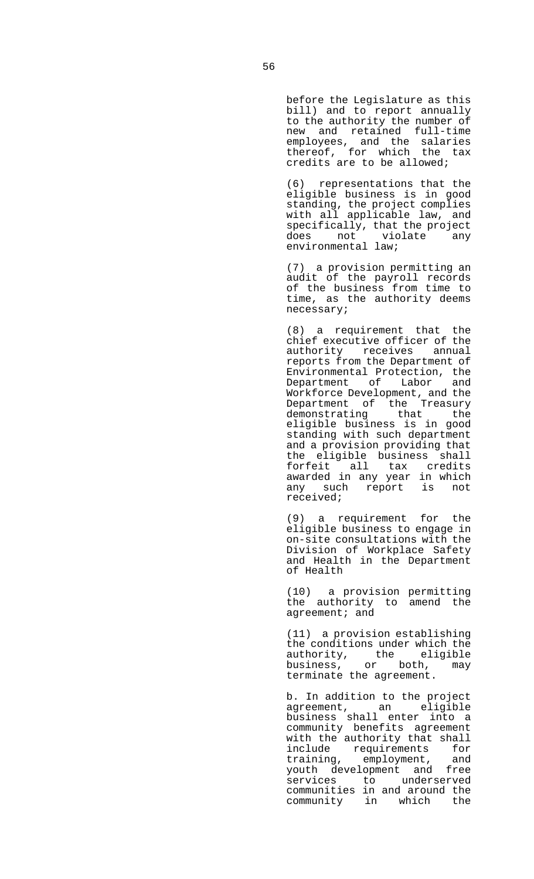before the Legislature as this bill) and to report annually to the authority the number of new and retained full-time employees, and the salaries thereof, for which the tax credits are to be allowed;

 (6) representations that the eligible business is in good standing, the project complies with all applicable law, and specifically, that the project does not violate any environmental law;

 (7) a provision permitting an audit of the payroll records of the business from time to time, as the authority deems necessary;

 (8) a requirement that the chief executive officer of the authority receives annual reports from the Department of Environmental Protection, the Department of Labor and Workforce Development, and the Department of the Treasury demonstrating that the eligible business is in good standing with such department and a provision providing that the eligible business shall forfeit all tax credits awarded in any year in which any such report is not received;

 (9) a requirement for the eligible business to engage in on-site consultations with the Division of Workplace Safety and Health in the Department of Health

 (10) a provision permitting the authority to amend the agreement; and

 (11) a provision establishing the conditions under which the authority, the eligible business, or both, may terminate the agreement.

 b. In addition to the project agreement, an eligible business shall enter into a community benefits agreement with the authority that shall include requirements for training, employment, and youth development and free services to underserved communities in and around the community in which the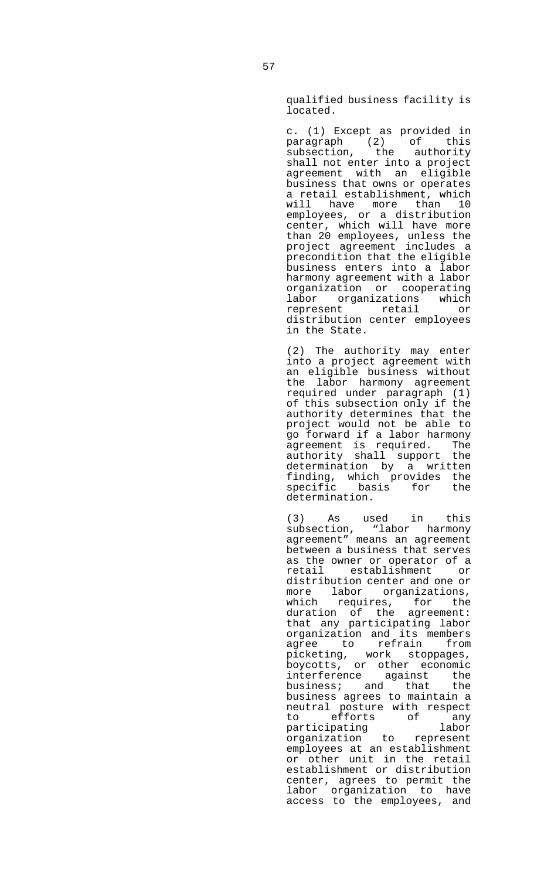qualified business facility is located.

 c. (1) Except as provided in paragraph (2) of this subsection, the authority shall not enter into a project agreement with an eligible business that owns or operates a retail establishment, which will have more than 10 employees, or a distribution center, which will have more than 20 employees, unless the project agreement includes a precondition that the eligible business enters into a labor harmony agreement with a labor organization or cooperating labor organizations which represent retail or distribution center employees in the State.

 (2) The authority may enter into a project agreement with an eligible business without the labor harmony agreement required under paragraph (1) of this subsection only if the authority determines that the project would not be able to go forward if a labor harmony<br>agreement is required. The<br>authority shall support the agreement is required. The authority shall support the determination by a written finding, which provides the<br>specific basis for the basis for the determination.

 (3) As used in this subsection, "labor harmony agreement" means an agreement between a business that serves as the owner or operator of a retail establishment or distribution center and one or more labor organizations, which requires, for the duration of the agreement: that any participating labor organization and its members agree to refrain from picketing, work stoppages, boycotts, or other economic interference against the<br>business; and that the  $b$ usiness; and that business agrees to maintain a neutral posture with respect to efforts of any<br>participating labor participating organization to represent employees at an establishment or other unit in the retail establishment or distribution center, agrees to permit the labor organization to have access to the employees, and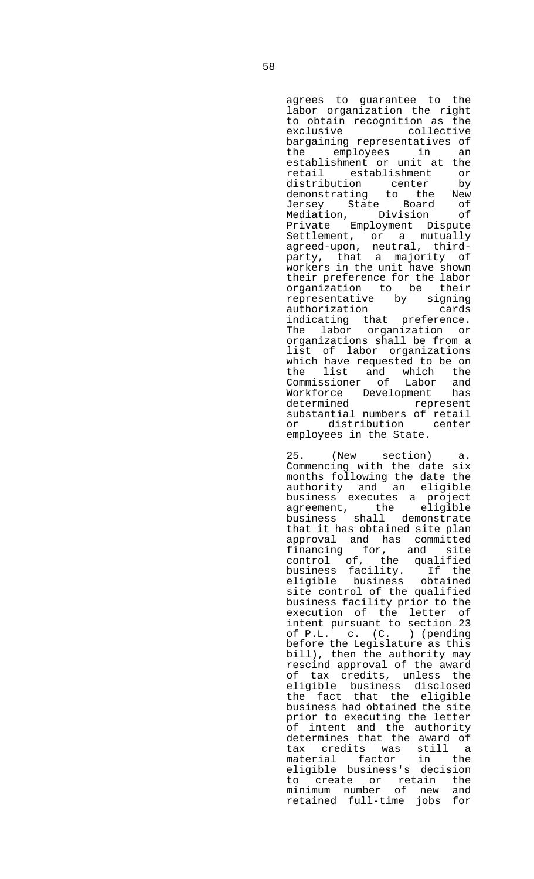agrees to guarantee to the labor organization the right to obtain recognition as the exclusive collective bargaining representatives of<br>the employees in an the employees in establishment or unit at the retail establishment or distribution center by demonstrating to the New Jersey State Board of Mediation, Division of Private Employment Dispute Settlement, or a mutually agreed-upon, neutral, thirdparty, that a majority of workers in the unit have shown their preference for the labor organization to be their representative by signing authorization cards indicating that preference. The labor organization or organizations shall be from a list of labor organizations which have requested to be on the list and which the Commissioner of Labor and Workforce Development has determined represent substantial numbers of retail or distribution center employees in the State.

 25. (New section) a. Commencing with the date six months following the date the authority and an eligible business executes a project agreement, the eligible business shall demonstrate that it has obtained site plan approval and has committed financing for, and site control of, the qualified business facility. If the eligible business obtained site control of the qualified business facility prior to the execution of the letter of intent pursuant to section 23 of P.L. c. (C. ) (pending before the Legislature as this bill), then the authority may rescind approval of the award of tax credits, unless the eligible business disclosed the fact that the eligible business had obtained the site prior to executing the letter of intent and the authority determines that the award of tax credits was still a material factor in the eligible business's decision to create or retain the minimum number of new and retained full-time jobs for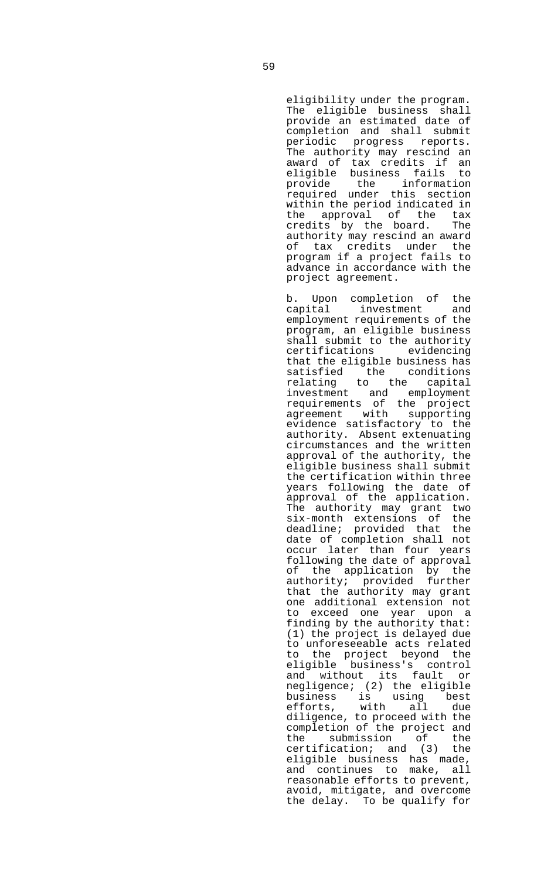eligibility under the program. The eligible business shall provide an estimated date of completion and shall submit periodic progress reports. The authority may rescind an award of tax credits if an eligible business fails to provide the information required under this section within the period indicated in the approval of the tax<br>credits by the board. The credits by the board. authority may rescind an award of tax credits under the program if a project fails to advance in accordance with the project agreement.

 b. Upon completion of the capital investment and employment requirements of the program, an eligible business shall submit to the authority<br>certifications evidencing certifications that the eligible business has satisfied the conditions relating to the capital investment and employment requirements of the project agreement with supporting evidence satisfactory to the authority. Absent extenuating circumstances and the written approval of the authority, the eligible business shall submit the certification within three years following the date of approval of the application. The authority may grant two six-month extensions of the deadline; provided that the date of completion shall not occur later than four years following the date of approval of the application by the authority; provided further that the authority may grant one additional extension not to exceed one year upon a finding by the authority that: (1) the project is delayed due to unforeseeable acts related to the project beyond the eligible business's control and without its fault or negligence; (2) the eligible business is using best efforts, with all due diligence, to proceed with the completion of the project and<br>the submission of the<br>certification; and (3) the the submission of the certification; and (3) the eligible business has made, and continues to make, all reasonable efforts to prevent, avoid, mitigate, and overcome the delay. To be qualify for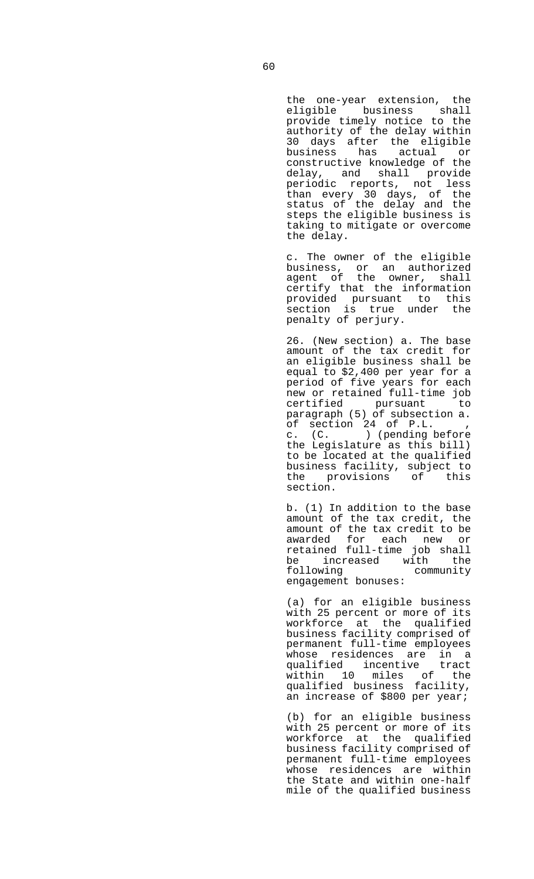the one-year extension, the eligible business shall provide timely notice to the authority of the delay within 30 days after the eligible business has actual or constructive knowledge of the delay, and shall provide periodic reports, not less than every 30 days, of the status of the delay and the steps the eligible business is taking to mitigate or overcome the delay.

 c. The owner of the eligible business, or an authorized agent of the owner, shall certify that the information provided pursuant to this section is true under the penalty of perjury.

> 26. (New section) a. The base amount of the tax credit for an eligible business shall be equal to \$2,400 per year for a period of five years for each new or retained full-time job certified pursuant to paragraph (5) of subsection a. of section 24 of P.L. c. (C. ) (pending before the Legislature as this bill) to be located at the qualified business facility, subject to the provisions of this section.

> b. (1) In addition to the base amount of the tax credit, the amount of the tax credit to be awarded for each new or retained full-time job shall be increased with the following community engagement bonuses:

> (a) for an eligible business with 25 percent or more of its workforce at the qualified business facility comprised of permanent full-time employees whose residences are in a qualified incentive tract within 10 miles of the qualified business facility, an increase of \$800 per year;

 (b) for an eligible business with 25 percent or more of its workforce at the qualified business facility comprised of permanent full-time employees whose residences are within the State and within one-half mile of the qualified business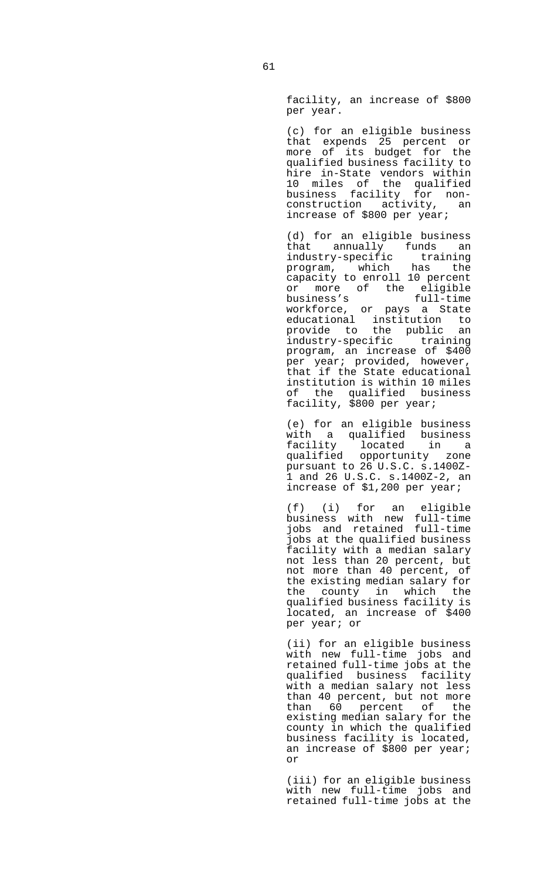facility, an increase of \$800 per year.

 (c) for an eligible business that expends 25 percent or<br>more of its budget for the of its budget for the qualified business facility to hire in-State vendors within 10 miles of the qualified business facility for nonconstruction activity, an increase of \$800 per year;

 (d) for an eligible business that annually funds an industry-specific training program, which has the capacity to enroll 10 percent or more of the eligible business's full-time workforce, or pays a State educational institution to provide to the public an industry-specific training program, an increase of \$400 per year; provided, however, that if the State educational institution is within 10 miles of the qualified business facility, \$800 per year;

 (e) for an eligible business with a qualified business<br>facility located in a example:<br>qualified ones:<br>pursure qualified opportunity zone pursuant to 26 U.S.C. s.1400Z-1 and 26 U.S.C. s.1400Z-2, an increase of \$1,200 per year;

 (f) (i) for an eligible business with new full-time jobs and retained full-time jobs at the qualified business facility with a median salary not less than 20 percent, but not more than 40 percent, of the existing median salary for the county in which the qualified business facility is located, an increase of \$400 per year; or

 (ii) for an eligible business with new full-time jobs and retained full-time jobs at the qualified business facility with a median salary not less than 40 percent, but not more than  $60$  percent of the existing median salary for the county in which the qualified business facility is located, an increase of \$800 per year; or

> (iii) for an eligible business with new full-time jobs and retained full-time jobs at the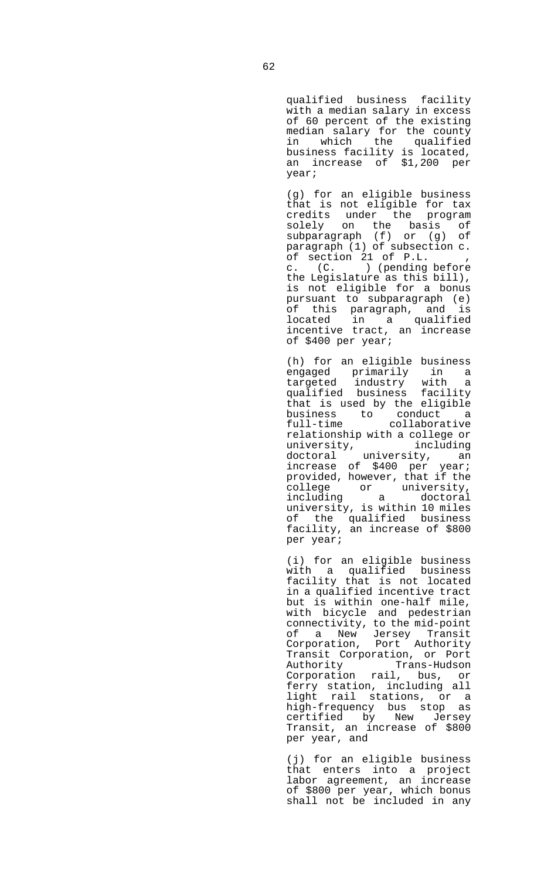qualified business facility with a median salary in excess of 60 percent of the existing median salary for the county in which the qualified business facility is located, an increase of \$1,200 per year;

 (g) for an eligible business that is not eligible for tax credits under the program solely on the basis of subparagraph (f) or (g) of paragraph (1) of subsection c. of section 21 of P.L. , c. (C. ) (pending before the Legislature as this bill), is not eligible for a bonus pursuant to subparagraph (e) of this paragraph, and is located in a qualified incentive tract, an increase of \$400 per year;

 (h) for an eligible business engaged primarily in a targeted industry with a qualified business facility that is used by the eligible business to conduct a full-time collaborative relationship with a college or<br>university, including university, doctoral university, an increase of \$400 per year; provided, however, that if the college or university, including a doctoral university, is within 10 miles of the qualified business facility, an increase of \$800 per year;

> (i) for an eligible business with a qualified business facility that is not located in a qualified incentive tract but is within one-half mile, with bicycle and pedestrian connectivity, to the mid-point of a New Jersey Transit Corporation, Port Authority Transit Corporation, or Port Authority Trans-Hudson Corporation rail, bus, or ferry station, including all light rail stations, or a high-frequency bus stop as certified by New Jersey Transit, an increase of \$800 per year, and

> (j) for an eligible business that enters into a project labor agreement, an increase of \$800 per year, which bonus shall not be included in any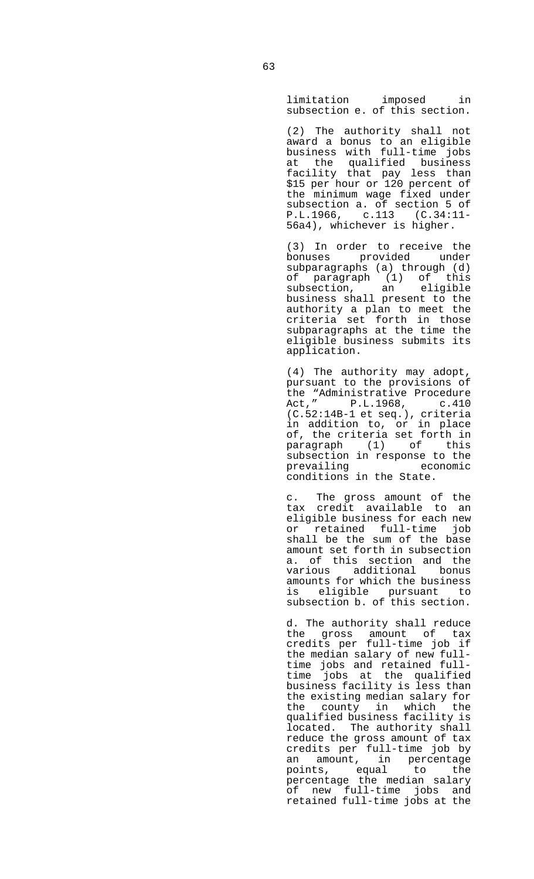limitation imposed in subsection e. of this section.

 (2) The authority shall not award a bonus to an eligible business with full-time jobs at the qualified business facility that pay less than \$15 per hour or 120 percent of the minimum wage fixed under subsection a. of section 5 of P.L.1966, c.113 (C.34:11- 56a4), whichever is higher.

 (3) In order to receive the bonuses provided under subparagraphs (a) through (d) of paragraph (1) of this subsection, an eligible business shall present to the authority a plan to meet the criteria set forth in those subparagraphs at the time the eligible business submits its application.

 (4) The authority may adopt, pursuant to the provisions of the "Administrative Procedure Act," P.L.1968, c.410 (C.52:14B-1 et seq.), criteria in addition to, or in place of, the criteria set forth in paragraph (1) of this subsection in response to the<br>prevailing economic prevailing conditions in the State.

 c. The gross amount of the tax credit available to an eligible business for each new or retained full-time job shall be the sum of the base amount set forth in subsection a. of this section and the various additional bonus amounts for which the business is eligible pursuant to subsection b. of this section.

> d. The authority shall reduce the gross amount of tax credits per full-time job if the median salary of new fulltime jobs and retained fulltime jobs at the qualified business facility is less than the existing median salary for the county in which the qualified business facility is located. The authority shall reduce the gross amount of tax credits per full-time job by an amount, in percentage points, equal to the percentage the median salary of new full-time jobs and retained full-time jobs at the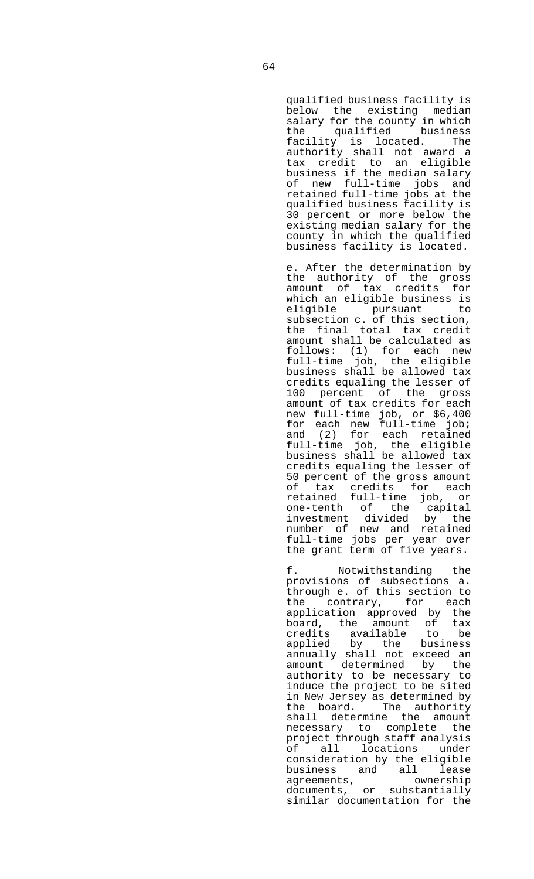qualified business facility is below the existing median salary for the county in which the qualified business facility is located. The authority shall not award a tax credit to an eligible business if the median salary of new full-time jobs and retained full-time jobs at the qualified business facility is 30 percent or more below the existing median salary for the county in which the qualified business facility is located.

 e. After the determination by the authority of the gross amount of tax credits for which an eligible business is eligible pursuant to subsection c. of this section, the final total tax credit amount shall be calculated as follows: (1) for each new full-time job, the eligible business shall be allowed tax credits equaling the lesser of 100 percent of the gross amount of tax credits for each new full-time job, or \$6,400 for each new full-time job; and (2) for each retained full-time job, the eligible business shall be allowed tax credits equaling the lesser of 50 percent of the gross amount of tax credits for each retained full-time job, or one-tenth of the capital investment divided by the number of new and retained full-time jobs per year over the grant term of five years.

 f. Notwithstanding the provisions of subsections a. through e. of this section to the contrary, for each application approved by the board, the amount of tax credits available to be applied by the business annually shall not exceed an amount determined by the authority to be necessary to induce the project to be sited in New Jersey as determined by the board. The authority shall determine the amount necessary to complete the project through staff analysis of all locations under consideration by the eligible business and all lease agreements, ownership documents, or substantially similar documentation for the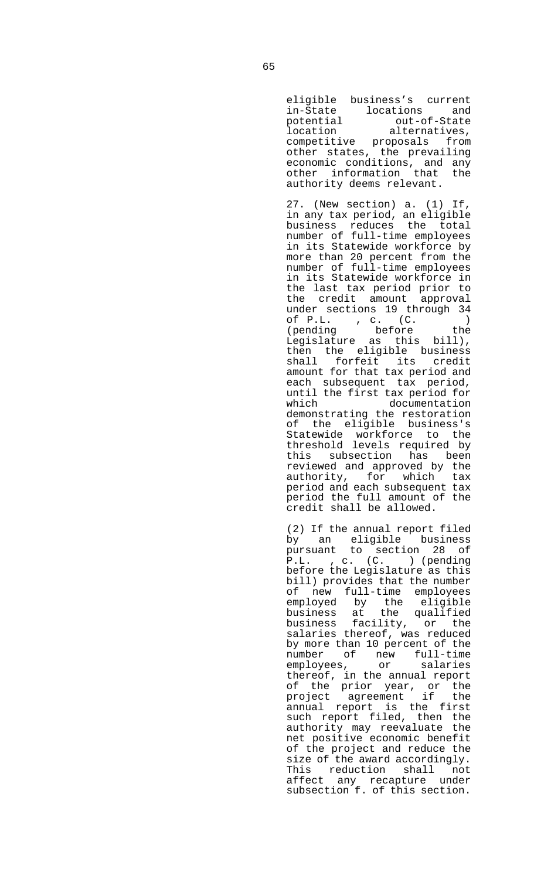eligible business's current in-State locations and potential out-of-State location alternatives, competitive proposals from other states, the prevailing economic conditions, and any other information that the authority deems relevant.

 27. (New section) a. (1) If, in any tax period, an eligible business reduces the total number of full-time employees in its Statewide workforce by more than 20 percent from the number of full-time employees in its Statewide workforce in the last tax period prior to the credit amount approval under sections 19 through 34 of P.L. , c. (C. ) (pending before the Legislature as this bill), then the eligible business shall forfeit its credit amount for that tax period and each subsequent tax period, until the first tax period for documentation demonstrating the restoration of the eligible business's Statewide workforce to the threshold levels required by this subsection has been reviewed and approved by the authority, for which tax period and each subsequent tax period the full amount of the credit shall be allowed.

> (2) If the annual report filed by an eligible business<br>pursuant to section 28 of to section 28 of P.L. , c. (C. ) (pending before the Legislature as this bill) provides that the number of new full-time employees employed by the eligible business at the qualified business facility, or the salaries thereof, was reduced by more than 10 percent of the number of new full-time employees, or salaries thereof, in the annual report of the prior year, or the project agreement if the annual report is the first such report filed, then the authority may reevaluate the net positive economic benefit of the project and reduce the size of the award accordingly. This reduction shall not affect any recapture under subsection f. of this section.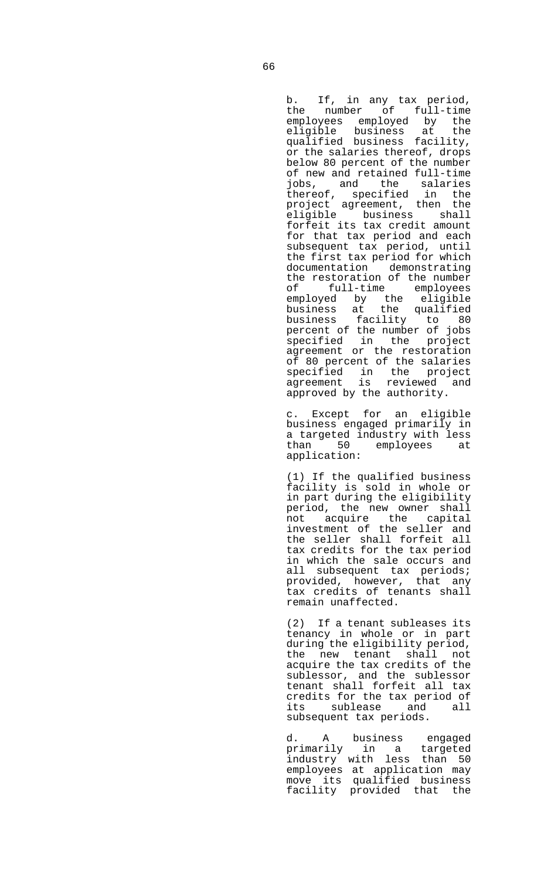b. If, in any tax period, the number of full-time employees employed by the eligible business at the qualified business facility, or the salaries thereof, drops below 80 percent of the number of new and retained full-time jobs, and the salaries thereof, specified in the project agreement, then the eligible business shall forfeit its tax credit amount for that tax period and each subsequent tax period, until the first tax period for which documentation demonstrating the restoration of the number of full-time employees employed by the eligible business at the qualified business facility to 80 percent of the number of jobs specified in the project agreement or the restoration of 80 percent of the salaries specified in the project agreement is reviewed and approved by the authority.

> c. Except for an eligible business engaged primarily in a targeted industry with less<br>than 50 employees at employees at application:

> (1) If the qualified business facility is sold in whole or in part during the eligibility period, the new owner shall not acquire the capital investment of the seller and the seller shall forfeit all tax credits for the tax period in which the sale occurs and all subsequent tax periods; provided, however, that any tax credits of tenants shall remain unaffected.

> (2) If a tenant subleases its tenancy in whole or in part during the eligibility period, the new tenant shall not acquire the tax credits of the sublessor, and the sublessor tenant shall forfeit all tax credits for the tax period of its sublease and all subsequent tax periods.

 d. A business engaged primarily in a targeted industry with less than 50 employees at application may move its qualified business facility provided that the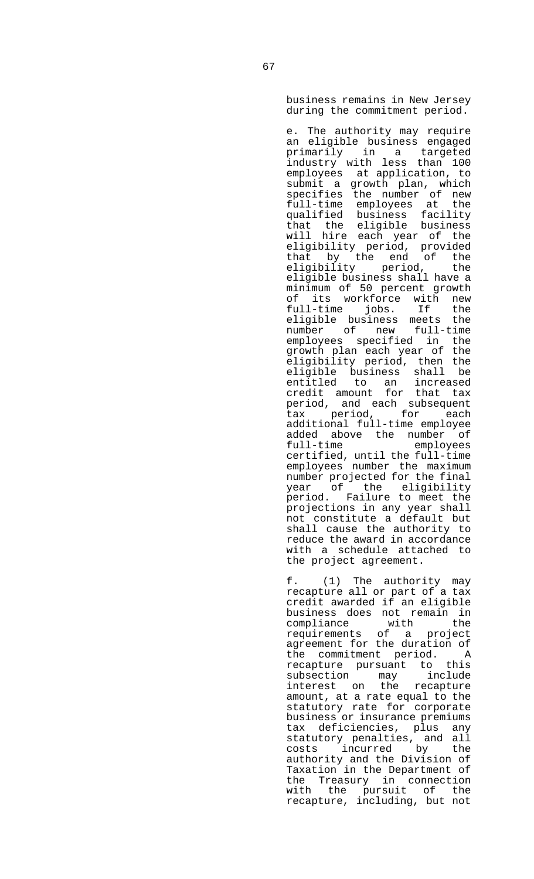business remains in New Jersey during the commitment period.

 e. The authority may require an eligible business engaged primarily in a targeted industry with less than 100 employees at application, to submit a growth plan, which specifies the number of new full-time employees at the qualified business facility that the eligible business will hire each year of the eligibility period, provided<br>that by the end of the that by the end eligibility period, the eligible business shall have a minimum of 50 percent growth of its workforce with new<br>full-time jobs. If the full-time jobs. If the eligible business meets the number of new full-time employees specified in the growth plan each year of the eligibility period, then the eligible business shall be entitled to an increased credit amount for that tax period, and each subsequent tax period, for each additional full-time employee added above the number of<br>full-time employees employees certified, until the full-time employees number the maximum number projected for the final year of the eligibility period. Failure to meet the projections in any year shall not constitute a default but shall cause the authority to reduce the award in accordance with a schedule attached to the project agreement.

 f. (1) The authority may recapture all or part of a tax credit awarded if an eligible business does not remain in<br>compliance with the with the requirements of a project agreement for the duration of the commitment period. A recapture pursuant to this subsection may include interest on the recapture amount, at a rate equal to the statutory rate for corporate business or insurance premiums tax deficiencies, plus any statutory penalties, and all costs incurred by the authority and the Division of Taxation in the Department of the Treasury in connection with the pursuit of the recapture, including, but not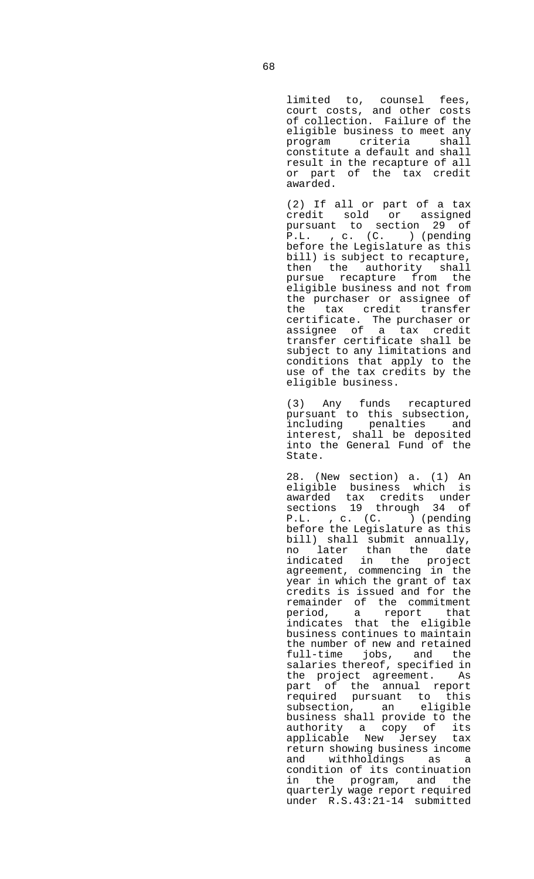limited to, counsel fees, court costs, and other costs of collection. Failure of the eligible business to meet any program criteria shall constitute a default and shall result in the recapture of all or part of the tax credit awarded.

 (2) If all or part of a tax credit sold or assigned pursuant to section 29 of P.L. , c. (C. ) (pending before the Legislature as this bill) is subject to recapture, then the authority shall pursue recapture from the eligible business and not from the purchaser or assignee of the tax credit transfer certificate. The purchaser or assignee of a tax credit transfer certificate shall be subject to any limitations and conditions that apply to the use of the tax credits by the eligible business.

 (3) Any funds recaptured pursuant to this subsection, including penalties and interest, shall be deposited into the General Fund of the State.

 28. (New section) a. (1) An eligible business which is awarded tax credits under sections 19 through 34 of P.L. , c. (C. ) (pending before the Legislature as this bill) shall submit annually, no later than the date indicated in the project agreement, commencing in the year in which the grant of tax credits is issued and for the remainder of the commitment period, a report that indicates that the eligible business continues to maintain the number of new and retained full-time jobs, and the salaries thereof, specified in the project agreement. As part of the annual report required pursuant to this subsection, an eligible business shall provide to the authority a copy of its applicable New Jersey tax return showing business income and withholdings as a condition of its continuation in the program, and the quarterly wage report required under R.S.43:21-14 submitted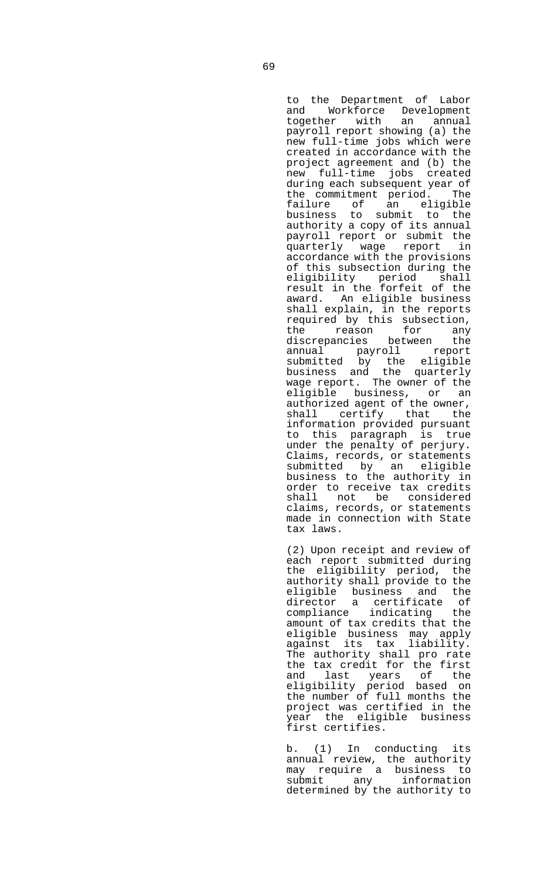to the Department of Labor and Workforce Development together with an annual payroll report showing (a) the new full-time jobs which were created in accordance with the project agreement and (b) the new full-time jobs created during each subsequent year of the commitment period. The failure of an eligible business to submit to the authority a copy of its annual payroll report or submit the quarterly wage report accordance with the provisions of this subsection during the eligibility period shall result in the forfeit of the award. An eligible business shall explain, in the reports required by this subsection, the reason for any discrepancies between the annual payroll report submitted by the eligible business and the quarterly wage report. The owner of the eligible business, or an authorized agent of the owner, shall certify that the information provided pursuant to this paragraph is true under the penalty of perjury. Claims, records, or statements submitted by an eligible business to the authority in order to receive tax credits shall not be considered claims, records, or statements made in connection with State tax laws.

 (2) Upon receipt and review of each report submitted during the eligibility period, the authority shall provide to the eligible business and the director a certificate of compliance indicating the amount of tax credits that the eligible business may apply against its tax liability. The authority shall pro rate the tax credit for the first and last years of the eligibility period based on the number of full months the project was certified in the year the eligible business first certifies.

 b. (1) In conducting its annual review, the authority may require a business to submit any information determined by the authority to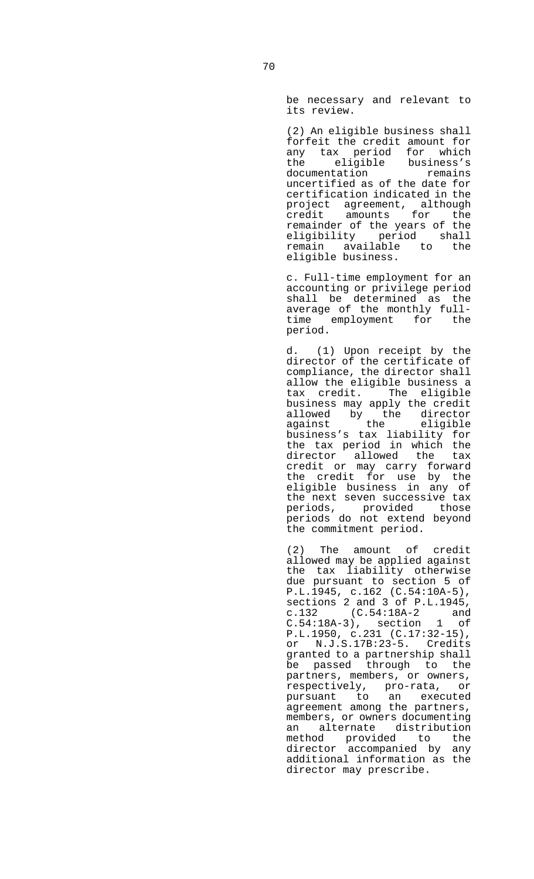be necessary and relevant to its review.

 (2) An eligible business shall forfeit the credit amount for any tax period for which the eligible business's documentation remains uncertified as of the date for certification indicated in the project agreement, although credit amounts for the remainder of the years of the eligibility period shall remain available to the eligible business.

 c. Full-time employment for an accounting or privilege period shall be determined as the average of the monthly fulltime employment for the period.

 d. (1) Upon receipt by the director of the certificate of compliance, the director shall allow the eligible business a tax credit. The eligible business may apply the credit allowed by the director against the eligible business's tax liability for the tax period in which the director allowed the tax credit or may carry forward the credit for use by the eligible business in any of the next seven successive tax periods, provided those periods do not extend beyond the commitment period.

> (2) The amount of credit allowed may be applied against the tax liability otherwise due pursuant to section 5 of P.L.1945, c.162 (C.54:10A-5), sections 2 and 3 of P.L.1945, c.132 (C.54:18A-2 and C.54:18A-3), section 1 of P.L.1950, c.231 (C.17:32-15), or N.J.S.17B:23-5. Credits granted to a partnership shall be passed through to the partners, members, or owners, respectively, pro-rata, or pursuant to an executed agreement among the partners, members, or owners documenting an alternate distribution<br>method provided to the method provided to the director accompanied by any additional information as the director may prescribe.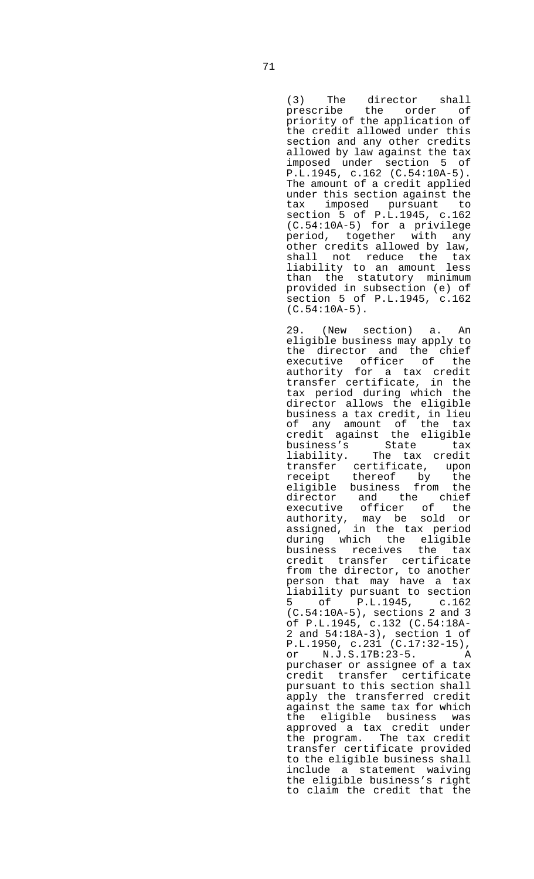(3) The director shall prescribe the order of priority of the application of the credit allowed under this section and any other credits allowed by law against the tax imposed under section 5 of P.L.1945, c.162 (C.54:10A-5). The amount of a credit applied under this section against the tax imposed pursuant to section 5 of P.L.1945, c.162 (C.54:10A-5) for a privilege period, together with any other credits allowed by law, shall not reduce the tax liability to an amount less than the statutory minimum provided in subsection (e) of section 5 of P.L.1945, c.162 (C.54:10A-5).

> 29. (New section) a. An eligible business may apply to the director and the chief executive officer of the authority for a tax credit transfer certificate, in the tax period during which the director allows the eligible business a tax credit, in lieu of any amount of the tax credit against the eligible business's State tax liability. The tax credit transfer certificate, upon receipt thereof by the eligible business from the director and the chief executive officer of the authority, may be sold or assigned, in the tax period during which the eligible business receives the tax credit transfer certificate from the director, to another person that may have a tax liability pursuant to section<br>5 of P.L.1945, c.162 5 of P.L.1945, c.162 (C.54:10A-5), sections 2 and 3 of P.L.1945, c.132 (C.54:18A-2 and 54:18A-3), section 1 of P.L.1950, c.231 (C.17:32-15), or N.J.S.17B:23-5. A purchaser or assignee of a tax credit transfer certificate pursuant to this section shall apply the transferred credit against the same tax for which the eligible business was approved a tax credit under the program. The tax credit transfer certificate provided to the eligible business shall include a statement waiving the eligible business's right to claim the credit that the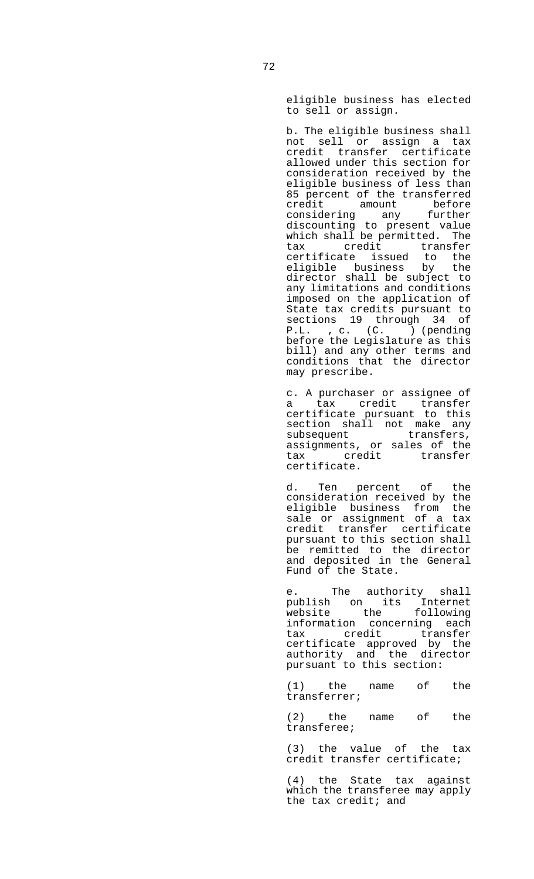eligible business has elected to sell or assign.

 b. The eligible business shall not sell or assign a tax credit transfer certificate allowed under this section for consideration received by the eligible business of less than 85 percent of the transferred credit amount before considering any further discounting to present value which shall be permitted. The tax credit transfer certificate issued to the eligible business by the director shall be subject to any limitations and conditions imposed on the application of State tax credits pursuant to sections 19 through 34 of P.L. , c. (C. ) (pending before the Legislature as this bill) and any other terms and conditions that the director may prescribe.

 c. A purchaser or assignee of a tax credit transfer certificate pursuant to this section shall not make any subsequent transfers, assignments, or sales of the tax credit transfer certificate.

 d. Ten percent of the consideration received by the eligible business from the sale or assignment of a tax credit transfer certificate pursuant to this section shall be remitted to the director and deposited in the General Fund of the State.

e. The authority shall publish on its Internet website the following information concerning each tax credit transfer certificate approved by the authority and the director pursuant to this section:

> (1) the name of the transferrer;

> (2) the name of the transferee;

> (3) the value of the tax credit transfer certificate;

> (4) the State tax against which the transferee may apply the tax credit; and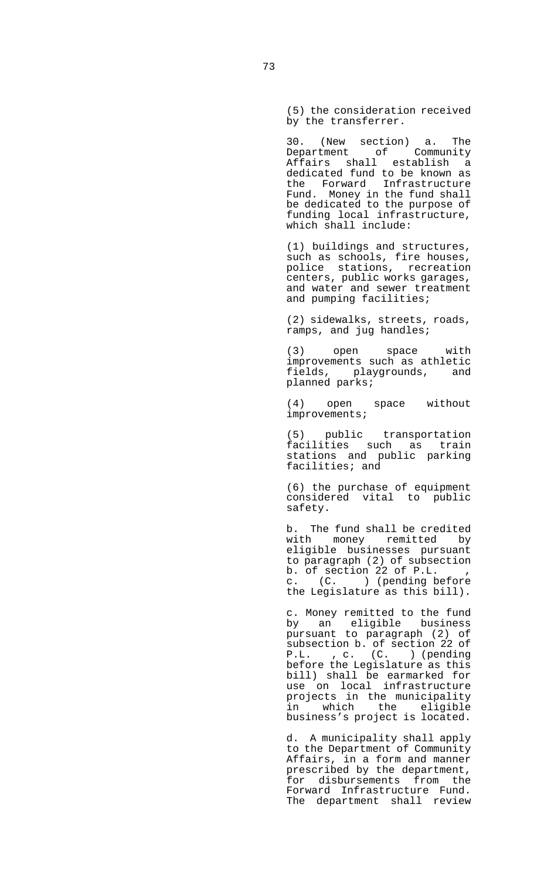(5) the consideration received by the transferrer.

 30. (New section) a. The Department of Community Affairs shall establish a dedicated fund to be known as the Forward Infrastructure Fund. Money in the fund shall be dedicated to the purpose of funding local infrastructure, which shall include:

> (1) buildings and structures, such as schools, fire houses, police stations, recreation centers, public works garages, and water and sewer treatment and pumping facilities;

 (2) sidewalks, streets, roads, ramps, and jug handles;

 (3) open space with improvements such as athletic fields, playgrounds, and planned parks;

 (4) open space without improvements;

> (5) public transportation facilities such as train stations and public parking facilities; and

> (6) the purchase of equipment considered vital to public safety.

> b. The fund shall be credited with money remitted by eligible businesses pursuant to paragraph (2) of subsection b. of section 22 of  $P.L.$ <br>c.  $(C. )$  (pending  $b$ c. (C. ) (pending before the Legislature as this bill).

 c. Money remitted to the fund by an eligible business pursuant to paragraph (2) of subsection b. of section 22 of P.L. , c. (C. ) (pending before the Legislature as this bill) shall be earmarked for use on local infrastructure projects in the municipality in which the eligible business's project is located.

 d. A municipality shall apply to the Department of Community Affairs, in a form and manner prescribed by the department, for disbursements from the Forward Infrastructure Fund. The department shall review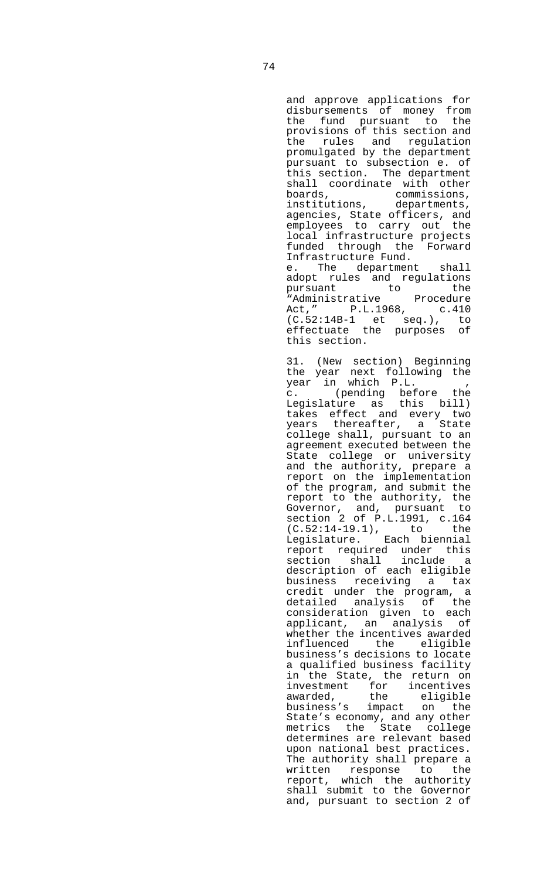and approve applications for disbursements of money from the fund pursuant to the provisions of this section and the rules and regulation promulgated by the department pursuant to subsection e. of this section. The department shall coordinate with other boards, commissions, institutions, departments, agencies, State officers, and employees to carry out the local infrastructure projects funded through the Forward Infrastructure Fund. e. The department shall adopt rules and regulations pursuant to the "Administrative Procedure Act," P.L.1968, c.410 (C.52:14B-1 et seq.), to effectuate the purposes of this section.

 31. (New section) Beginning the year next following the year in which P.L. , c. (pending before the Legislature as this bill) takes effect and every two years thereafter, a State college shall, pursuant to an agreement executed between the State college or university and the authority, prepare a report on the implementation of the program, and submit the report to the authority, the Governor, and, pursuant to section 2 of P.L.1991, c.164 (C.52:14-19.1), to the Legislature. Each biennial report required under this section shall include a description of each eligible business receiving a tax credit under the program, a detailed analysis of the consideration given to each applicant, an analysis of whether the incentives awarded influenced the eligible business's decisions to locate a qualified business facility in the State, the return on investment for incentives awarded, the eligible business's impact on the State's economy, and any other metrics the State college determines are relevant based upon national best practices. The authority shall prepare a written response to the report, which the authority shall submit to the Governor and, pursuant to section 2 of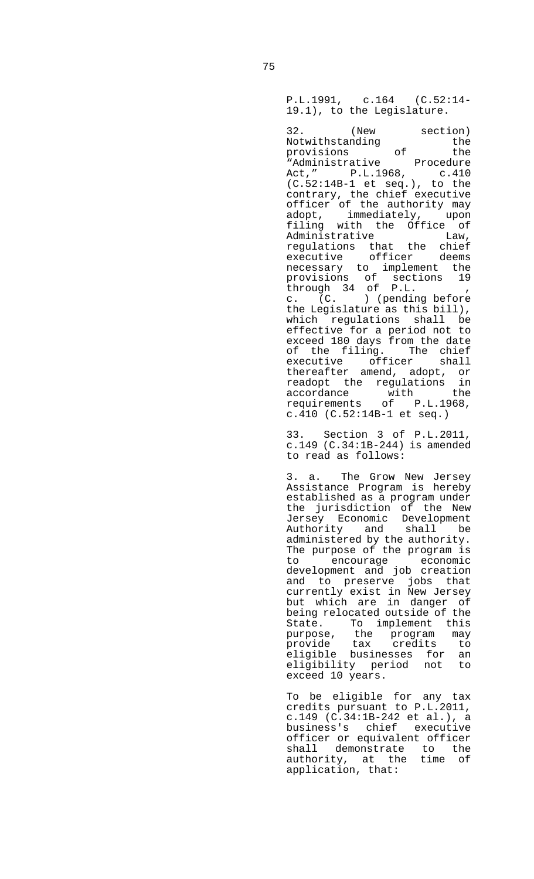P.L.1991, c.164 (C.52:14- 19.1), to the Legislature.

32. (New section)<br>Notwithstanding the Notwithstanding the provisions of the "Administrative Procedure Act," P.L.1968, c.410 (C.52:14B-1 et seq.), to the contrary, the chief executive officer of the authority may adopt, immediately, upon filing with the Office of<br>Administrative Law, Administrative regulations that the chief<br>executive officer deems executive officer deems necessary to implement the provisions of sections 19 through 34 of P.L. , c. (C. ) (pending before the Legislature as this bill), which regulations shall be effective for a period not to exceed 180 days from the date of the filing. The chief executive officer shall executive officer shall<br>thereafter amend, adopt, or readopt the regulations in<br>accordance with the accordance with the requirements of P.L.1968, c.410 (C.52:14B-1 et seq.)

 33. Section 3 of P.L.2011, c.149 (C.34:1B-244) is amended to read as follows:

> 3. a. The Grow New Jersey Assistance Program is hereby established as a program under the jurisdiction of the New Jersey Economic Development Authority and shall be administered by the authority. The purpose of the program is to encourage economic development and job creation and to preserve jobs that currently exist in New Jersey but which are in danger of being relocated outside of the State. To implement this purpose, the program may provide tax credits to eligible businesses for an eligibility period not to exceed 10 years.

 To be eligible for any tax credits pursuant to P.L.2011, c.149 (C.34:1B-242 et al.), a business's chief executive officer or equivalent officer shall demonstrate to the authority, at the time of application, that: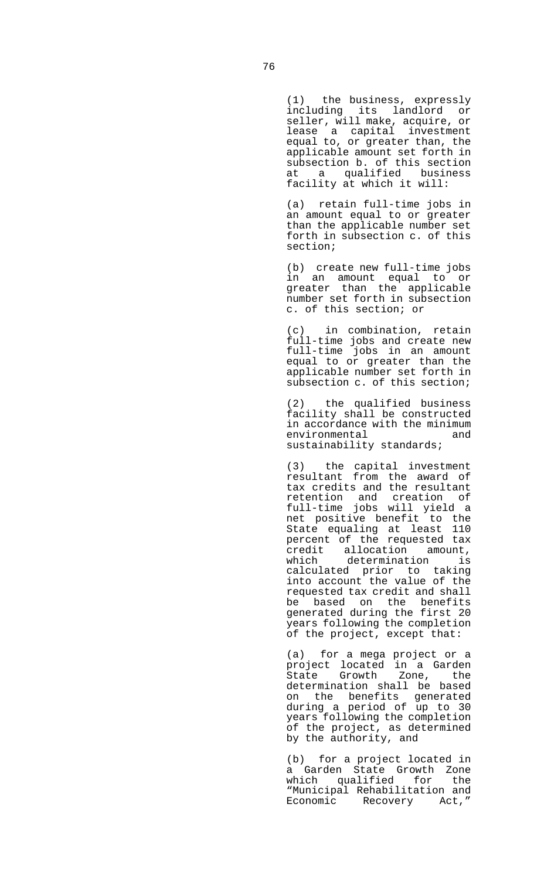(1) the business, expressly including its landlord or seller, will make, acquire, or lease a capital investment equal to, or greater than, the applicable amount set forth in subsection b. of this section at a qualified business facility at which it will:

 (a) retain full-time jobs in an amount equal to or greater than the applicable number set forth in subsection c. of this section;

> (b) create new full-time jobs in an amount equal to or greater than the applicable number set forth in subsection c. of this section; or

> (c) in combination, retain full-time jobs and create new full-time jobs in an amount equal to or greater than the applicable number set forth in subsection c. of this section;

> (2) the qualified business facility shall be constructed in accordance with the minimum environmental and sustainability standards;

 (3) the capital investment resultant from the award of tax credits and the resultant retention and creation of full-time jobs will yield a net positive benefit to the State equaling at least 110 percent of the requested tax credit allocation amount, which determination is calculated prior to taking into account the value of the requested tax credit and shall be based on the benefits generated during the first 20 years following the completion of the project, except that:

> (a) for a mega project or a project located in a Garden State Growth Zone, the determination shall be based on the benefits generated during a period of up to 30 years following the completion of the project, as determined by the authority, and

 (b) for a project located in a Garden State Growth Zone which qualified for the "Municipal Rehabilitation and Economic Recovery Act,"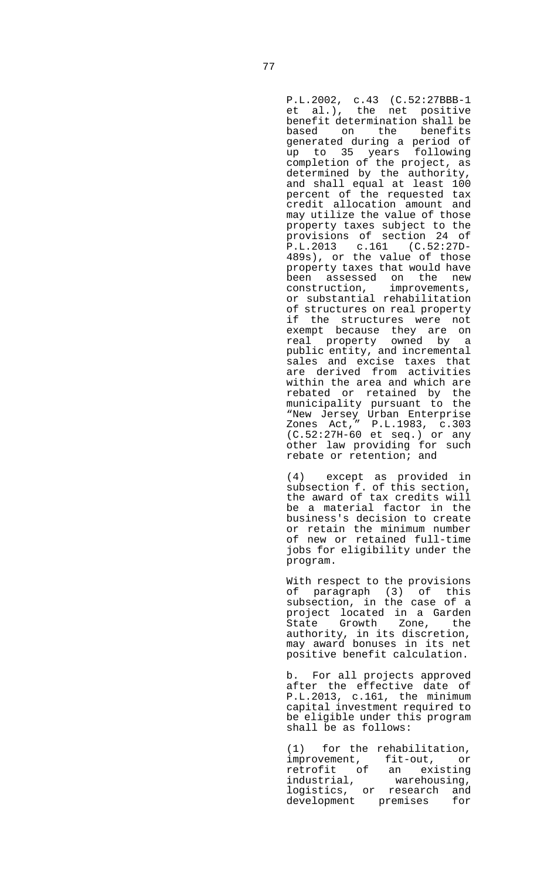P.L.2002, c.43 (C.52:27BBB-1 et al.), the net positive benefit determination shall be based on the benefits generated during a period of up to 35 years following completion of the project, as determined by the authority, and shall equal at least 100 percent of the requested tax credit allocation amount and may utilize the value of those property taxes subject to the provisions of section 24 of P.L.2013 c.161 (C.52:27D-489s), or the value of those property taxes that would have been assessed on the new<br>construction, improvements, construction, or substantial rehabilitation of structures on real property if the structures were not exempt because they are on real property owned by a public entity, and incremental sales and excise taxes that are derived from activities within the area and which are rebated or retained by the municipality pursuant to the "New Jersey Urban Enterprise Zones Act," P.L.1983, c.303 (C.52:27H-60 et seq.) or any other law providing for such rebate or retention; and

 (4) except as provided in subsection f. of this section, the award of tax credits will be a material factor in the business's decision to create or retain the minimum number of new or retained full-time jobs for eligibility under the program.

 With respect to the provisions of paragraph (3) of this subsection, in the case of a project located in a Garden<br>State Growth Zone, the State Growth Zone, the authority, in its discretion, may award bonuses in its net positive benefit calculation.

b. For all projects approved after the effective date of P.L.2013, c.161, the minimum capital investment required to be eligible under this program shall be as follows:

(1) for the rehabilitation,<br>improvement, fit-out, or fit-out, or retrofit of an existing industrial, warehousing, logistics, or research and development premises for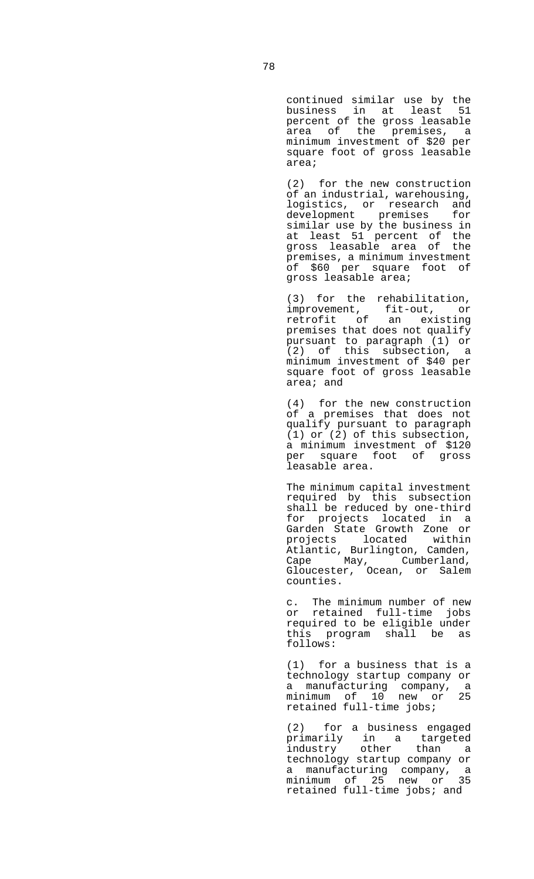continued similar use by the business in at least 51 percent of the gross leasable area of the premises, a minimum investment of \$20 per square foot of gross leasable area;

 (2) for the new construction of an industrial, warehousing, logistics, or research and development premises for similar use by the business in at least 51 percent of the gross leasable area of the premises, a minimum investment of \$60 per square foot of gross leasable area;

 (3) for the rehabilitation, improvement, fit-out, or retrofit of an existing premises that does not qualify pursuant to paragraph (1) or (2) of this subsection, a minimum investment of \$40 per square foot of gross leasable area; and

 (4) for the new construction of a premises that does not qualify pursuant to paragraph (1) or (2) of this subsection, a minimum investment of \$120 per square foot of gross leasable area.

 The minimum capital investment required by this subsection shall be reduced by one-third for projects located in a Garden State Growth Zone or projects located within Atlantic, Burlington, Camden, cape May, Cumberland, Gloucester, Ocean, or Salem counties.

 c. The minimum number of new or retained full-time jobs required to be eligible under this program shall be as follows:

 (1) for a business that is a technology startup company or a manufacturing company, a minimum of 10 new or 25 retained full-time jobs;

 (2) for a business engaged primarily in a targeted industry other than a technology startup company or a manufacturing company, a minimum of 25 new or 35 retained full-time jobs; and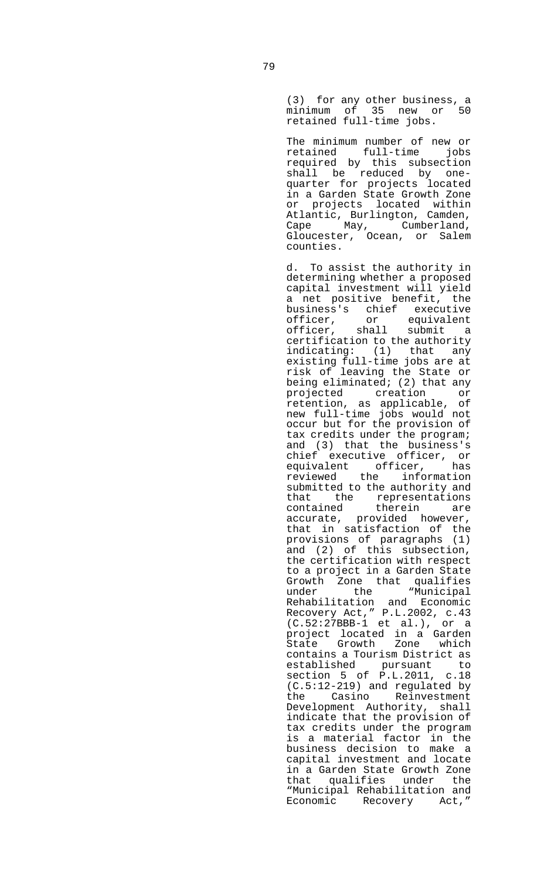(3) for any other business, a minimum of 35 new or 50 retained full-time jobs.

> The minimum number of new or retained full-time jobs required by this subsection shall be reduced by onequarter for projects located in a Garden State Growth Zone or projects located within Atlantic, Burlington, Camden, Cape May, Cumberland, Gloucester, Ocean, or Salem counties.

> d. To assist the authority in determining whether a proposed capital investment will yield a net positive benefit, the business's chief executive officer, or equivalent officer, shall submit a certification to the authority indicating: (1) that any existing full-time jobs are at risk of leaving the State or being eliminated; (2) that any projected creation or retention, as applicable, of new full-time jobs would not occur but for the provision of tax credits under the program; and (3) that the business's chief executive officer, or<br>equivalent officer, has equivalent officer, reviewed the information submitted to the authority and that the representations contained therein are accurate, provided however, that in satisfaction of the provisions of paragraphs (1) and (2) of this subsection, the certification with respect to a project in a Garden State Growth Zone that qualifies<br>under the "Municipal under the "Municipal Rehabilitation and Economic Recovery Act," P.L.2002, c.43  $(C.52:27BBB-1$  et al.), or a project located in a Garden State Growth Zone which contains a Tourism District as established pursuant to section 5 of P.L.2011, c.18 (C.5:12-219) and regulated by the Casino Reinvestment Development Authority, shall indicate that the provision of tax credits under the program is a material factor in the business decision to make a capital investment and locate in a Garden State Growth Zone that qualifies under the "Municipal Rehabilitation and Economic Recovery Act,"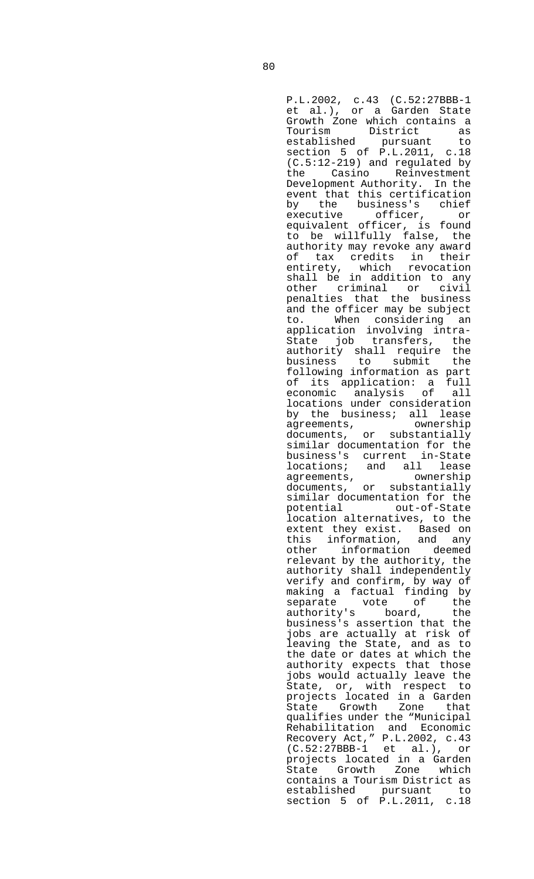P.L.2002, c.43 (C.52:27BBB-1 et al.), or a Garden State Growth Zone which contains a<br>Tourism District as Tourism District established pursuant to section 5 of P.L.2011, c.18 (C.5:12-219) and regulated by the Casino Reinvestment Development Authority. In the event that this certification by the business's chief executive officer, or equivalent officer, is found to be willfully false, the authority may revoke any award<br>of tax credits in their of tax credits in their entirety, which revocation shall be in addition to any other criminal or civil penalties that the business and the officer may be subject<br>to. When considering an When considering an application involving intra-State job transfers, the authority shall require the<br>business to submit the to submit the following information as part of its application: a full economic analysis of all locations under consideration by the business; all lease<br>agreements, ownership agreements, documents, or substantially similar documentation for the business's current in-State locations; and all lease<br>agreements, ownership agreements, ownership documents, or substantially similar documentation for the potential out-of-State location alternatives, to the extent they exist. Based on this information, and any other information deemed relevant by the authority, the authority shall independently verify and confirm, by way of making a factual finding by<br>separate vote of the<br>authority's board, the separate vote of the authority's board, the business's assertion that the jobs are actually at risk of leaving the State, and as to the date or dates at which the authority expects that those jobs would actually leave the State, or, with respect to projects located in a Garden State Growth Zone that qualifies under the "Municipal Rehabilitation and Economic Recovery Act," P.L.2002, c.43 (C.52:27BBB-1 et al.), or projects located in a Garden State Growth Zone which contains a Tourism District as established pursuant to section 5 of P.L.2011, c.18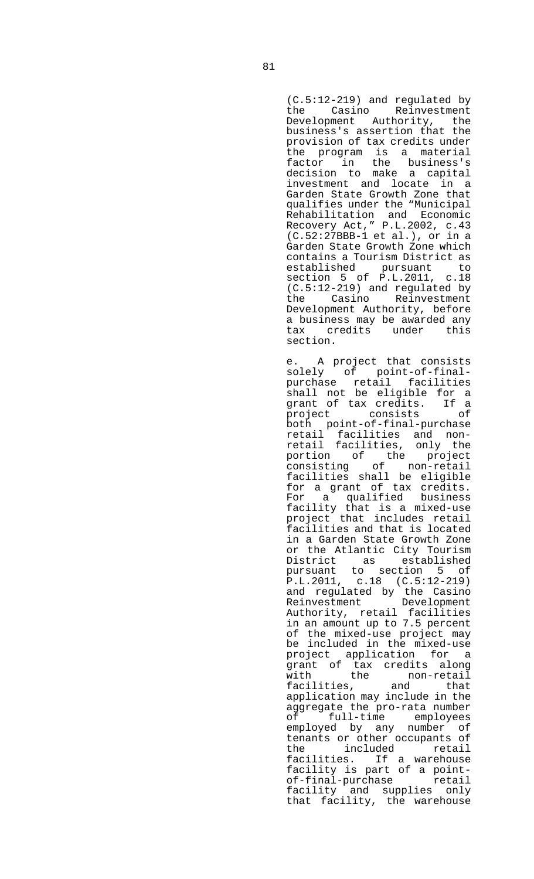(C.5:12-219) and regulated by the Casino Reinvestment Development Authority, the business's assertion that the provision of tax credits under the program is a material factor in the business's decision to make a capital investment and locate in a Garden State Growth Zone that qualifies under the "Municipal Rehabilitation and Economic Recovery Act," P.L.2002, c.43 (C.52:27BBB-1 et al.), or in a Garden State Growth Zone which contains a Tourism District as established pursuant to section 5 of P.L.2011, c.18  $(C.5:12-219)$  and regulated by<br>the  $Casino$  Reinvestment Casino Reinvestment Development Authority, before a business may be awarded any tax credits under this section.

 e. A project that consists solely of point-of-finalpurchase retail facilities shall not be eligible for a grant of tax credits. If a project consists of both point-of-final-purchase retail facilities and nonretail facilities, only the portion of the project consisting of non-retail facilities shall be eligible for a grant of tax credits. For a qualified business facility that is a mixed-use project that includes retail facilities and that is located in a Garden State Growth Zone or the Atlantic City Tourism<br>District as established District as pursuant to section 5 of  $P.L.2011, C.18 (C.5:12-219)$ and regulated by the Casino Reinvestment Development Authority, retail facilities in an amount up to 7.5 percent of the mixed-use project may be included in the mixed-use project application for a grant of tax credits along<br>with the non-retail<br>that with the non-retail<br>facilities. and that facilities, application may include in the aggregate the pro-rata number of full-time employees employed by any number of tenants or other occupants of the included retail facilities. If a warehouse facility is part of a pointof-final-purchase retail facility and supplies only that facility, the warehouse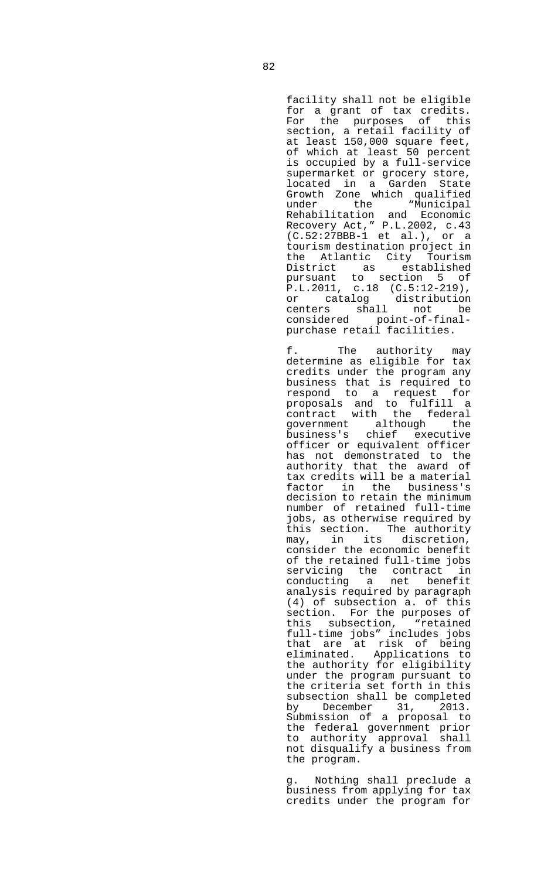facility shall not be eligible for a grant of tax credits. For the purposes of this section, a retail facility of at least 150,000 square feet, of which at least 50 percent is occupied by a full-service supermarket or grocery store, located in a Garden State Growth Zone which qualified under the "Municipal Rehabilitation and Economic Recovery Act," P.L.2002, c.43 (C.52:27BBB-1 et al.), or a tourism destination project in the Atlantic City Tourism District as established pursuant to section 5 of P.L.2011, c.18 (C.5:12-219), or catalog distribution centers shall not be considered point-of-finalpurchase retail facilities.

 f. The authority may determine as eligible for tax credits under the program any business that is required to respond to a request for proposals and to fulfill a contract with the federal government although the business's chief executive officer or equivalent officer has not demonstrated to the authority that the award of tax credits will be a material factor in the business's decision to retain the minimum number of retained full-time jobs, as otherwise required by this section. The authority may, in its discretion, consider the economic benefit of the retained full-time jobs servicing the contract in conducting a net benefit analysis required by paragraph (4) of subsection a. of this section. For the purposes of<br>this subsection, "retained this subsection, full-time jobs" includes jobs that are at risk of being eliminated. Applications to the authority for eligibility under the program pursuant to the criteria set forth in this subsection shall be completed by December 31, 2013. Submission of a proposal to the federal government prior to authority approval shall not disqualify a business from the program.

 g. Nothing shall preclude a business from applying for tax credits under the program for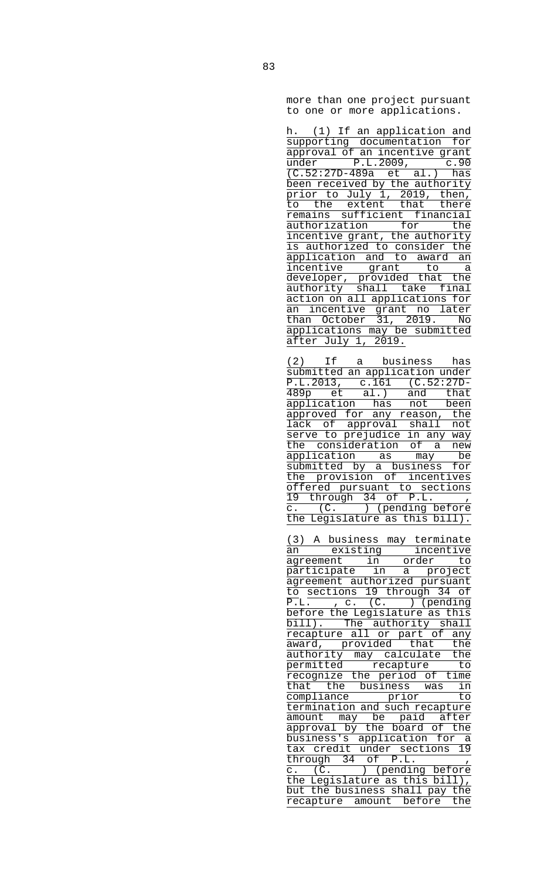more than one project pursuant to one or more applications.

| h. (1) If an application and                                    |
|-----------------------------------------------------------------|
| supporting documentation for                                    |
| approval of an incentive grant                                  |
| $under$ $P.L.2009,$<br>c.90                                     |
| $(C.52:27D-489a$ et al.) has                                    |
| been received by the authority                                  |
| prior to July 1, 2019, then,                                    |
| the extent that there<br>to                                     |
| remains sufficient financial                                    |
|                                                                 |
| authorization for the<br>incentive grant, the authority         |
| is authorized to consider the                                   |
| an                                                              |
| application and to award<br>incentive grant to                  |
| a                                                               |
| developer, provided that the                                    |
| authority shall take final<br>action on all applications for    |
|                                                                 |
| <u>an incentive grant no later</u><br>than October 31, 2019. No |
|                                                                 |
| applications may be submitted                                   |
| after July 1, 2019.                                             |
| (2)<br>If a business                                            |
| has                                                             |
| submitted an application under                                  |
| $P.L.2013, c.161 (C.52:27D-$                                    |
| $\frac{489p}{p}$ et al.) and<br>that                            |
| application has not been                                        |
| approved for any reason, the                                    |
| lack of approval shall not                                      |
| serve to prejudice in any way                                   |
| the consideration of a<br>new                                   |
| <u>application as may be</u>                                    |
| submitted by a business for                                     |
| the provision of incentives                                     |
| offered pursuant to sections                                    |
| 19 through 34 of P.L.                                           |
| c. (C. ) (pending before                                        |
| the Legislature as this bill).                                  |
|                                                                 |
| (3) A business may terminate                                    |
| existing<br>incentive<br>an                                     |
| agreement<br>in<br>order<br>to                                  |
| participate<br>in<br>project<br>a                               |
| agreement authorized pursuant                                   |
| to sections 19 through 34 of                                    |
| (C.<br>P.L.<br>) (pending<br>, c.                               |
| before the Legislature as this                                  |
| bill). The authority shall                                      |
| recapture all or part of<br>any                                 |
| award, provided that<br>the                                     |
| authority<br>the<br>may calculate                               |
| permitted<br>recapture<br>to                                    |
| recognize the period of<br>time                                 |
| that the<br>business<br>in<br>was                               |
| compliance<br>prior<br>to                                       |
| termination and such recapture                                  |

authority may calculate the permitted recapture to recognize the period of time that the business was in compliance prior to termination and such recapture amount may be paid after approval by the board of the business's application for a tax credit under sections 19 through 34 of P.L. c. (C. ) (pending before the Legislature as this bill), but the business shall pay the recapture amount before the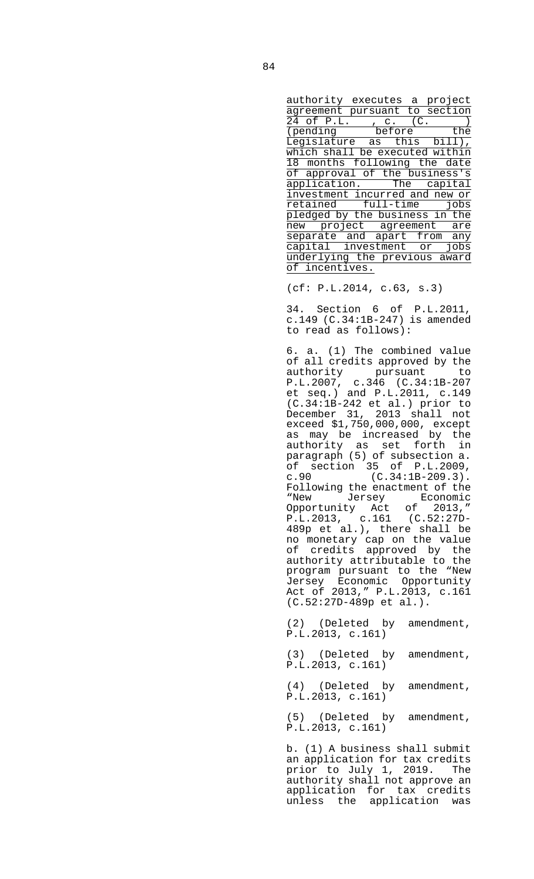authority executes a project agreement pursuant to section 24 of P.L., c. (C.) (pending before the Legislature as this bill), which shall be executed within 18 months following the date of approval of the business's application. The capital investment incurred and new or retained full-time jobs pledged by the business in the new project agreement are separate and apart from any capital investment or jobs underlying the previous award of incentives.

(cf: P.L.2014, c.63, s.3)

 34. Section 6 of P.L.2011, c.149 (C.34:1B-247) is amended to read as follows):

 6. a. (1) The combined value of all credits approved by the authority pursuant to P.L.2007, c.346 (C.34:1B-207 et seq.) and P.L.2011, c.149 (C.34:1B-242 et al.) prior to December 31, 2013 shall not exceed \$1,750,000,000, except as may be increased by the authority as set forth in paragraph (5) of subsection a. of section 35 of P.L.2009, c.90 (C.34:1B-209.3). Following the enactment of the "New Jersey Economic Opportunity Act of 2013," P.L.2013, c.161 (C.52:27D-489p et al.), there shall be no monetary cap on the value of credits approved by the authority attributable to the program pursuant to the "New Jersey Economic Opportunity Act of 2013," P.L.2013, c.161 (C.52:27D-489p et al.).

> (2) (Deleted by amendment, P.L.2013, c.161)

> (3) (Deleted by amendment, P.L.2013, c.161)

> (4) (Deleted by amendment, P.L.2013, c.161)

> (5) (Deleted by amendment, P.L.2013, c.161)

 b. (1) A business shall submit an application for tax credits prior to July 1, 2019. The authority shall not approve an application for tax credits unless the application was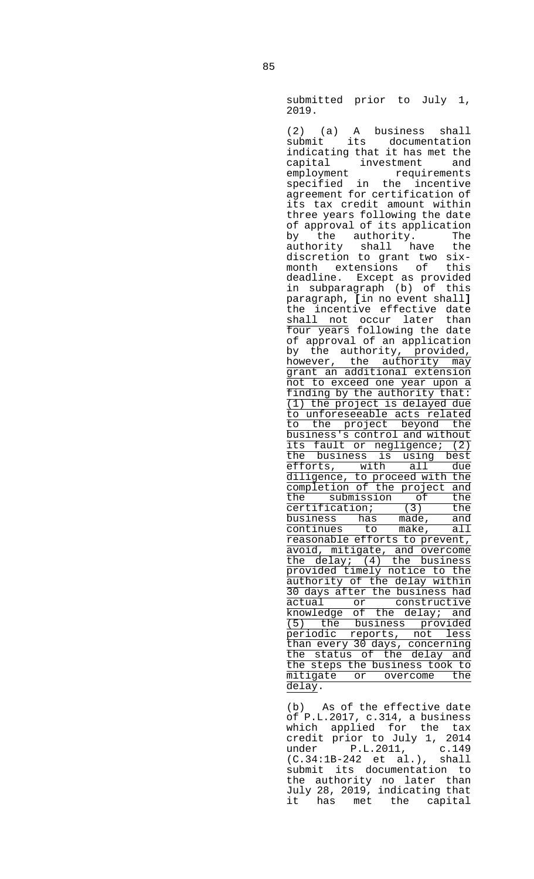submitted prior to July 1, 2019.

 (2) (a) A business shall submit its documentation indicating that it has met the capital investment and employment requirements specified in the incentive agreement for certification of its tax credit amount within three years following the date of approval of its application by the authority. The authority shall have the discretion to grant two sixmonth extensions of this deadline. Except as provided in subparagraph (b) of this paragraph, **[**in no event shall**]** the incentive effective date shall not occur later than four years following the date of approval of an application by the authority, provided, however, the authority may grant an additional extension not to exceed one year upon a finding by the authority that: (1) the project is delayed due to unforeseeable acts related to the project beyond the business's control and without its fault or negligence; (2) the business is using best efforts, with all due efforts, with all due<br>diligence, to proceed with the completion of the project and the submission of the certification; (3) the business has made, and continues to make, all reasonable efforts to prevent, avoid, mitigate, and overcome the delay; (4) the business provided timely notice to the authority of the delay within 30 days after the business had actual or constructive knowledge of the delay; and (5) the business provided periodic reports, not less than every 30 days, concerning the status of the delay and the steps the business took to mitigate or overcome the delay.

> (b) As of the effective date of P.L.2017, c.314, a business which applied for the tax credit prior to July 1, 2014 under P.L.2011, c.149 (C.34:1B-242 et al.), shall submit its documentation to the authority no later than July 28, 2019, indicating that it has met the capital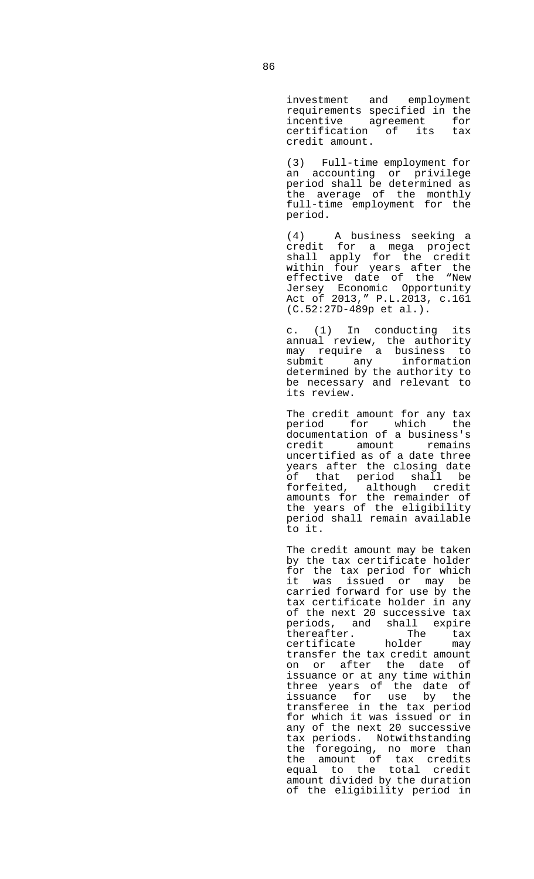investment and employment requirements specified in the incentive agreement for certification of its tax credit amount.

 (3) Full-time employment for an accounting or privilege period shall be determined as the average of the monthly full-time employment for the period.

 (4) A business seeking a credit for a mega project shall apply for the credit within four years after the effective date of the "New Jersey Economic Opportunity Act of 2013," P.L.2013, c.161 (C.52:27D-489p et al.).

 c. (1) In conducting its annual review, the authority may require a business to submit any information determined by the authority to be necessary and relevant to its review.

 The credit amount for any tax period for which the documentation of a business's<br>credit amount remains amount remains uncertified as of a date three years after the closing date of that period shall be forfeited, although credit amounts for the remainder of the years of the eligibility period shall remain available to it.

 The credit amount may be taken by the tax certificate holder for the tax period for which it was issued or may be carried forward for use by the tax certificate holder in any of the next 20 successive tax periods, and shall expire<br>thereafter. The tax thereafter. The tax<br>certificate holder may The cholder may transfer the tax credit amount on or after the date of issuance or at any time within three years of the date of issuance for use by the transferee in the tax period for which it was issued or in any of the next 20 successive tax periods. Notwithstanding the foregoing, no more than the amount of tax credits equal to the total credit amount divided by the duration of the eligibility period in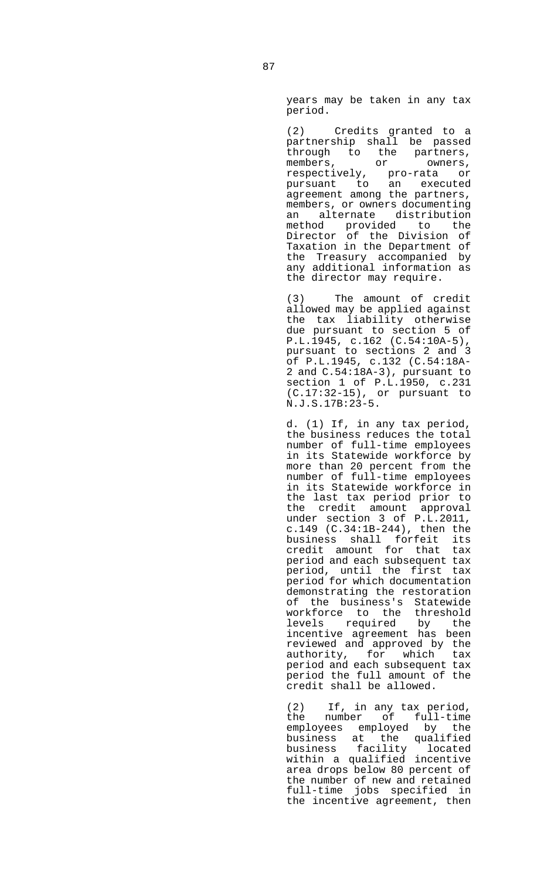years may be taken in any tax period.

 (2) Credits granted to a partnership shall be passed through to the partners, members, or owners, respectively, pro-rata or pursuant to an executed agreement among the partners, members, or owners documenting an alternate distribution method provided to the Director of the Division of Taxation in the Department of the Treasury accompanied by any additional information as the director may require.

 (3) The amount of credit allowed may be applied against the tax liability otherwise due pursuant to section 5 of P.L.1945, c.162 (C.54:10A-5), pursuant to sections 2 and 3 of P.L.1945, c.132 (C.54:18A-2 and C.54:18A-3), pursuant to section 1 of P.L.1950, c.231 (C.17:32-15), or pursuant to N.J.S.17B:23-5.

> d. (1) If, in any tax period, the business reduces the total number of full-time employees in its Statewide workforce by more than 20 percent from the number of full-time employees in its Statewide workforce in the last tax period prior to the credit amount approval under section 3 of P.L.2011, c.149 (C.34:1B-244), then the business shall forfeit its credit amount for that tax period and each subsequent tax period, until the first tax period for which documentation demonstrating the restoration of the business's Statewide workforce to the threshold levels required by the incentive agreement has been reviewed and approved by the authority, for which tax period and each subsequent tax period the full amount of the credit shall be allowed.

 (2) If, in any tax period, the number of full-time employees employed by the business at the qualified business facility located within a qualified incentive area drops below 80 percent of the number of new and retained full-time jobs specified in the incentive agreement, then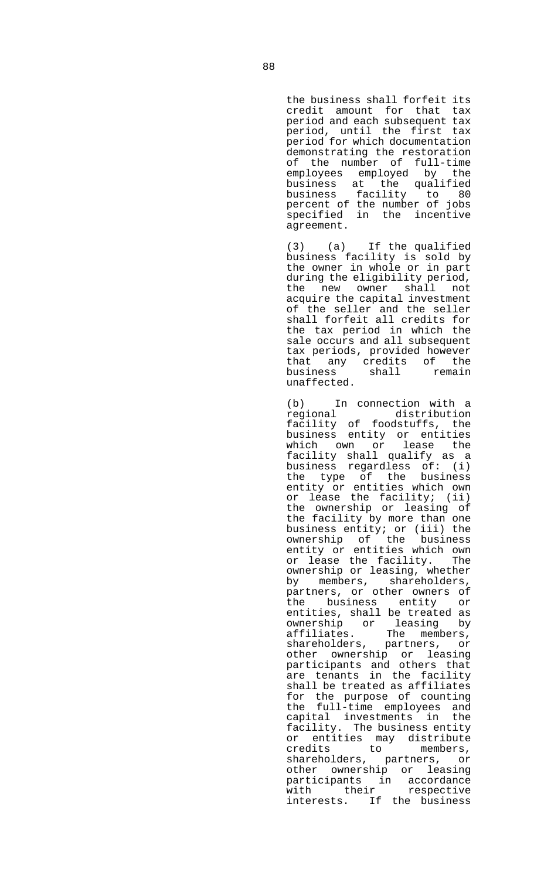the business shall forfeit its credit amount for that tax period and each subsequent tax period, until the first tax period for which documentation demonstrating the restoration of the number of full-time<br>employees employed by the employees employed by business at the qualified business facility to 80 percent of the number of jobs specified in the incentive agreement.

 (3) (a) If the qualified business facility is sold by the owner in whole or in part during the eligibility period, the new owner shall not acquire the capital investment of the seller and the seller shall forfeit all credits for the tax period in which the sale occurs and all subsequent tax periods, provided however that any credits of the<br>business shall remain business unaffected.

(b) In connection with a<br>regional distribution regional distribution facility of foodstuffs, the business entity or entities which own or lease the facility shall qualify as a business regardless of: (i) the type of the business entity or entities which own or lease the facility; (ii) the ownership or leasing of the facility by more than one business entity; or (iii) the ownership of the business entity or entities which own or lease the facility. The ownership or leasing, whether by members, shareholders, partners, or other owners of the business entity or entities, shall be treated as ownership or leasing by affiliates. The members, shareholders, partners, or other ownership or leasing participants and others that are tenants in the facility shall be treated as affiliates for the purpose of counting the full-time employees and capital investments in the facility. The business entity or entities may distribute credits to members, shareholders, partners, or other ownership or leasing participants in accordance with their respective interests. If the business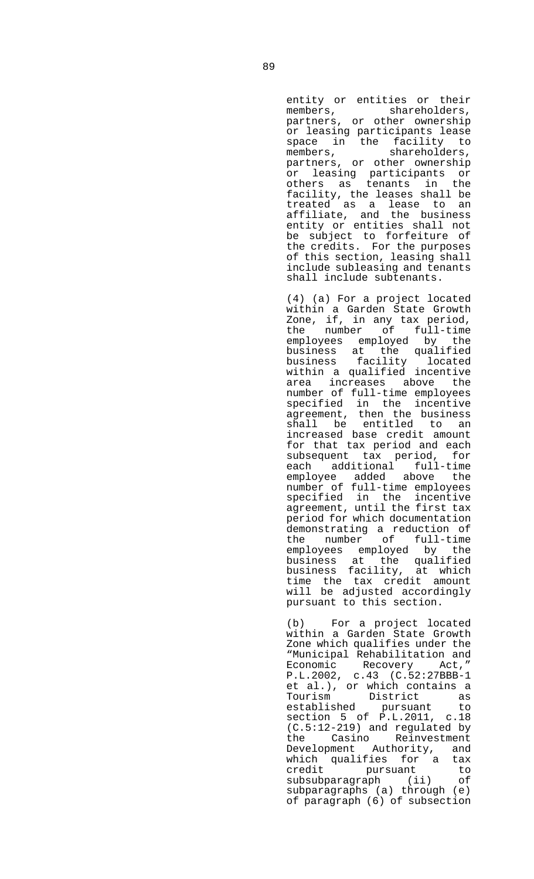entity or entities or their members, shareholders, partners, or other ownership or leasing participants lease space in the facility to members, shareholders, partners, or other ownership or leasing participants or others as tenants in the facility, the leases shall be treated as a lease to an affiliate, and the business entity or entities shall not be subject to forfeiture of the credits. For the purposes of this section, leasing shall include subleasing and tenants shall include subtenants.

 (4) (a) For a project located within a Garden State Growth Zone, if, in any tax period, the number of full-time employees employed by the business at the qualified business facility located within a qualified incentive area increases above the number of full-time employees specified in the incentive agreement, then the business shall be entitled to an increased base credit amount for that tax period and each subsequent tax period, for each additional full-time employee added above the number of full-time employees specified in the incentive agreement, until the first tax period for which documentation demonstrating a reduction of the number of full-time employees employed by the business at the qualified business facility, at which time the tax credit amount will be adjusted accordingly pursuant to this section.

 (b) For a project located within a Garden State Growth Zone which qualifies under the "Municipal Rehabilitation and Economic Recovery P.L.2002, c.43 (C.52:27BBB-1 et al.), or which contains a<br>Tourism bistrict as Tourism District as established pursuant to section 5 of P.L.2011, c.18 (C.5:12-219) and regulated by the Casino Reinvestment Development Authority, and which qualifies for a tax credit pursuant to subsubparagraph (ii) of subparagraphs (a) through (e) of paragraph (6) of subsection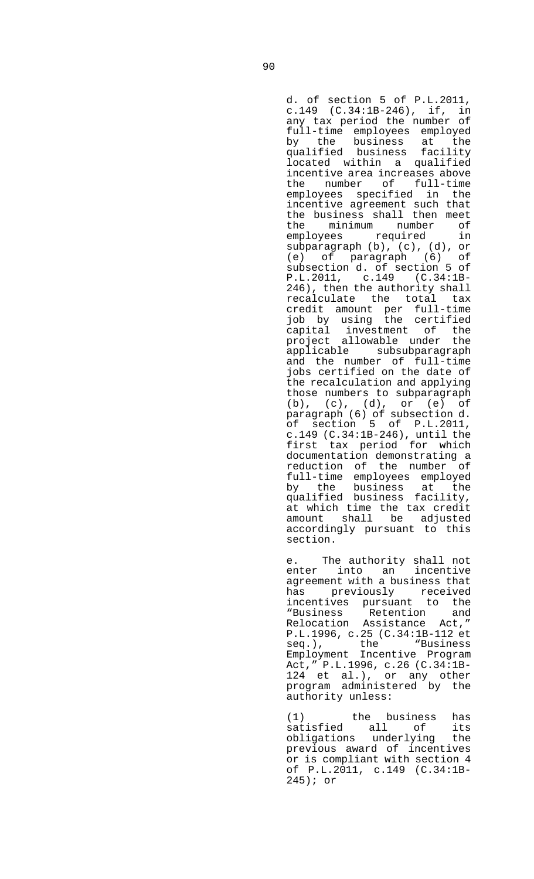d. of section 5 of P.L.2011, c.149 (C.34:1B-246), if, in any tax period the number of full-time employees employed by the business at the qualified business facility located within a qualified incentive area increases above the number of full-time employees specified in the incentive agreement such that the business shall then meet<br>the minimum number of minimum number of employees required in subparagraph (b), (c), (d), or (e) of paragraph (6) of subsection d. of section 5 of P.L.2011, c.149 (C.34:1B-246), then the authority shall recalculate the total tax credit amount per full-time job by using the certified capital investment of the project allowable under the applicable subsubparagraph and the number of full-time jobs certified on the date of the recalculation and applying those numbers to subparagraph (b), (c), (d), or (e) of paragraph (6) of subsection d. of section 5 of P.L.2011, c.149 (C.34:1B-246), until the first tax period for which documentation demonstrating a reduction of the number of full-time employees employed by the business at the qualified business facility, at which time the tax credit amount shall be adjusted accordingly pursuant to this section.

 e. The authority shall not enter into an incentive agreement with a business that has previously received incentives pursuant to the "Business Retention and Relocation Assistance Act," P.L.1996, c.25 (C.34:1B-112 et seq.), the "Business Employment Incentive Program Act," P.L.1996, c.26 (C.34:1B-124 et al.), or any other program administered by the authority unless:

 (1) the business has satisfied all of its obligations underlying the previous award of incentives or is compliant with section 4 of P.L.2011, c.149 (C.34:1B-245); or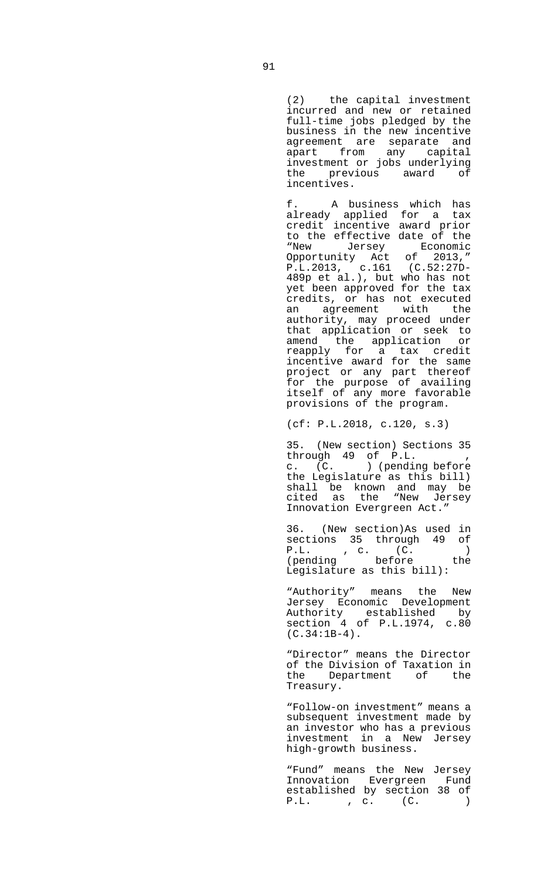(2) the capital investment incurred and new or retained full-time jobs pledged by the business in the new incentive agreement are separate and apart from any capital investment or jobs underlying the previous award of incentives.

 f. A business which has already applied for a tax credit incentive award prior to the effective date of the "New Jersey Economic Opportunity Act of 2013," P.L.2013, c.161 (C.52:27D-489p et al.), but who has not yet been approved for the tax credits, or has not executed an agreement with the authority, may proceed under that application or seek to amend the application or reapply for a tax credit incentive award for the same project or any part thereof for the purpose of availing itself of any more favorable provisions of the program.

(cf: P.L.2018, c.120, s.3)

 35. (New section) Sections 35 through 49 of P.L. , c. (C. ) (pending before the Legislature as this bill) shall be known and may be cited as the "New Jersey Innovation Evergreen Act."

 36. (New section)As used in sections 35 through 49 of P.L. , c. (C. ) (pending before the Legislature as this bill):

 "Authority" means the New Jersey Economic Development Authority established by section 4 of P.L.1974, c.80 (C.34:1B-4).

 "Director" means the Director of the Division of Taxation in the Department of the Treasury.

 "Follow-on investment" means a subsequent investment made by an investor who has a previous investment in a New Jersey high-growth business.

 "Fund" means the New Jersey Innovation Evergreen Fund established by section 38 of P.L. , c. (C. )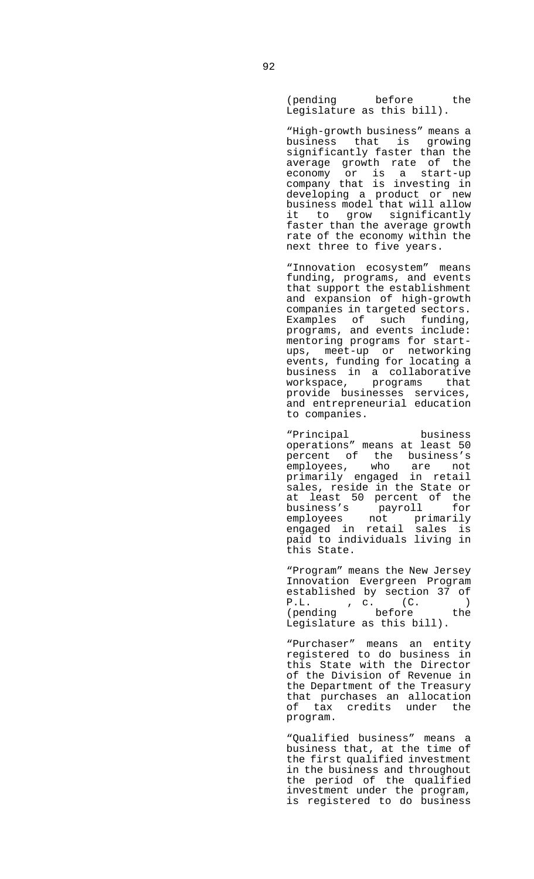(pending before the Legislature as this bill).

 "High-growth business" means a business that is growing significantly faster than the average growth rate of the economy or is a start-up company that is investing in developing a product or new business model that will allow it to grow significantly faster than the average growth rate of the economy within the next three to five years.

 "Innovation ecosystem" means funding, programs, and events that support the establishment and expansion of high-growth companies in targeted sectors. Examples of such funding, programs, and events include: mentoring programs for startups, meet-up or networking events, funding for locating a business in a collaborative workspace, programs that provide businesses services, and entrepreneurial education to companies.

 "Principal business operations" means at least 50 percent of the business's employees, who are not primarily engaged in retail sales, reside in the State or at least 50 percent of the business's payroll for employees not primarily engaged in retail sales is paid to individuals living in this State.

 "Program" means the New Jersey Innovation Evergreen Program established by section 37 of<br>P.L. , c. (C. )<br>Inending before the P.L. , c. (C. ) (pending before the Legislature as this bill).

 "Purchaser" means an entity registered to do business in this State with the Director of the Division of Revenue in the Department of the Treasury that purchases an allocation of tax credits under the program.

 "Qualified business" means a business that, at the time of the first qualified investment in the business and throughout the period of the qualified investment under the program, is registered to do business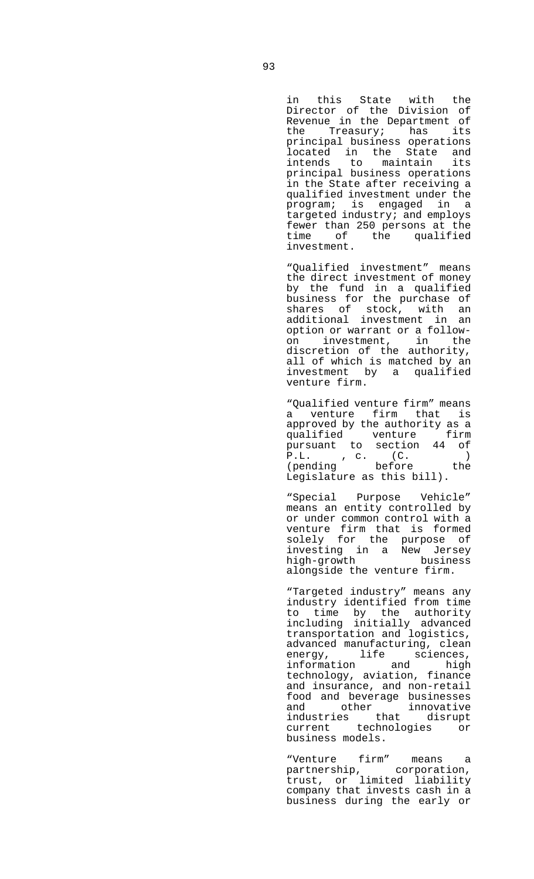in this State with the Director of the Division of Revenue in the Department of the Treasury; has its principal business operations located in the State and intends to maintain its principal business operations in the State after receiving a qualified investment under the program; is engaged in a targeted industry; and employs fewer than 250 persons at the time of the qualified investment.

 "Qualified investment" means the direct investment of money by the fund in a qualified business for the purchase of shares of stock, with an additional investment in an option or warrant or a followon investment, in the discretion of the authority, all of which is matched by an investment by a qualified venture firm.

 "Qualified venture firm" means a venture firm that is approved by the authority as a qualified venture firm pursuant to section 44 of P.L. , c. (C. ) (pending before the Legislature as this bill).

 "Special Purpose Vehicle" means an entity controlled by or under common control with a venture firm that is formed solely for the purpose of investing in a New Jersey high-growth business alongside the venture firm.

 "Targeted industry" means any industry identified from time to time by the authority including initially advanced transportation and logistics, advanced manufacturing, clean energy, life sciences, information and high technology, aviation, finance and insurance, and non-retail food and beverage businesses and other innovative industries that disrupt current technologies or business models.

 "Venture firm" means a partnership, corporation, trust, or limited liability company that invests cash in a business during the early or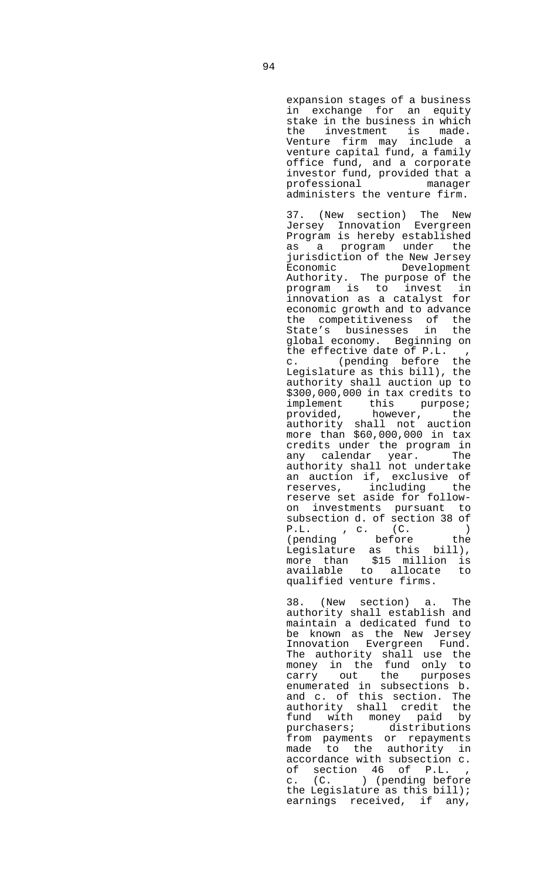expansion stages of a business in exchange for an equity stake in the business in which the investment is made. Venture firm may include a venture capital fund, a family office fund, and a corporate investor fund, provided that a professional manager administers the venture firm.

 37. (New section) The New Jersey Innovation Evergreen Program is hereby established as a program under the jurisdiction of the New Jersey Economic Development Authority. The purpose of the program is to invest in innovation as a catalyst for economic growth and to advance the competitiveness of the State's businesses in the global economy. Beginning on the effective date of P.L. , c. (pending before the Legislature as this bill), the authority shall auction up to \$300,000,000 in tax credits to implement this purpose; provided, however, the authority shall not auction more than \$60,000,000 in tax credits under the program in any calendar year. The authority shall not undertake an auction if, exclusive of<br>reserves. including the reserves, including reserve set aside for followon investments pursuant to subsection d. of section 38 of P.L. , c. (C. ) (pending before the Legislature as this bill), more than \$15 million is available to allocate to qualified venture firms.

 38. (New section) a. The authority shall establish and maintain a dedicated fund to be known as the New Jersey Innovation Evergreen Fund. The authority shall use the money in the fund only to carry out the purposes enumerated in subsections b. and c. of this section. The authority shall credit the fund with money paid by purchasers; distributions from payments or repayments made to the authority in accordance with subsection c. of section 46 of P.L. c. (C. ) (pending before the Legislature as this bill); earnings received, if any,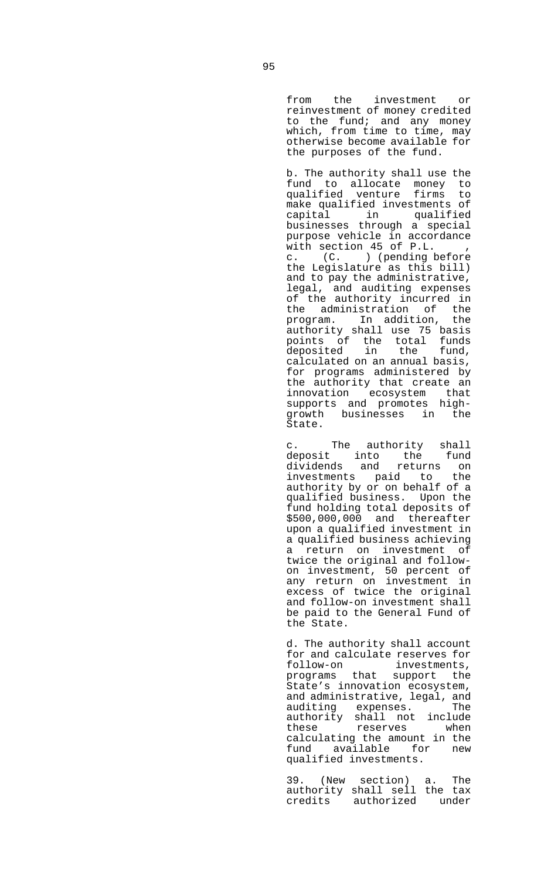from the investment or reinvestment of money credited to the fund; and any money which, from time to time, may otherwise become available for the purposes of the fund.

 b. The authority shall use the fund to allocate money to qualified venture firms to make qualified investments of capital in qualified businesses through a special purpose vehicle in accordance with section 45 of P.L. c. (C. ) (pending before the Legislature as this bill) and to pay the administrative, legal, and auditing expenses of the authority incurred in the administration of the program. In addition, the authority shall use 75 basis points of the total funds deposited in the fund, calculated on an annual basis, for programs administered by the authority that create an innovation ecosystem that supports and promotes highgrowth businesses in the State.

 c. The authority shall deposit into the fund dividends and returns on investments paid to the authority by or on behalf of a qualified business. Upon the fund holding total deposits of \$500,000,000 and thereafter upon a qualified investment in a qualified business achieving a return on investment of twice the original and followon investment, 50 percent of any return on investment in excess of twice the original and follow-on investment shall be paid to the General Fund of the State.

> d. The authority shall account for and calculate reserves for<br>follow-on investments, investments, programs that support the State's innovation ecosystem, and administrative, legal, and auditing expenses. The authority shall not include these reserves when calculating the amount in the fund available for new qualified investments.

 39. (New section) a. The authority shall sell the tax credits authorized under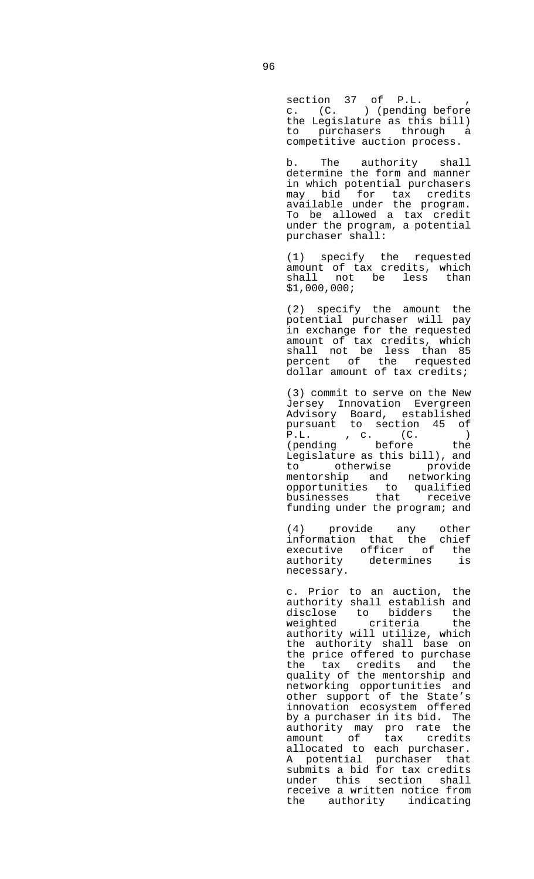section 37 of P.L. , c. (C. ) (pending before the Legislature as this bill) to purchasers through a competitive auction process.

 b. The authority shall determine the form and manner in which potential purchasers may bid for tax credits available under the program. To be allowed a tax credit under the program, a potential purchaser shall:

 (1) specify the requested amount of tax credits, which shall not be less than \$1,000,000;

> (2) specify the amount the potential purchaser will pay in exchange for the requested amount of tax credits, which shall not be less than 85 percent of the requested dollar amount of tax credits;

> (3) commit to serve on the New Jersey Innovation Evergreen Advisory Board, established pursuant to section 45 of P.L. , c. (C. )<br>(pending before the (pending before the Legislature as this bill), and to otherwise provide mentorship and networking opportunities to qualified businesses that receive funding under the program; and

 (4) provide any other information that the chief executive officer of the authority determines is necessary.

 c. Prior to an auction, the authority shall establish and disclose to bidders the weighted criteria the authority will utilize, which the authority shall base on the price offered to purchase the tax credits and the quality of the mentorship and networking opportunities and other support of the State's innovation ecosystem offered by a purchaser in its bid. The authority may pro rate the amount of tax credits allocated to each purchaser. A potential purchaser that submits a bid for tax credits under this section shall receive a written notice from the authority indicating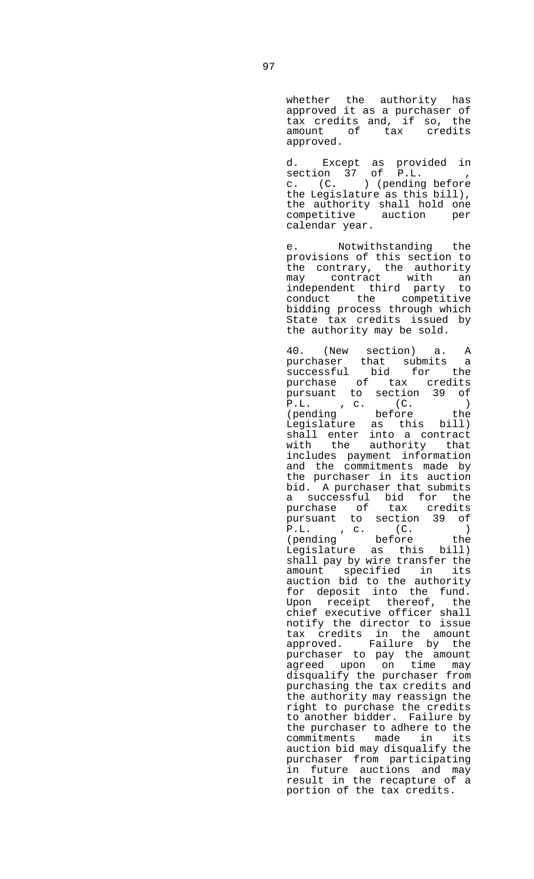whether the authority has approved it as a purchaser of tax credits and, if so, the amount of tax credits approved.

 d. Except as provided in section 37 of P.L. , c. (C. ) (pending before the Legislature as this bill), the authority shall hold one competitive auction per calendar year.

> e. Notwithstanding the provisions of this section to the contrary, the authority may contract with an independent third party to conduct the competitive bidding process through which State tax credits issued by the authority may be sold.

 40. (New section) a. A purchaser that submits a successful bid for the purchase of tax credits pursuant to section 39 of P.L. , c. (C. ) (pending before the Legislature as this bill) shall enter into a contract<br>with the authority that the authority that includes payment information and the commitments made by the purchaser in its auction bid. A purchaser that submits a successful bid for the purchase of tax credits pursuant to section 39 of P.L. , c. (C. ) (pending before the Legislature as this bill) shall pay by wire transfer the amount specified in its auction bid to the authority for deposit into the fund. Upon receipt thereof, the chief executive officer shall notify the director to issue tax credits in the amount approved. Failure by the purchaser to pay the amount agreed upon on time may disqualify the purchaser from purchasing the tax credits and the authority may reassign the right to purchase the credits to another bidder. Failure by the purchaser to adhere to the commitments made in its auction bid may disqualify the purchaser from participating in future auctions and may result in the recapture of a portion of the tax credits.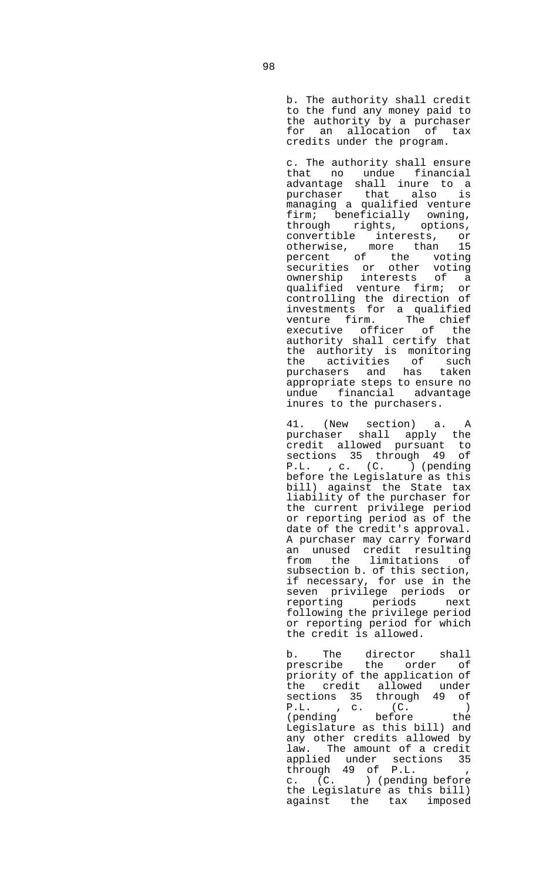b. The authority shall credit to the fund any money paid to the authority by a purchaser for an allocation of tax credits under the program.

 c. The authority shall ensure that no undue financial advantage shall inure to a purchaser that also is managing a qualified venture firm; beneficially owning, through rights, options, convertible interests, or<br>otherwise, more than 15 otherwise, more than 15 percent of the voting securities or other voting ownership interests of a qualified venture firm; or controlling the direction of investments for a qualified venture firm. The chief executive officer of the authority shall certify that the authority is monitoring the activities of such purchasers and has taken appropriate steps to ensure no undue financial advantage inures to the purchasers.

 41. (New section) a. A purchaser shall apply the credit allowed pursuant to sections 35 through 49 of P.L. , c. (C. ) (pending before the Legislature as this bill) against the State tax liability of the purchaser for the current privilege period or reporting period as of the date of the credit's approval. A purchaser may carry forward an unused credit resulting from the limitations of subsection b. of this section, if necessary, for use in the seven privilege periods or reporting periods next following the privilege period or reporting period for which the credit is allowed.

 b. The director shall prescribe the order of priority of the application of the credit allowed under sections 35 through 49 of P.L. , c. (C. ) (pending before the Legislature as this bill) and any other credits allowed by law. The amount of a credit applied under sections 35 through 49 of P.L. , c. (C. ) (pending before the Legislature as this bill) against the tax imposed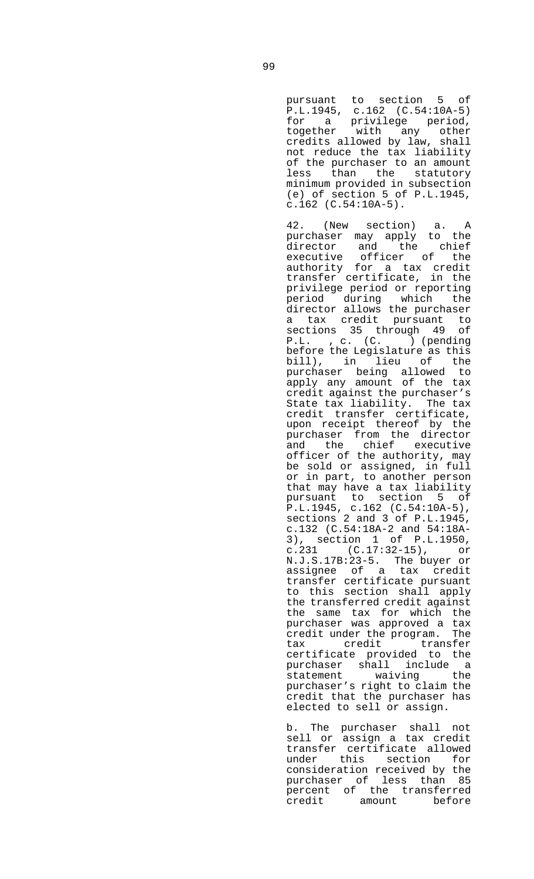pursuant to section 5 of P.L.1945, c.162 (C.54:10A-5) for a privilege period, together with any other credits allowed by law, shall not reduce the tax liability of the purchaser to an amount less than the statutory minimum provided in subsection (e) of section 5 of P.L.1945, c.162 (C.54:10A-5).

 42. (New section) a. A purchaser may apply to the director and the chief<br>executive officer of the officer of the authority for a tax credit transfer certificate, in the privilege period or reporting period during which the director allows the purchaser a tax credit pursuant to sections 35 through 49 of P.L. , c. (C. ) (pending before the Legislature as this bill), in lieu of the purchaser being allowed to apply any amount of the tax credit against the purchaser's State tax liability. The tax credit transfer certificate, upon receipt thereof by the purchaser from the director and the chief executive officer of the authority, may be sold or assigned, in full or in part, to another person that may have a tax liability pursuant to section 5 of P.L.1945, c.162 (C.54:10A-5), sections 2 and 3 of P.L.1945, c.132 (C.54:18A-2 and 54:18A-3), section 1 of P.L.1950, c.231 (C.17:32-15), or N.J.S.17B:23-5. The buyer or assignee of a tax credit transfer certificate pursuant to this section shall apply the transferred credit against the same tax for which the purchaser was approved a tax credit under the program. The tax credit transfer certificate provided to the purchaser shall include a statement waiving the purchaser's right to claim the credit that the purchaser has elected to sell or assign.

 b. The purchaser shall not sell or assign a tax credit transfer certificate allowed under this section for consideration received by the purchaser of less than 85 percent of the transferred credit amount before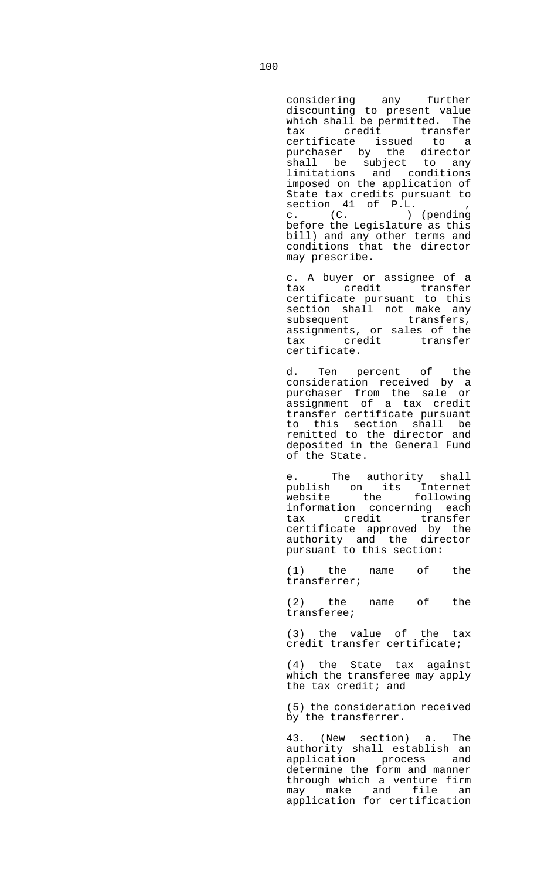considering any further discounting to present value which shall be permitted. The tax credit transfer certificate issued to a purchaser by the director shall be subject to any limitations and conditions imposed on the application of State tax credits pursuant to section 41 of P.L. , c. (C. ) (pending before the Legislature as this bill) and any other terms and conditions that the director may prescribe.

 c. A buyer or assignee of a tax credit transfer certificate pursuant to this section shall not make any subsequent transfers, assignments, or sales of the tax credit transfer certificate.

 d. Ten percent of the consideration received by a purchaser from the sale or assignment of a tax credit transfer certificate pursuant to this section shall be remitted to the director and deposited in the General Fund of the State.

 e. The authority shall publish on its Internet website the following information concerning each tax credit transfer certificate approved by the authority and the director pursuant to this section:

 (1) the name of the transferrer;

 (2) the name of the transferee;

 (3) the value of the tax credit transfer certificate;

 (4) the State tax against which the transferee may apply the tax credit; and

 (5) the consideration received by the transferrer.

 43. (New section) a. The authority shall establish an application process and determine the form and manner through which a venture firm may make and file an application for certification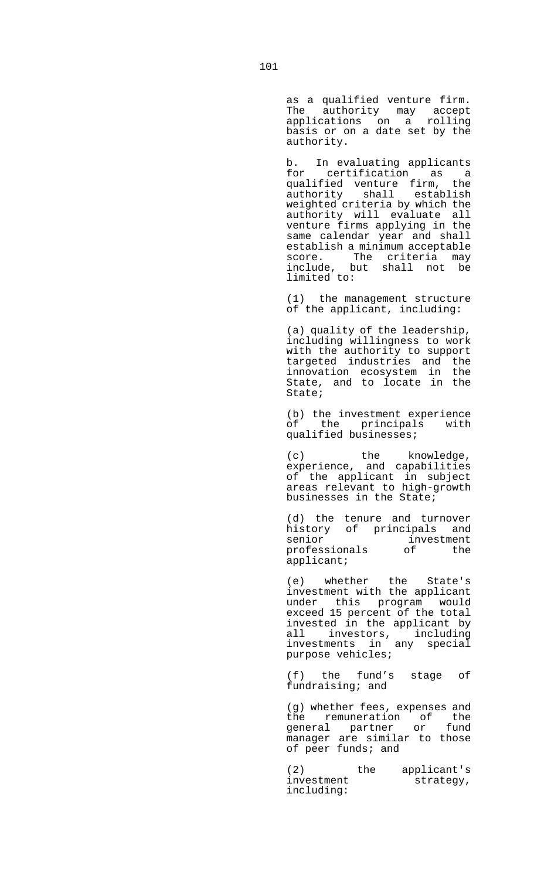as a qualified venture firm. The authority may accept applications on a rolling basis or on a date set by the authority.

 b. In evaluating applicants for certification as a qualified venture firm, the authority shall establish weighted criteria by which the authority will evaluate all venture firms applying in the same calendar year and shall establish a minimum acceptable score. The criteria may include, but shall not be limited to:

> (1) the management structure of the applicant, including:

 (a) quality of the leadership, including willingness to work with the authority to support targeted industries and the innovation ecosystem in the State, and to locate in the State;

 (b) the investment experience of the principals with qualified businesses;

 (c) the knowledge, experience, and capabilities of the applicant in subject areas relevant to high-growth businesses in the State;

> (d) the tenure and turnover history of principals and<br>senior investment investment<br>of the professionals applicant;

 (e) whether the State's investment with the applicant under this program would exceed 15 percent of the total invested in the applicant by all investors, including investments in any special purpose vehicles;

 (f) the fund's stage of fundraising; and

 (g) whether fees, expenses and the remuneration of the general partner or fund manager are similar to those of peer funds; and

 (2) the applicant's investment strategy, including: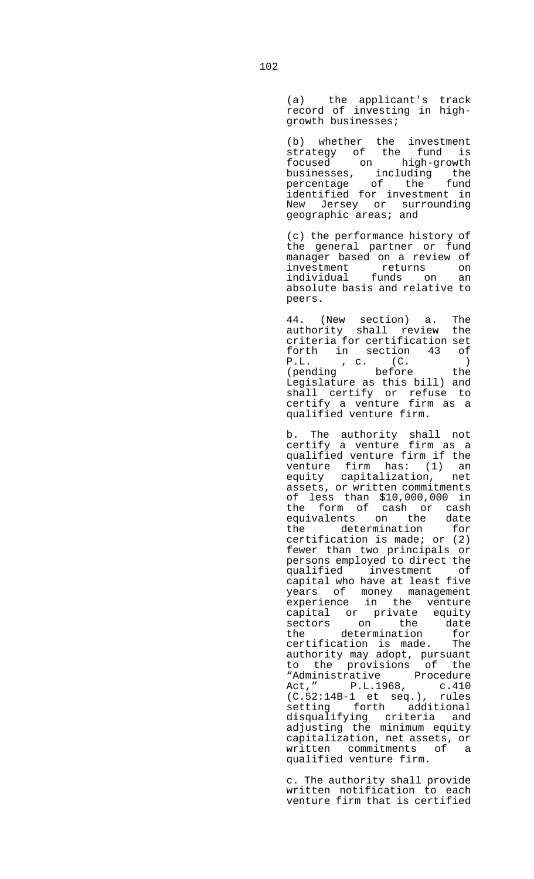(a) the applicant's track record of investing in highgrowth businesses;

 (b) whether the investment strategy of the fund is focused on high-growth businesses, including the percentage of the fund identified for investment in New Jersey or surrounding geographic areas; and

> (c) the performance history of the general partner or fund manager based on a review of investment returns on individual funds on an absolute basis and relative to peers.

> 44. (New section) a. The authority shall review the criteria for certification set forth in section 43 of P.L. , c. (C. ) (pending before the Legislature as this bill) and shall certify or refuse to certify a venture firm as a qualified venture firm.

 b. The authority shall not certify a venture firm as a qualified venture firm if the venture firm has: (1) an equity capitalization, net assets, or written commitments of less than \$10,000,000 in the form of cash or cash equivalents on the date the determination for certification is made; or (2) fewer than two principals or persons employed to direct the qualified investment of capital who have at least five years of money management experience in the venture capital or private equity sectors on the date the determination for certification is made. The authority may adopt, pursuant to the provisions of the "Administrative Procedure Act," P.L.1968, c.410 (C.52:14B-1 et seq.), rules setting forth additional disqualifying criteria and adjusting the minimum equity capitalization, net assets, or written commitments of a qualified venture firm.

> c. The authority shall provide written notification to each venture firm that is certified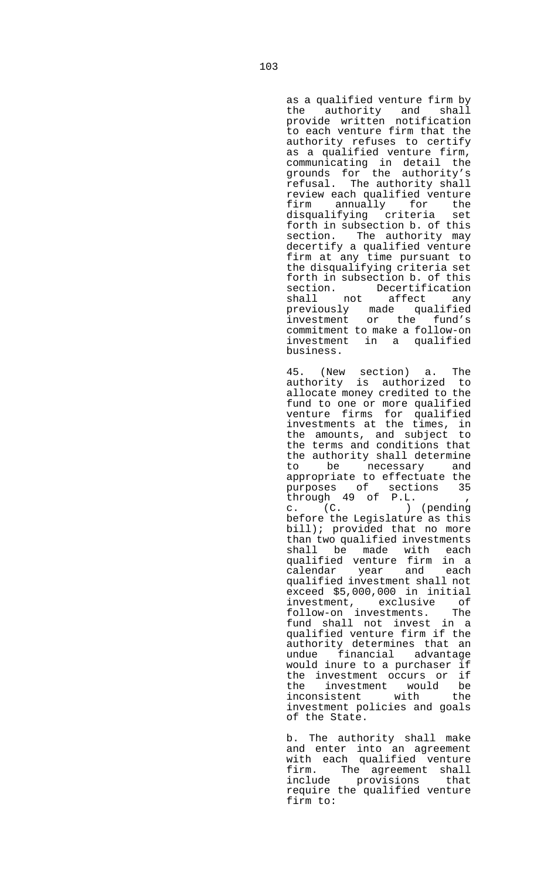as a qualified venture firm by the authority and shall provide written notification to each venture firm that the authority refuses to certify as a qualified venture firm, communicating in detail the grounds for the authority's refusal. The authority shall review each qualified venture firm annually for the disqualifying criteria set forth in subsection b. of this section. The authority may decertify a qualified venture firm at any time pursuant to the disqualifying criteria set forth in subsection b. of this section. Decertification shall not affect any previously made qualified investment or the fund's commitment to make a follow-on investment in a qualified business.

 45. (New section) a. The authority is authorized to allocate money credited to the fund to one or more qualified venture firms for qualified investments at the times, in the amounts, and subject to the terms and conditions that the authority shall determine to be necessary and appropriate to effectuate the purposes of sections 35 through 49 of P.L. , c. (C. ) (pending before the Legislature as this bill); provided that no more than two qualified investments shall be made with each qualified venture firm in a calendar year and each qualified investment shall not exceed \$5,000,000 in initial investment, exclusive of follow-on investments. The fund shall not invest in a qualified venture firm if the authority determines that an undue financial advantage would inure to a purchaser if the investment occurs or if<br>the investment would be the investment would<br>inconsistent with inconsistent with the investment policies and goals of the State.

 b. The authority shall make and enter into an agreement with each qualified venture firm. The agreement shall include provisions that require the qualified venture firm to: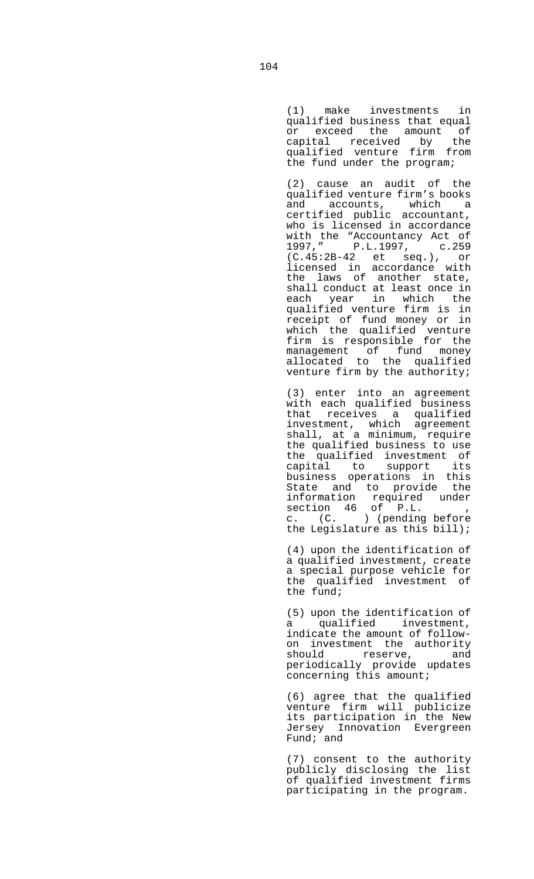(1) make investments in qualified business that equal or exceed the amount of capital received by the qualified venture firm from the fund under the program;

 (2) cause an audit of the qualified venture firm's books and accounts, which a certified public accountant, who is licensed in accordance with the "Accountancy Act of 1997," P.L.1997, c.259 (C.45:2B-42 et seq.), or licensed in accordance with the laws of another state, shall conduct at least once in each year in which the qualified venture firm is in receipt of fund money or in which the qualified venture firm is responsible for the management of fund money allocated to the qualified venture firm by the authority;

 (3) enter into an agreement with each qualified business that receives a qualified investment, which agreement shall, at a minimum, require the qualified business to use the qualified investment of capital to support its business operations in this State and to provide the information required under section 46 of P.L. , c. (C. ) (pending before the Legislature as this bill);

> (4) upon the identification of a qualified investment, create a special purpose vehicle for the qualified investment of the fund;

 (5) upon the identification of a qualified investment, indicate the amount of followon investment the authority should reserve, and periodically provide updates concerning this amount;

 (6) agree that the qualified venture firm will publicize its participation in the New Jersey Innovation Evergreen Fund; and

 (7) consent to the authority publicly disclosing the list of qualified investment firms participating in the program.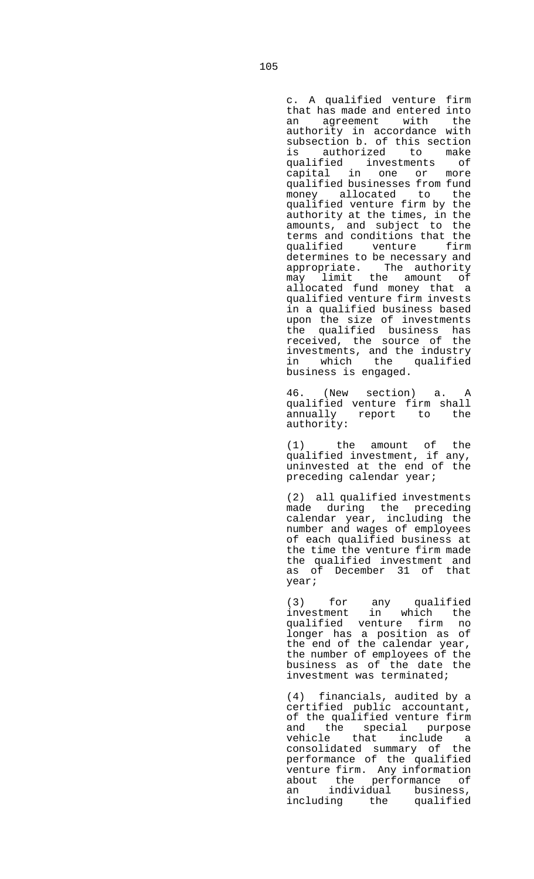c. A qualified venture firm that has made and entered into an agreement with the authority in accordance with subsection b. of this section<br>is authorized to make authorized to make qualified investments of capital in one or more qualified businesses from fund money allocated to the qualified venture firm by the authority at the times, in the amounts, and subject to the terms and conditions that the qualified venture firm determines to be necessary and appropriate. The authority may limit the amount of allocated fund money that a qualified venture firm invests in a qualified business based upon the size of investments the qualified business has received, the source of the investments, and the industry in which the qualified business is engaged.

 46. (New section) a. A qualified venture firm shall annually report to the authority:

 (1) the amount of the qualified investment, if any, uninvested at the end of the preceding calendar year;

 (2) all qualified investments made during the preceding calendar year, including the number and wages of employees of each qualified business at the time the venture firm made the qualified investment and as of December 31 of that year;

 (3) for any qualified investment in which the qualified venture firm no longer has a position as of the end of the calendar year, the number of employees of the business as of the date the investment was terminated;

 (4) financials, audited by a certified public accountant, of the qualified venture firm and the special purpose vehicle that include a consolidated summary of the performance of the qualified venture firm. Any information about the performance of an individual business, including the qualified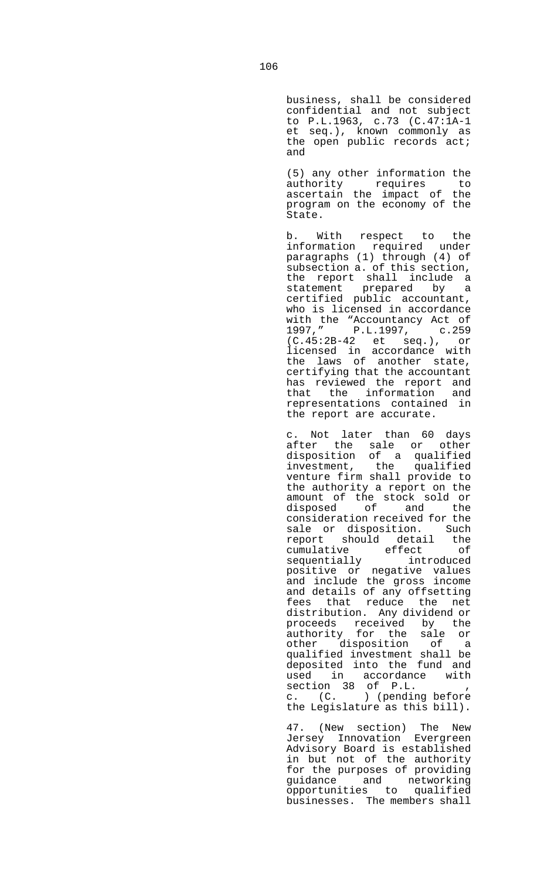business, shall be considered confidential and not subject to P.L.1963, c.73 (C.47:1A-1 et seq.), known commonly as the open public records act; and

 (5) any other information the authority requires to ascertain the impact of the program on the economy of the State.

 b. With respect to the information required under paragraphs (1) through (4) of subsection a. of this section, the report shall include a statement prepared by a certified public accountant, who is licensed in accordance with the "Accountancy Act of 1997," P.L.1997, c.259 (C.45:2B-42 et seq.), or licensed in accordance with the laws of another state, certifying that the accountant has reviewed the report and that the information and representations contained in the report are accurate.

 c. Not later than 60 days after the sale or other disposition of a qualified investment, the qualified venture firm shall provide to the authority a report on the amount of the stock sold or disposed of and the consideration received for the sale or disposition. Such report should detail the cumulative effect of sequentially introduced positive or negative values and include the gross income and details of any offsetting fees that reduce the net distribution. Any dividend or proceeds received by the authority for the sale or other disposition of a qualified investment shall be deposited into the fund and used in accordance with section 38 of P.L. , c. (C. ) (pending before the Legislature as this bill).

 47. (New section) The New Jersey Innovation Evergreen Advisory Board is established in but not of the authority for the purposes of providing guidance and networking opportunities to qualified businesses. The members shall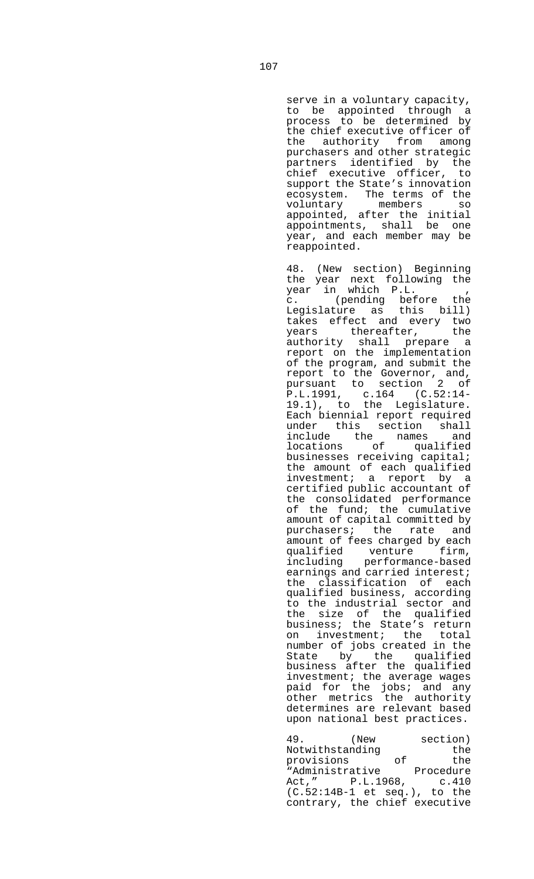serve in a voluntary capacity, to be appointed through a process to be determined by the chief executive officer of the authority from among purchasers and other strategic partners identified by the chief executive officer, to support the State's innovation ecosystem. The terms of the<br>voluntary members so voluntary members so appointed, after the initial appointments, shall be one year, and each member may be reappointed.

 48. (New section) Beginning the year next following the year in which P.L. , c. (pending before the Legislature as this bill) takes effect and every two years thereafter, the authority shall prepare a report on the implementation of the program, and submit the report to the Governor, and, pursuant to section 2 of P.L.1991, c.164 (C.52:14- 19.1), to the Legislature. Each biennial report required under this section shall<br>include the names and include the names locations of qualified businesses receiving capital; the amount of each qualified investment; a report by a certified public accountant of the consolidated performance of the fund; the cumulative amount of capital committed by purchasers; the rate and amount of fees charged by each qualified venture firm, including performance-based earnings and carried interest; the classification of each qualified business, according to the industrial sector and the size of the qualified business; the State's return on investment; the total number of jobs created in the State by the qualified business after the qualified investment; the average wages paid for the jobs; and any other metrics the authority determines are relevant based upon national best practices.

 49. (New section) Notwithstanding the provisions of the "Administrative Procedure Act," P.L.1968, c.410 (C.52:14B-1 et seq.), to the contrary, the chief executive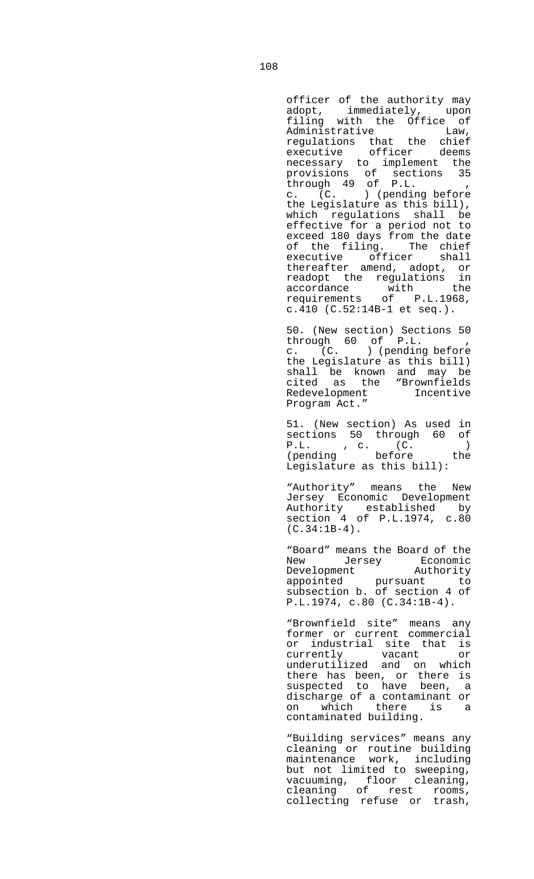officer of the authority may adopt, immediately, upon filing with the Office of Administrative Law, regulations that the chief executive officer deems necessary to implement the provisions of sections 35 through 49 of P.L. , c. (C. ) (pending before the Legislature as this bill), which regulations shall be effective for a period not to exceed 180 days from the date of the filing. The chief executive officer shall thereafter amend, adopt, or readopt the regulations in accordance with the requirements of P.L.1968, c.410 (C.52:14B-1 et seq.).

 50. (New section) Sections 50 through 60 of P.L. , c. (C. ) (pending before the Legislature as this bill) shall be known and may be cited as the "Brownfields Redevelopment Incentive Program Act."

 51. (New section) As used in sections 50 through 60 of P.L. , c. (C. ) (pending before the Legislature as this bill):

 "Authority" means the New Jersey Economic Development Authority established by section 4 of P.L.1974, c.80  $(C.34:1B-4)$ .

 "Board" means the Board of the New Jersey Economic Development Authority appointed pursuant to subsection b. of section 4 of P.L.1974, c.80 (C.34:1B-4).

 "Brownfield site" means any former or current commercial or industrial site that is currently vacant or underutilized and on which there has been, or there is suspected to have been, a discharge of a contaminant or on which there is a contaminated building.

> "Building services" means any cleaning or routine building maintenance work, including but not limited to sweeping, vacuuming, floor cleaning, cleaning of rest rooms, collecting refuse or trash,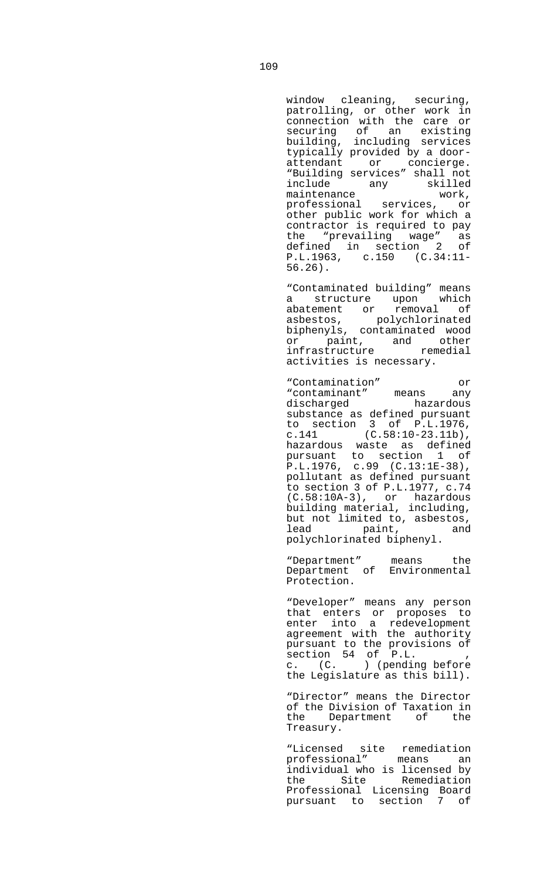window cleaning, securing, patrolling, or other work in connection with the care or securing of an existing building, including services typically provided by a doorattendant or concierge. "Building services" shall not include any<br>maintenance maintenance work, professional services, or other public work for which a contractor is required to pay the "prevailing wage" as defined in section 2 of P.L.1963, c.150 (C.34:11-

 "Contaminated building" means a structure upon which abatement or removal of asbestos, polychlorinated asbestos, polychlorinated<br>biphenyls, contaminated wood or paint, and other infrastructure remedial activities is necessary.

 "Contamination" or "contaminant" means any discharged hazardous substance as defined pursuant to section 3 of P.L.1976, c.141  $(C.58:10-23.11b)$ , hazardous waste as defined pursuant to section 1 of P.L.1976, c.99 (C.13:1E-38), pollutant as defined pursuant to section 3 of P.L.1977, c.74 (C.58:10A-3), or hazardous building material, including, but not limited to, asbestos,<br>lead paint, and lead paint, polychlorinated biphenyl.

> "Department" means the Department of Environmental Protection.

 "Developer" means any person that enters or proposes to enter into a redevelopment agreement with the authority pursuant to the provisions of section 54 of P.L. , c. (C. ) (pending before the Legislature as this bill).

 "Director" means the Director of the Division of Taxation in the Department of the Treasury.

 "Licensed site remediation professional" means an individual who is licensed by the Site Remediation Professional Licensing Board pursuant to section 7 of

56.26).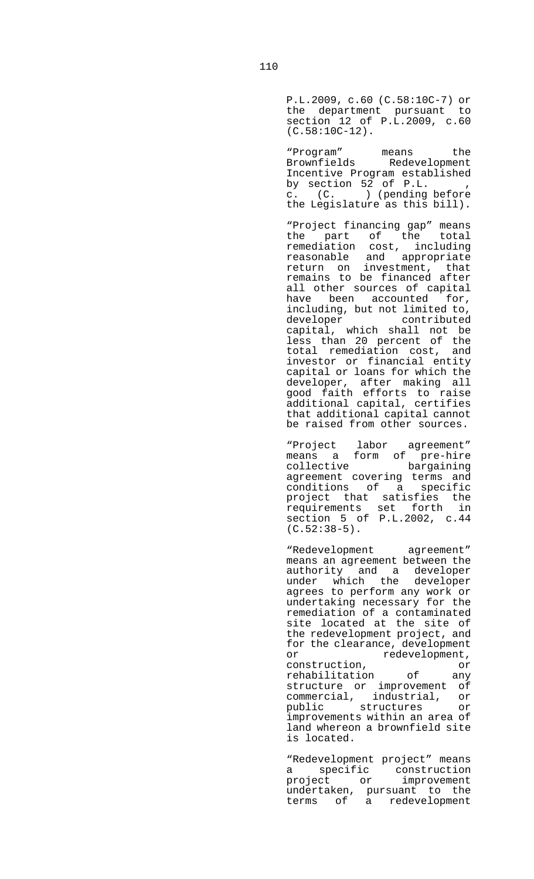P.L.2009, c.60 (C.58:10C-7) or the department pursuant to section 12 of P.L.2009, c.60 (C.58:10C-12).

 "Program" means the Brownfields Redevelopment Incentive Program established by section 52 of P.L. , c. (C. ) (pending before the Legislature as this bill).

> "Project financing gap" means the part of the total remediation cost, including reasonable and appropriate return on investment, that remains to be financed after all other sources of capital have been accounted for, including, but not limited to, contributed capital, which shall not be less than 20 percent of the total remediation cost, and investor or financial entity capital or loans for which the developer, after making all good faith efforts to raise additional capital, certifies that additional capital cannot be raised from other sources.

 "Project labor agreement" means a form of pre-hire collective bargaining agreement covering terms and conditions of a specific project that satisfies the requirements set forth in section 5 of P.L.2002, c.44  $(C.52:38-5)$ .

> "Redevelopment agreement" means an agreement between the authority and a developer under which the developer agrees to perform any work or undertaking necessary for the remediation of a contaminated site located at the site of the redevelopment project, and for the clearance, development or redevelopment, construction, or<br>
> rehabilitation of any rehabilitation of any structure or improvement of commercial, industrial, or public structures or improvements within an area of land whereon a brownfield site is located.

> "Redevelopment project" means a specific construction<br>project or improvement project or improvement undertaken, pursuant to the terms of a redevelopment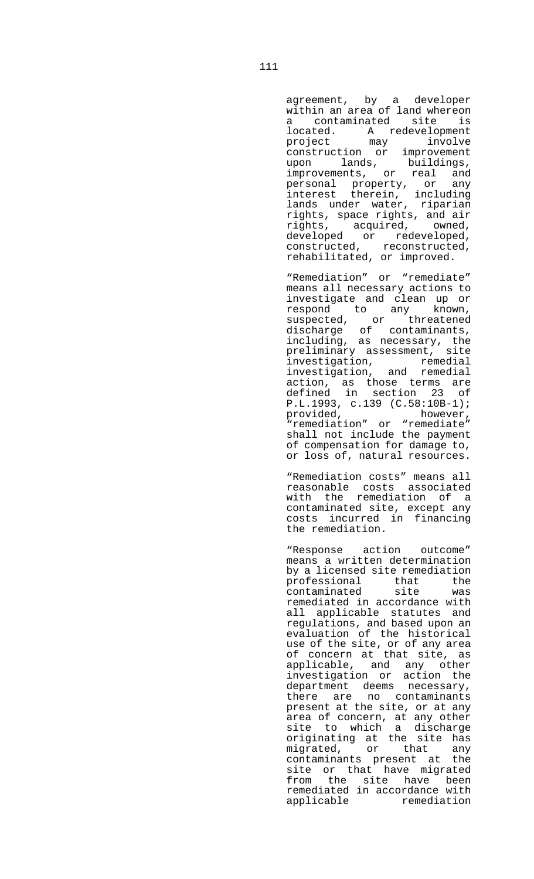agreement, by a developer within an area of land whereon a contaminated site is located. A redevelopment project may involve construction or improvement<br>upon lands, buildings, upon lands, buildings, improvements, or real and personal property, or any interest therein, including lands under water, riparian rights, space rights, and air rights, acquired, owned, developed or redeveloped, constructed, reconstructed,

rehabilitated, or improved.

 "Remediation" or "remediate" means all necessary actions to investigate and clean up or respond to any known, suspected, or threatened discharge of contaminants, including, as necessary, the preliminary assessment, site investigation, remedial investigation, and remedial action, as those terms are defined in section 23 of P.L.1993, c.139 (C.58:10B-1);<br>provided, however, provided, "remediation" or "remediate" shall not include the payment of compensation for damage to, or loss of, natural resources.

 "Remediation costs" means all reasonable costs associated with the remediation of a contaminated site, except any costs incurred in financing the remediation.

 "Response action outcome" means a written determination by a licensed site remediation professional that the contaminated site was remediated in accordance with all applicable statutes and regulations, and based upon an evaluation of the historical use of the site, or of any area of concern at that site, as applicable, and any other investigation or action the department deems necessary, there are no contaminants present at the site, or at any area of concern, at any other site to which a discharge originating at the site has migrated, or that any contaminants present at the site or that have migrated from the site have been remediated in accordance with applicable remediation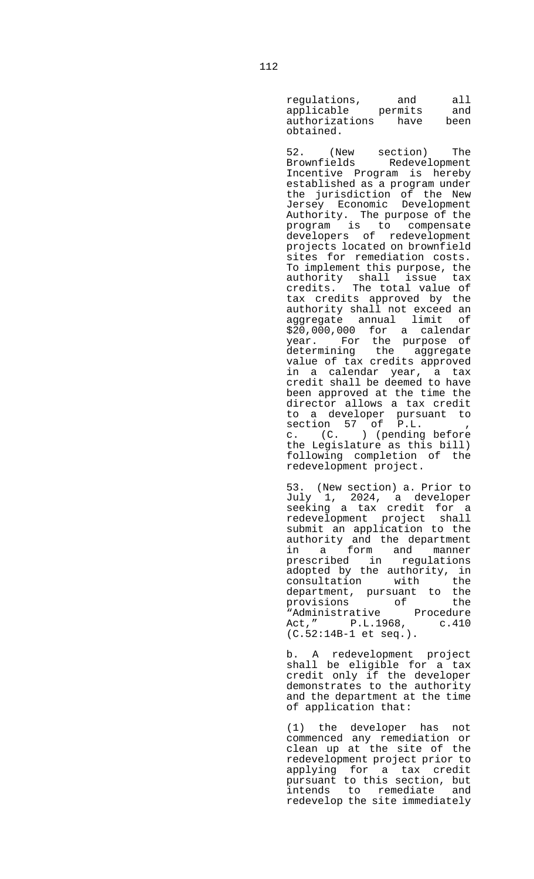regulations, and all applicable permits and authorizations have been obtained.

 52. (New section) The Brownfields Redevelopment Incentive Program is hereby established as a program under the jurisdiction of the New Jersey Economic Development Authority. The purpose of the program is to compensate developers of redevelopment projects located on brownfield sites for remediation costs. To implement this purpose, the authority shall issue tax credits. The total value of tax credits approved by the authority shall not exceed an aggregate annual limit of \$20,000,000 for a calendar year. For the purpose of determining the aggregate value of tax credits approved in a calendar year, a tax credit shall be deemed to have been approved at the time the director allows a tax credit to a developer pursuant to section 57 of P.L. , c. (C. ) (pending before the Legislature as this bill) following completion of the redevelopment project.

 53. (New section) a. Prior to July 1, 2024, a developer seeking a tax credit for a redevelopment project shall submit an application to the authority and the department in a form and manner prescribed in regulations adopted by the authority, in consultation with the department, pursuant to the<br>provisions of the provisions of the "Administrative Procedure Act," P.L.1968, c.410 (C.52:14B-1 et seq.).

> b. A redevelopment project shall be eligible for a tax credit only if the developer demonstrates to the authority and the department at the time of application that:

 (1) the developer has not commenced any remediation or clean up at the site of the redevelopment project prior to applying for a tax credit pursuant to this section, but intends to remediate and redevelop the site immediately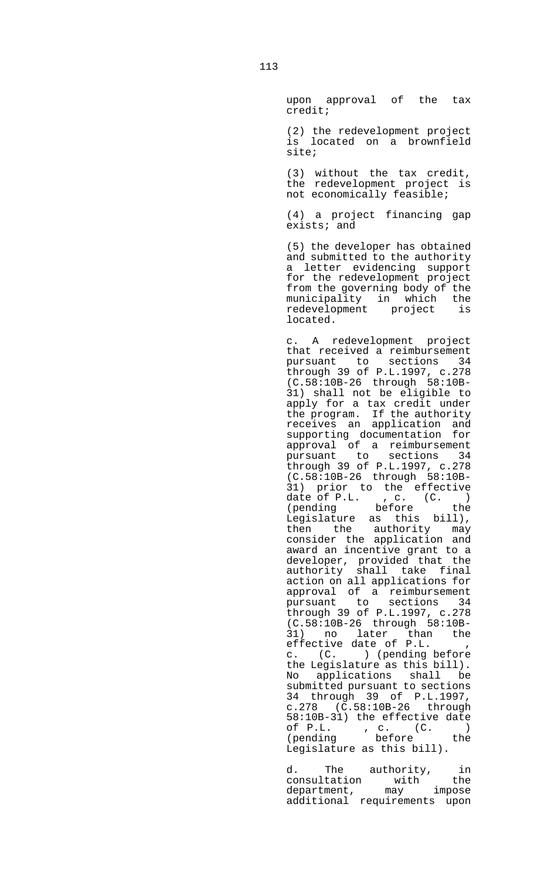upon approval of the tax credit;

 (2) the redevelopment project is located on a brownfield site;

 (3) without the tax credit, the redevelopment project is not economically feasible;

 (4) a project financing gap exists; and

 (5) the developer has obtained and submitted to the authority a letter evidencing support for the redevelopment project from the governing body of the municipality in which the redevelopment project is located.

 c. A redevelopment project that received a reimbursement pursuant to sections 34 through 39 of P.L.1997, c.278 (C.58:10B-26 through 58:10B-31) shall not be eligible to apply for a tax credit under the program. If the authority receives an application and supporting documentation for approval of a reimbursement pursuant to sections 34 through 39 of P.L.1997, c.278 (C.58:10B-26 through 58:10B-31) prior to the effective date of P.L.  $, c. (C. )$ (pending before the Legislature as this bill), then the authority may consider the application and award an incentive grant to a developer, provided that the authority shall take final action on all applications for approval of a reimbursement pursuant to sections 34 through 39 of P.L.1997, c.278 (C.58:10B-26 through 58:10B-31) no later than the effective date of P.L. , c. (C. ) (pending before the Legislature as this bill). No applications shall be submitted pursuant to sections 34 through 39 of P.L.1997, c.278 (C.58:10B-26 through 58:10B-31) the effective date of P.L. , c. (C. ) (pending before the Legislature as this bill).

d. The authority, in<br>consultation with the consultation with the<br>department, may impose department, may impose additional requirements upon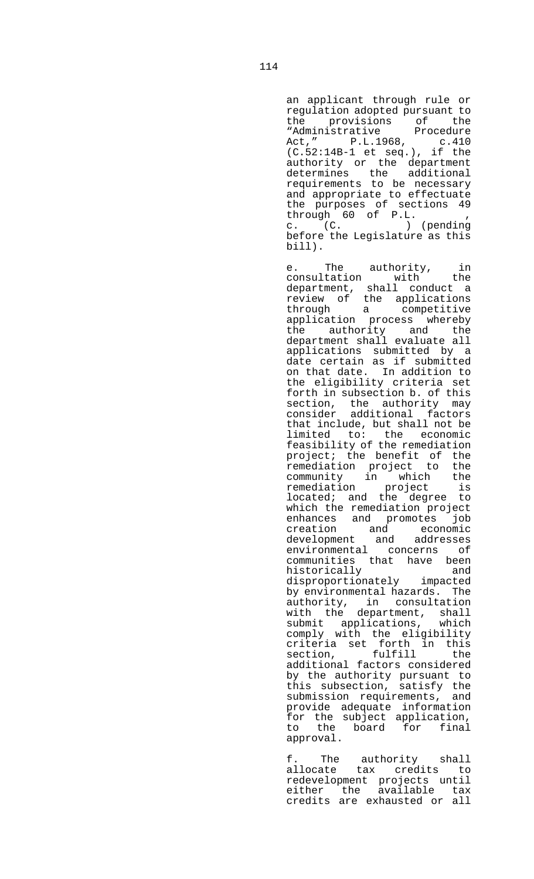an applicant through rule or regulation adopted pursuant to the provisions of the "Administrative Procedure Act," P.L.1968, c.410 (C.52:14B-1 et seq.), if the authority or the department determines the additional requirements to be necessary and appropriate to effectuate the purposes of sections 49 through 60 of P.L. , c. (C. ) (pending before the Legislature as this bill).

e. The authority, in<br>
interior with the consultation with department, shall conduct a review of the applications through a competitive application process whereby the authority and the department shall evaluate all applications submitted by a date certain as if submitted on that date. In addition to the eligibility criteria set forth in subsection b. of this section, the authority may consider additional factors that include, but shall not be limited to: the economic feasibility of the remediation project; the benefit of the remediation project to the community in which the remediation project is located; and the degree to which the remediation project enhances and promotes job creation and economic development and addresses environmental concerns of communities that have been<br>historically and historically and disproportionately impacted by environmental hazards. The authority, in consultation with the department, shall<br>submit applications, which submit applications, comply with the eligibility criteria set forth in this section, fulfill the additional factors considered by the authority pursuant to this subsection, satisfy the submission requirements, and provide adequate information for the subject application, to the board for final approval.

 f. The authority shall allocate tax credits to redevelopment projects until either the available tax credits are exhausted or all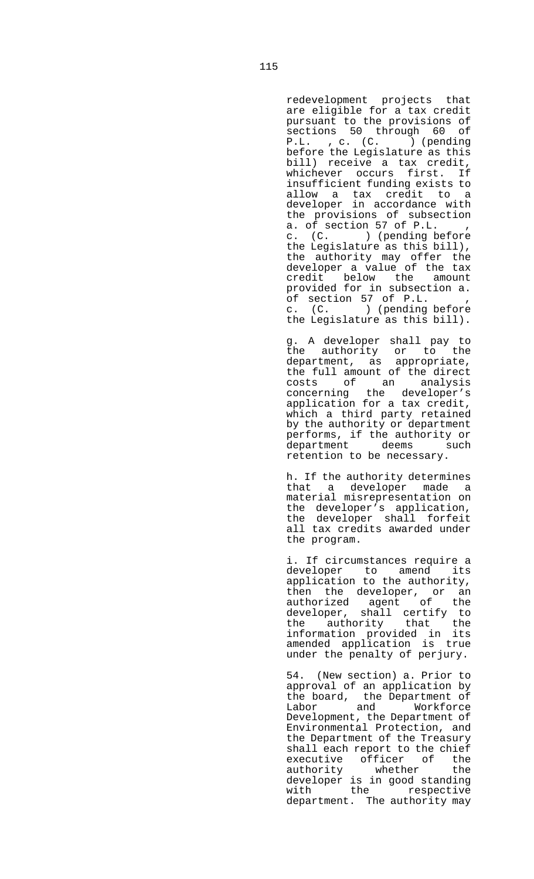redevelopment projects that are eligible for a tax credit pursuant to the provisions of sections 50 through 60 of P.L. , c. (C. ) (pending before the Legislature as this bill) receive a tax credit, whichever occurs first. If insufficient funding exists to allow a tax credit to a developer in accordance with the provisions of subsection a. of section 57 of P.L. c. (C. ) (pending before the Legislature as this bill), the authority may offer the developer a value of the tax credit below the amount provided for in subsection a. of section 57 of P.L. , c. (C. ) (pending before the Legislature as this bill).

 g. A developer shall pay to the authority or to the department, as appropriate, the full amount of the direct costs of an analysis concerning the developer's application for a tax credit, which a third party retained by the authority or department performs, if the authority or<br>department deems such deems such retention to be necessary.

 h. If the authority determines that a developer made a material misrepresentation on the developer's application, the developer shall forfeit all tax credits awarded under the program.

 i. If circumstances require a developer to amend its application to the authority, then the developer, or an authorized agent of the developer, shall certify to the authority that the information provided in its amended application is true under the penalty of perjury.

 54. (New section) a. Prior to approval of an application by the board, the Department of Labor and Workforce Development, the Department of Environmental Protection, and the Department of the Treasury shall each report to the chief executive officer of the<br>authority whether the whether the developer is in good standing<br>with the respective the respective department. The authority may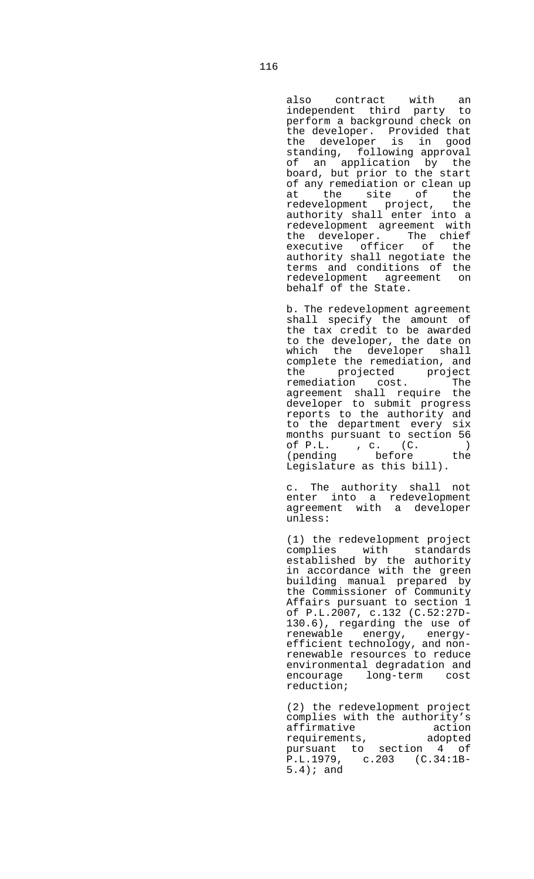also contract with an independent third party to perform a background check on the developer. Provided that the developer is in good standing, following approval of an application by the board, but prior to the start of any remediation or clean up of any functions.<br>at the site of the<br>coderal entire project, the redevelopment project, the authority shall enter into a redevelopment agreement with the developer. The chief executive officer of the authority shall negotiate the terms and conditions of the redevelopment agreement on behalf of the State.

 b. The redevelopment agreement shall specify the amount of the tax credit to be awarded to the developer, the date on which the developer shall complete the remediation, and the projected project<br>remediation cost. The remediation cost. agreement shall require the developer to submit progress reports to the authority and to the department every six months pursuant to section 56<br>of P.L., c.  $(C.$ of P.L. , c. (C. ) (pending before the Legislature as this bill).

 c. The authority shall not enter into a redevelopment agreement with a developer unless:

 (1) the redevelopment project complies with standards established by the authority in accordance with the green building manual prepared by the Commissioner of Community Affairs pursuant to section 1 of P.L.2007, c.132 (C.52:27D-130.6), regarding the use of renewable energy, energyefficient technology, and nonrenewable resources to reduce environmental degradation and encourage long-term cost reduction;

 (2) the redevelopment project complies with the authority's affirmative action<br>requirements, adopted requirements, adopted pursuant to section 4 of P.L.1979, c.203 (C.34:1B-5.4); and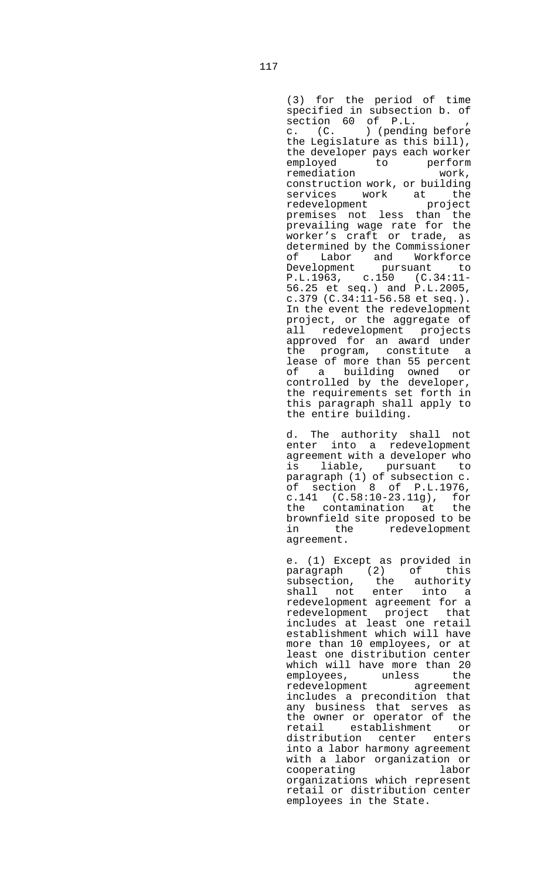(3) for the period of time specified in subsection b. of section 60 of P.L. c. (C. ) (pending before the Legislature as this bill), the developer pays each worker employed to perform remediation work, construction work, or building services work at the redevelopment project premises not less than the prevailing wage rate for the worker's craft or trade, as determined by the Commissioner of Labor and Workforce Development pursuant to P.L.1963, c.150 (C.34:11- 56.25 et seq.) and P.L.2005, c.379 (C.34:11-56.58 et seq.). In the event the redevelopment project, or the aggregate of all redevelopment projects approved for an award under the program, constitute a lease of more than 55 percent of a building owned or controlled by the developer, the requirements set forth in this paragraph shall apply to the entire building.

 d. The authority shall not enter into a redevelopment agreement with a developer who is liable, pursuant to paragraph (1) of subsection c. of section 8 of P.L.1976, c.141 (C.58:10-23.11g), for the contamination at the brownfield site proposed to be in the redevelopment agreement.

 e. (1) Except as provided in paragraph (2) of this subsection, the authority shall not enter into a redevelopment agreement for a redevelopment project that includes at least one retail establishment which will have more than 10 employees, or at least one distribution center which will have more than 20 employees, unless the redevelopment agreement includes a precondition that any business that serves as the owner or operator of the retail establishment or distribution center enters into a labor harmony agreement with a labor organization or cooperating labor organizations which represent retail or distribution center employees in the State.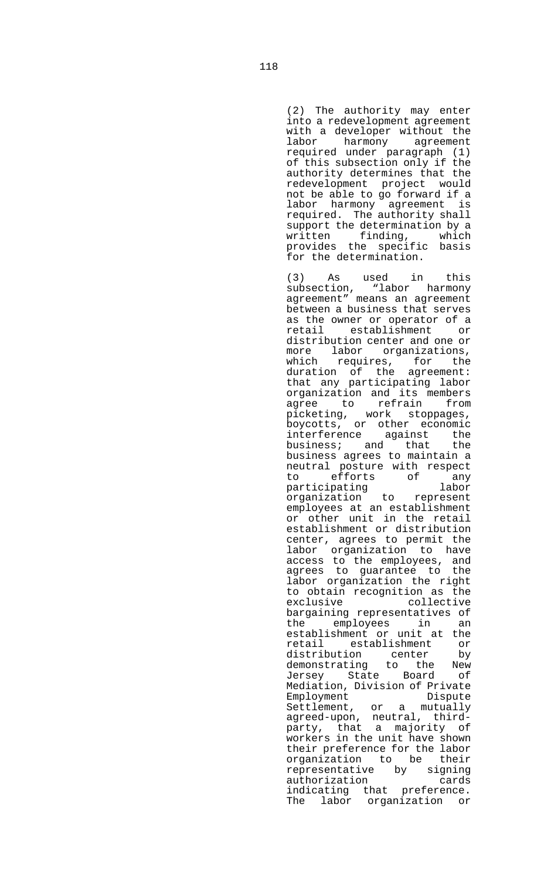(2) The authority may enter into a redevelopment agreement with a developer without the labor harmony agreement required under paragraph (1) of this subsection only if the authority determines that the redevelopment project would not be able to go forward if a labor harmony agreement is required. The authority shall support the determination by a written finding, which provides the specific basis for the determination.

 (3) As used in this (3) As used in this<br>subsection, "labor harmony agreement" means an agreement between a business that serves as the owner or operator of a retail establishment or distribution center and one or more labor organizations, which requires, for the duration of the agreement: that any participating labor organization and its members agree to refrain from picketing, work stoppages, boycotts, or other economic interference against the business; and that the business agrees to maintain a neutral posture with respect to efforts of any participating labor organization to represent employees at an establishment or other unit in the retail establishment or distribution center, agrees to permit the labor organization to have access to the employees, and agrees to guarantee to the labor organization the right to obtain recognition as the exclusive collective bargaining representatives of the employees in an establishment or unit at the retail establishment or distribution center by<br>demonstrating to the New to the New Jersey State Board of Mediation, Division of Private Employment Dispute Settlement, or a mutually agreed-upon, neutral, thirdparty, that a majority of workers in the unit have shown their preference for the labor organization to be their representative by signing authorization cards indicating that preference. The labor organization or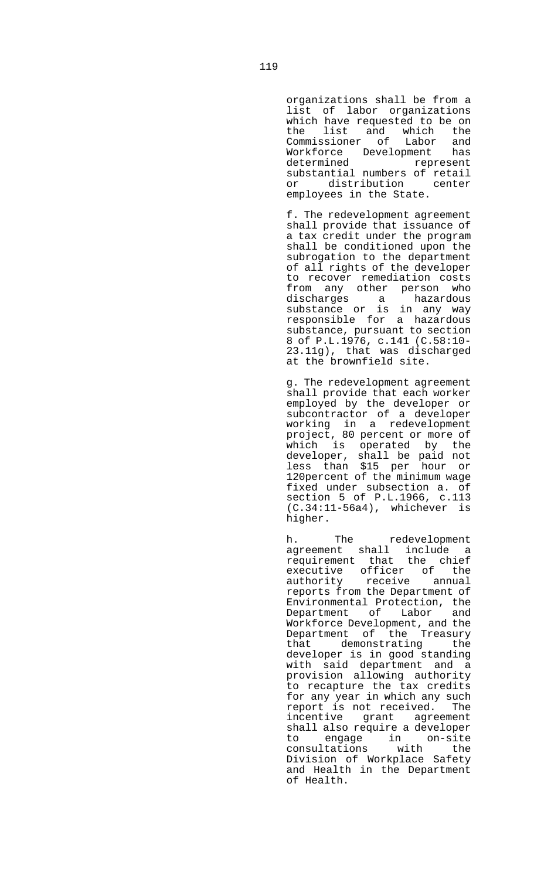organizations shall be from a list of labor organizations which have requested to be on the list and which the<br>Commissioner of Labor and Commissioner of Labor and Workforce Development has determined represent substantial numbers of retail or distribution center employees in the State.

 f. The redevelopment agreement shall provide that issuance of a tax credit under the program shall be conditioned upon the subrogation to the department of all rights of the developer to recover remediation costs from any other person who discharges a hazardous substance or is in any way responsible for a hazardous substance, pursuant to section 8 of P.L.1976, c.141 (C.58:10- 23.11g), that was discharged at the brownfield site.

 g. The redevelopment agreement shall provide that each worker employed by the developer or subcontractor of a developer working in a redevelopment project, 80 percent or more of which is operated by the developer, shall be paid not less than \$15 per hour or 120percent of the minimum wage fixed under subsection a. of section 5 of P.L.1966, c.113 (C.34:11-56a4), whichever is higher.

 h. The redevelopment agreement shall include a requirement that the chief executive officer of the authority receive annual reports from the Department of Environmental Protection, the Department of Labor and Workforce Development, and the Department of the Treasury that demonstrating the developer is in good standing with said department and a provision allowing authority to recapture the tax credits for any year in which any such report is not received. The incentive grant agreement shall also require a developer<br>to engage in on-site to engage in on-site consultations with the Division of Workplace Safety and Health in the Department of Health.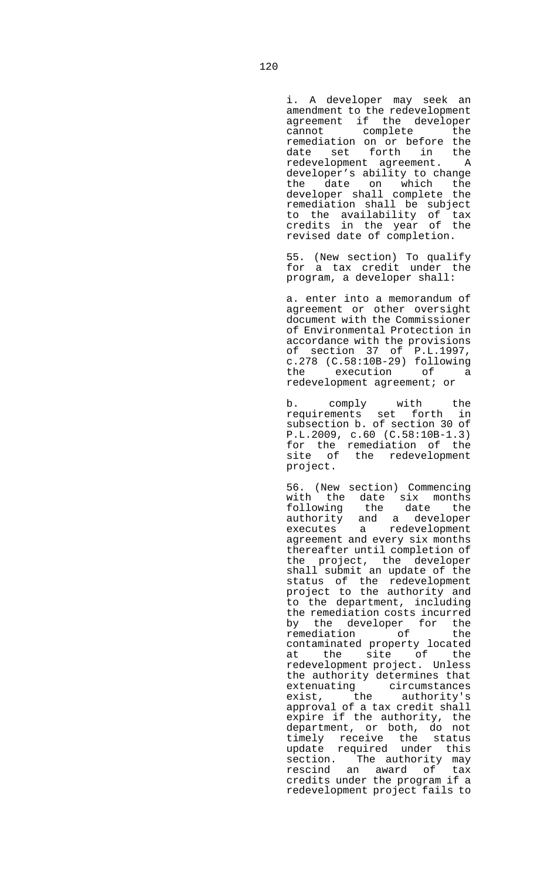i. A developer may seek an amendment to the redevelopment agreement if the developer cannot complete the remediation on or before the date set forth in the redevelopment agreement. A developer's ability to change the date on which the developer shall complete the remediation shall be subject to the availability of tax credits in the year of the revised date of completion.

 55. (New section) To qualify for a tax credit under the program, a developer shall:

 a. enter into a memorandum of agreement or other oversight document with the Commissioner of Environmental Protection in accordance with the provisions of section 37 of P.L.1997, c.278 (C.58:10B-29) following execution of a redevelopment agreement; or

 b. comply with the requirements set forth in subsection b. of section 30 of P.L.2009, c.60 (C.58:10B-1.3) for the remediation of the site of the redevelopment project.

> 56. (New section) Commencing with the date six months following the date the authority and a developer<br>executes a redevelopment a redevelopment agreement and every six months thereafter until completion of the project, the developer shall submit an update of the status of the redevelopment project to the authority and to the department, including the remediation costs incurred by the developer for the remediation of the contaminated property located at the site of the redevelopment project. Unless the authority determines that extenuating circumstances<br>exist, the authority's exist, the authority's approval of a tax credit shall expire if the authority, the department, or both, do not timely receive the status update required under this section. The authority may rescind an award of tax credits under the program if a redevelopment project fails to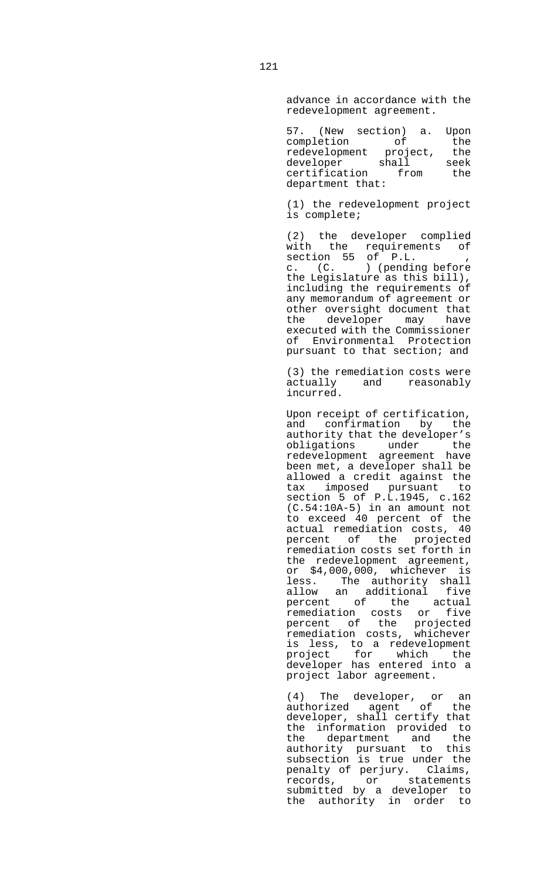advance in accordance with the redevelopment agreement.

| (New section) a.<br>57. | Upon |
|-------------------------|------|
| completion<br>∩f        | the  |
| redevelopment project,  | the  |
| shall<br>developer      | seek |
| certification<br>from   | the  |
| department that:        |      |

 (1) the redevelopment project is complete;

 (2) the developer complied with the requirements of section 55 of P.L. , c. (C. ) (pending before the Legislature as this bill), including the requirements of any memorandum of agreement or other oversight document that the developer may have executed with the Commissioner of Environmental Protection pursuant to that section; and

> (3) the remediation costs were actually and reasonably incurred.

 Upon receipt of certification, and confirmation by the authority that the developer's obligations under the redevelopment agreement have been met, a developer shall be allowed a credit against the tax imposed pursuant to section 5 of P.L.1945, c.162 (C.54:10A-5) in an amount not to exceed 40 percent of the actual remediation costs, 40 percent of the projected remediation costs set forth in the redevelopment agreement, or \$4,000,000, whichever is less. The authority shall allow an additional five percent of the actual remediation costs or five percent of the projected remediation costs, whichever is less, to a redevelopment project for which the developer has entered into a project labor agreement.

 (4) The developer, or an authorized agent of the developer, shall certify that the information provided to the department and the authority pursuant to this subsection is true under the penalty of perjury. Claims, records, or statements submitted by a developer to the authority in order to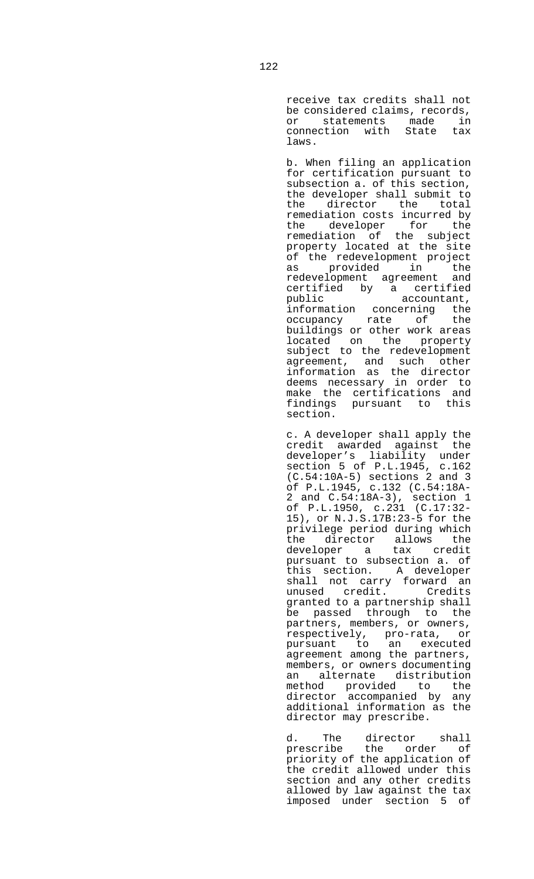receive tax credits shall not be considered claims, records, or statements made in connection with State tax laws.

 b. When filing an application for certification pursuant to subsection a. of this section, the developer shall submit to the director the total remediation costs incurred by<br>the developer for the the developer remediation of the subject property located at the site of the redevelopment project as provided in the redevelopment agreement and certified by a certified<br>public accountant, public accountant, information concerning the occupancy rate of the buildings or other work areas located on the property subject to the redevelopment agreement, and such other information as the director deems necessary in order to make the certifications and findings pursuant to this section.

 c. A developer shall apply the credit awarded against the developer's liability under section 5 of P.L.1945, c.162 (C.54:10A-5) sections 2 and 3 of P.L.1945, c.132 (C.54:18A-2 and C.54:18A-3), section 1 of P.L.1950, c.231 (C.17:32- 15), or N.J.S.17B:23-5 for the privilege period during which the director allows the developer a tax credit pursuant to subsection a. of this section. A developer shall not carry forward an unused credit. Credits granted to a partnership shall be passed through to the partners, members, or owners, respectively, pro-rata, or pursuant to an executed agreement among the partners, members, or owners documenting an alternate distribution method provided to the director accompanied by any additional information as the director may prescribe.

d. The director shall prescribe the order of priority of the application of the credit allowed under this section and any other credits allowed by law against the tax imposed under section 5 of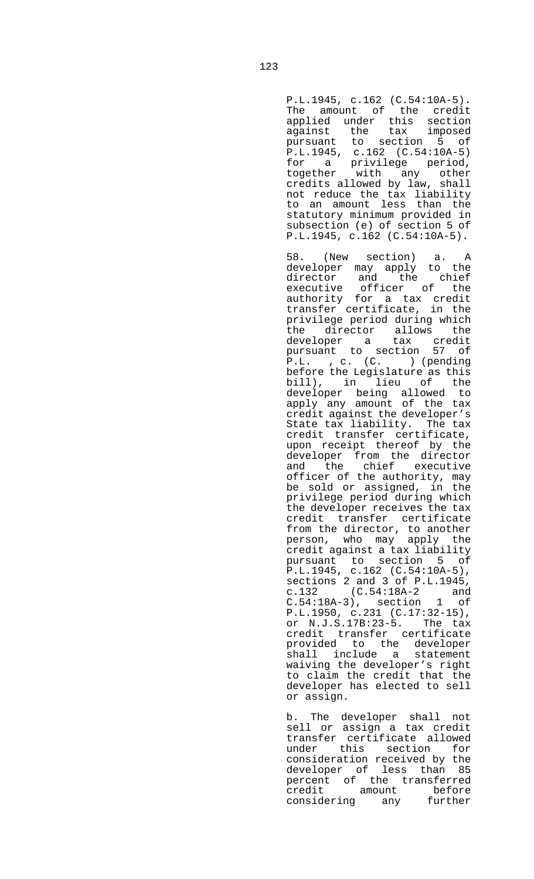P.L.1945, c.162 (C.54:10A-5). The amount of the credit applied under this section against the tax imposed pursuant to section 5 of P.L.1945, c.162 (C.54:10A-5) for a privilege period, together with any other credits allowed by law, shall not reduce the tax liability to an amount less than the statutory minimum provided in subsection (e) of section 5 of P.L.1945, c.162 (C.54:10A-5).

 58. (New section) a. A developer may apply to the director and the chief executive officer of the authority for a tax credit transfer certificate, in the privilege period during which the director allows the developer a tax credit pursuant to section 57 of P.L. , c. (C. ) (pending before the Legislature as this bill), in lieu of the developer being allowed to apply any amount of the tax credit against the developer's State tax liability. The tax credit transfer certificate, upon receipt thereof by the developer from the director and the chief executive officer of the authority, may be sold or assigned, in the privilege period during which the developer receives the tax credit transfer certificate from the director, to another person, who may apply the credit against a tax liability pursuant to section 5 of P.L.1945, c.162 (C.54:10A-5), sections 2 and 3 of P.L.1945, c.132 (C.54:18A-2 and C.54:18A-3), section 1 of P.L.1950, c.231 (C.17:32-15), or N.J.S.17B:23-5. The tax credit transfer certificate provided to the developer shall include a statement waiving the developer's right to claim the credit that the developer has elected to sell or assign.

> b. The developer shall not sell or assign a tax credit transfer certificate allowed under this section for consideration received by the developer of less than 85 percent of the transferred credit amount before considering any further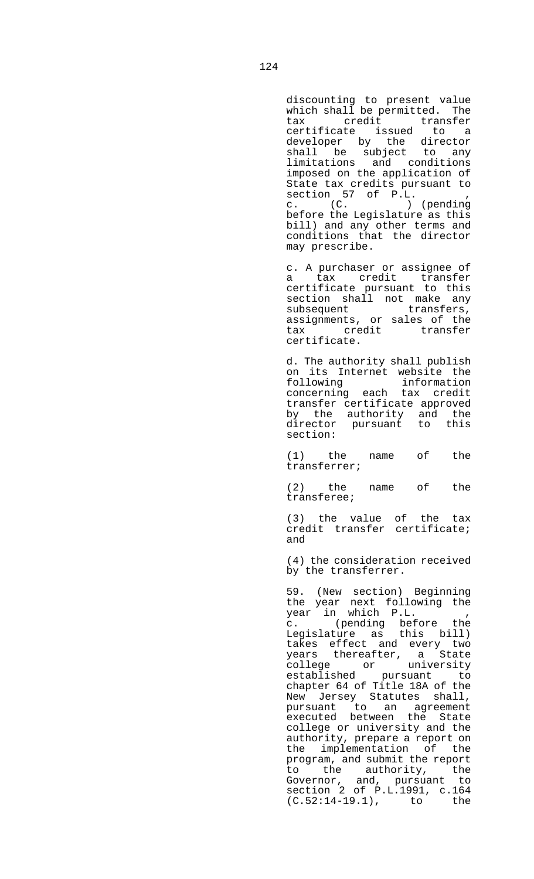discounting to present value which shall be permitted. The tax credit transfer certificate issued to a developer by the director shall be subject to any limitations and conditions imposed on the application of State tax credits pursuant to section 57 of P.L. , c. (C. ) (pending before the Legislature as this bill) and any other terms and conditions that the director may prescribe.

 c. A purchaser or assignee of a tax credit transfer certificate pursuant to this section shall not make any subsequent transfers, assignments, or sales of the tax credit transfer certificate.

 d. The authority shall publish on its Internet website the<br>following information following information concerning each tax credit transfer certificate approved by the authority and the director pursuant to this section:

 (1) the name of the transferrer;

 (2) the name of the transferee;

 (3) the value of the tax credit transfer certificate; and

 (4) the consideration received by the transferrer.

 59. (New section) Beginning the year next following the year in which P.L. , c. (pending before the Legislature as this bill) takes effect and every two years thereafter, a State college or university established pursuant to chapter 64 of Title 18A of the New Jersey Statutes shall, pursuant to an agreement executed between the State college or university and the authority, prepare a report on the implementation of the program, and submit the report to the authority, the Governor, and, pursuant to section 2 of P.L.1991, c.164 (C.52:14-19.1), to the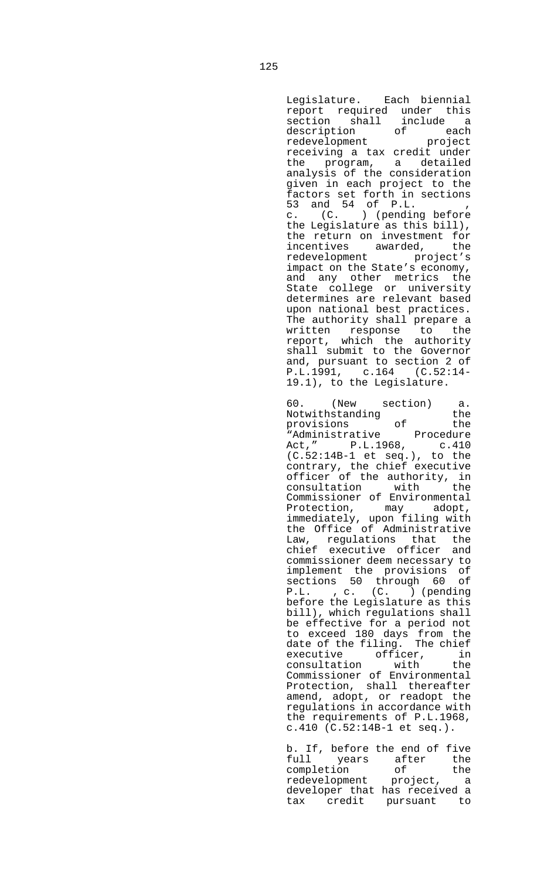Legislature. Each biennial report required under this section shall include a description of each redevelopment project receiving a tax credit under the program, a detailed analysis of the consideration given in each project to the factors set forth in sections 53 and 54 of P.L. , c. (C. ) (pending before the Legislature as this bill), the return on investment for incentives awarded, the redevelopment project's impact on the State's economy, and any other metrics the State college or university determines are relevant based upon national best practices. The authority shall prepare a written response to the report, which the authority shall submit to the Governor and, pursuant to section 2 of P.L.1991, c.164 (C.52:14- 19.1), to the Legislature.

60. (New section) a.<br>Notwithstanding the Notwithstanding the<br>provisions of the provisions "Administrative Procedure Act," P.L.1968, c.410 (C.52:14B-1 et seq.), to the contrary, the chief executive officer of the authority, in consultation with the Commissioner of Environmental Protection, may adopt, immediately, upon filing with the Office of Administrative Law, regulations that the chief executive officer and commissioner deem necessary to implement the provisions of sections 50 through 60 of P.L. , c. (C. ) (pending before the Legislature as this bill), which regulations shall be effective for a period not to exceed 180 days from the date of the filing. The chief executive officer, in consultation with the Commissioner of Environmental Protection, shall thereafter amend, adopt, or readopt the regulations in accordance with the requirements of P.L.1968, c.410 (C.52:14B-1 et seq.).

 b. If, before the end of five full years after the completion of the redevelopment project, a developer that has received a tax credit pursuant to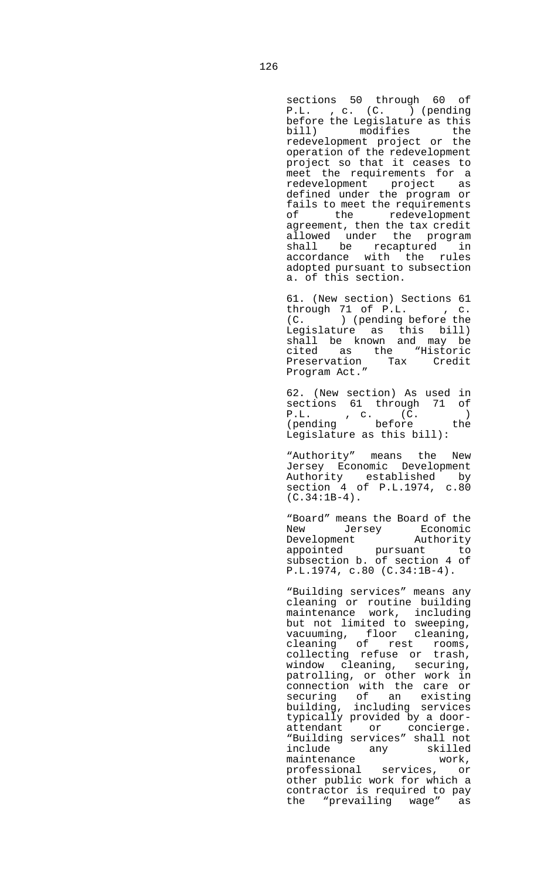sections 50 through 60 of P.L. , c. (C. ) (pending before the Legislature as this bill) modifies the redevelopment project or the operation of the redevelopment project so that it ceases to meet the requirements for a redevelopment project as defined under the program or fails to meet the requirements<br>of the redevelopment of the redevelopment agreement, then the tax credit allowed under the program shall be recaptured in<br>accordance with the rules with the rules adopted pursuant to subsection a. of this section.

 61. (New section) Sections 61  $through 71 of P.L.$ , c. (C. ) (pending before the Legislature as this bill) shall be known and may be cited as the "Historic Preservation Tax Credit Program Act."

 62. (New section) As used in sections 61 through 71 of P.L. , c. (C. ) (pending before the Legislature as this bill):

 "Authority" means the New Jersey Economic Development Authority established by section 4 of P.L.1974, c.80  $(C.34:1B-4)$ .

 "Board" means the Board of the New Jersey Economic Development Authority appointed pursuant to subsection b. of section 4 of P.L.1974, c.80 (C.34:1B-4).

 "Building services" means any cleaning or routine building maintenance work, including but not limited to sweeping, vacuuming, floor cleaning, cleaning of rest rooms, collecting refuse or trash, window cleaning, securing, patrolling, or other work in connection with the care or securing of an existing building, including services typically provided by a doorattendant or concierge. "Building services" shall not include any skilled<br>maintenance work, maintenance work, professional services, or other public work for which a contractor is required to pay the "prevailing wage" as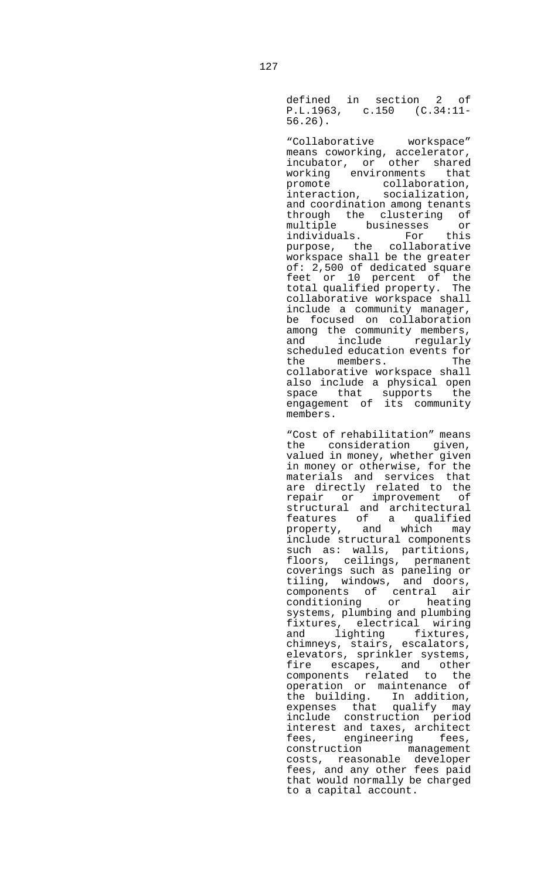defined in section 2 of P.L.1963, c.150 (C.34:11- 56.26).

 "Collaborative workspace" means coworking, accelerator, incubator, or other shared working environments that<br>promote collaboration, promote collaboration, interaction, socialization, and coordination among tenants through the clustering of multiple businesses or individuals. For this<br>purpose, the collaborative purpose, the workspace shall be the greater of: 2,500 of dedicated square feet or 10 percent of the total qualified property. The collaborative workspace shall include a community manager, be focused on collaboration among the community members, and include regularly scheduled education events for the members. The collaborative workspace shall also include a physical open space that supports the engagement of its community members.

> "Cost of rehabilitation" means the consideration given, valued in money, whether given in money or otherwise, for the materials and services that are directly related to the repair or improvement of structural and architectural features of a qualified property, and which may include structural components such as: walls, partitions, floors, ceilings, permanent coverings such as paneling or tiling, windows, and doors, components of central air conditioning or heating systems, plumbing and plumbing fixtures, electrical wiring and lighting fixtures, chimneys, stairs, escalators, chimneys, stairs, escalators,<br>elevators, sprinkler systems, fire escapes, and other components related to the operation or maintenance of the building. In addition, expenses that qualify may include construction period interest and taxes, architect fees, engineering fees, construction management costs, reasonable developer fees, and any other fees paid that would normally be charged to a capital account.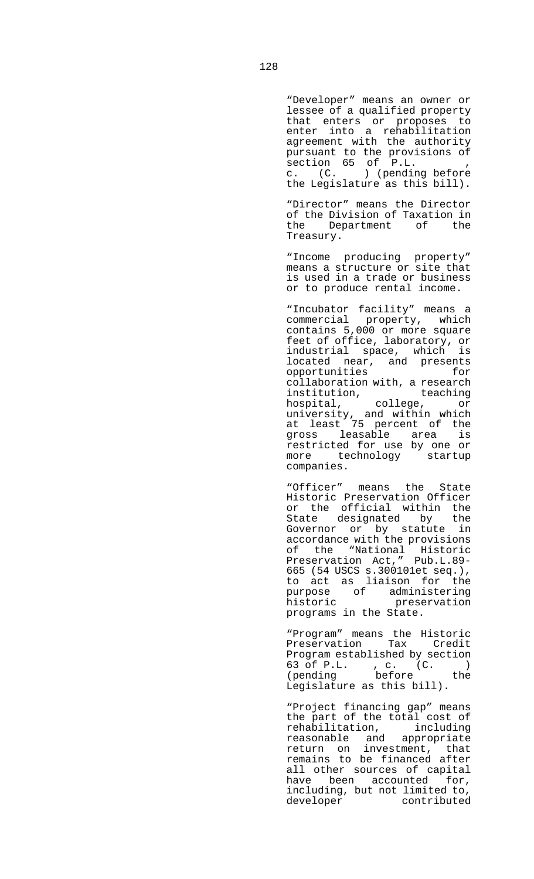"Developer" means an owner or lessee of a qualified property that enters or proposes to enter into a rehabilitation agreement with the authority pursuant to the provisions of section 65 of P.L. , c. (C. ) (pending before the Legislature as this bill).

 "Director" means the Director of the Division of Taxation in<br>the Department of the the Department of Treasury.

 "Income producing property" means a structure or site that is used in a trade or business or to produce rental income.

> "Incubator facility" means a commercial property, which contains 5,000 or more square feet of office, laboratory, or industrial space, which is located near, and presents<br>opportunities for opportunities collaboration with, a research institution, teaching hospital, college, or university, and within which at least 75 percent of the gross leasable area is restricted for use by one or more technology startup companies.

> "Officer" means the State Historic Preservation Officer or the official within the State designated by the Governor or by statute in accordance with the provisions of the "National Historic Preservation Act," Pub.L.89- 665 (54 USCS s.300101et seq.), to act as liaison for the purpose of administering historic preservation programs in the State.

 "Program" means the Historic Preservation Tax Credit Program established by section  $63$  of P.L. , c.  $(C.$  )<br>(pending before the (pending before the Legislature as this bill).

 "Project financing gap" means the part of the total cost of rehabilitation, including reasonable and appropriate return on investment, that remains to be financed after all other sources of capital have been accounted for, including, but not limited to, developer contributed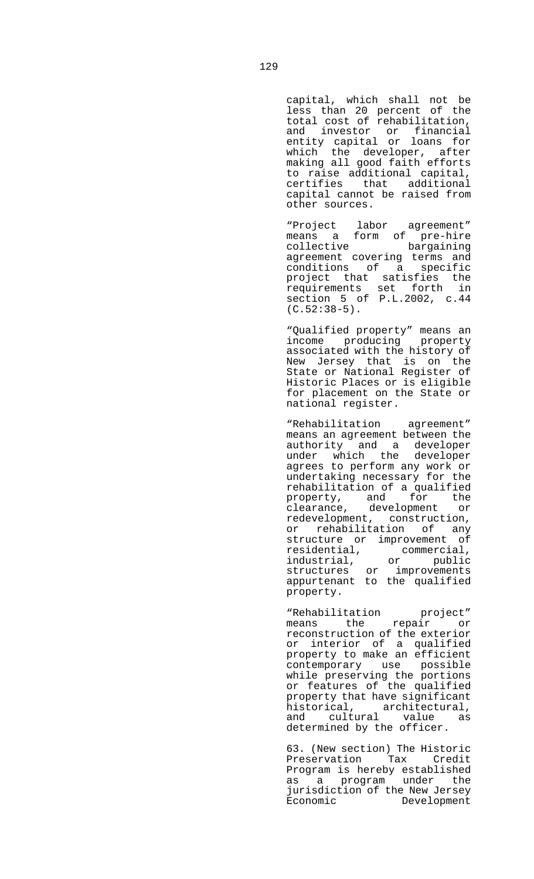capital, which shall not be less than 20 percent of the total cost of rehabilitation, and investor or financial entity capital or loans for which the developer, after making all good faith efforts to raise additional capital, certifies that additional capital cannot be raised from other sources.

 "Project labor agreement" means a form of pre-hire collective bargaining agreement covering terms and conditions of a specific project that satisfies the requirements set forth in section 5 of P.L.2002, c.44 (C.52:38-5).

 "Qualified property" means an income producing property associated with the history of New Jersey that is on the State or National Register of Historic Places or is eligible for placement on the State or national register.

 "Rehabilitation agreement" means an agreement between the authority and a developer under which the developer agrees to perform any work or undertaking necessary for the rehabilitation of a qualified property, and for the clearance, development or redevelopment, construction, or rehabilitation of any structure or improvement of residential, commercial, industrial, or public structures or improvements appurtenant to the qualified property.

 "Rehabilitation project" means the repair or reconstruction of the exterior or interior of a qualified property to make an efficient contemporary use possible while preserving the portions or features of the qualified property that have significant historical, architectural, and cultural value as determined by the officer.

 63. (New section) The Historic Preservation Tax Credit Program is hereby established as a program under the jurisdiction of the New Jersey Economic Development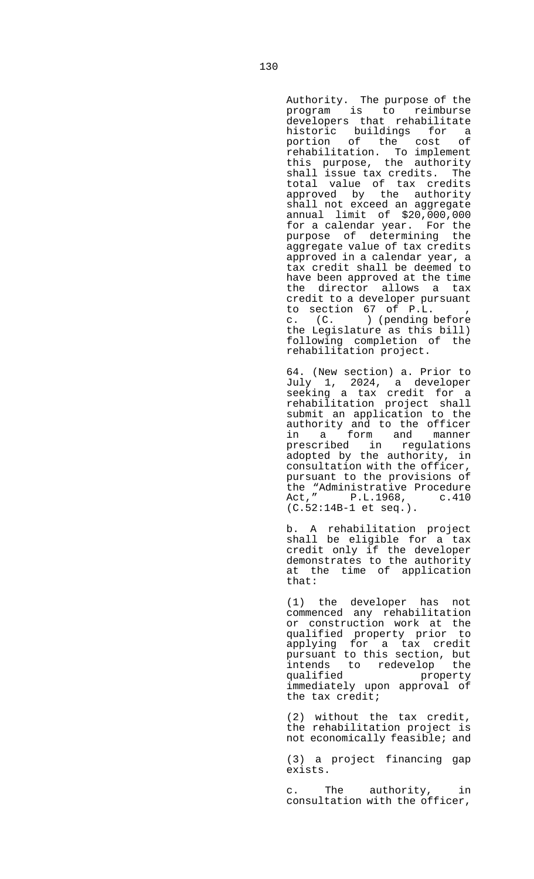Authority. The purpose of the program is to reimburse developers that rehabilitate historic buildings for a<br>portion of the cost of portion of the cost rehabilitation. To implement this purpose, the authority shall issue tax credits. The total value of tax credits approved by the authority shall not exceed an aggregate annual limit of \$20,000,000 for a calendar year. For the purpose of determining the aggregate value of tax credits approved in a calendar year, a tax credit shall be deemed to have been approved at the time the director allows a tax credit to a developer pursuant to section 67 of P.L. c. (C. ) (pending before the Legislature as this bill) following completion of the rehabilitation project.

 64. (New section) a. Prior to July 1, 2024, a developer seeking a tax credit for a rehabilitation project shall submit an application to the authority and to the officer in a form and manner prescribed in regulations adopted by the authority, in consultation with the officer, pursuant to the provisions of the "Administrative Procedure Act," P.L.1968, c.410 (C.52:14B-1 et seq.).

 b. A rehabilitation project shall be eligible for a tax credit only if the developer demonstrates to the authority at the time of application that:

 (1) the developer has not commenced any rehabilitation or construction work at the qualified property prior to applying for a tax credit pursuant to this section, but intends to redevelop the<br>qualified property property immediately upon approval of the tax credit;

> (2) without the tax credit, the rehabilitation project is not economically feasible; and

> (3) a project financing gap exists.

> c. The authority, in consultation with the officer,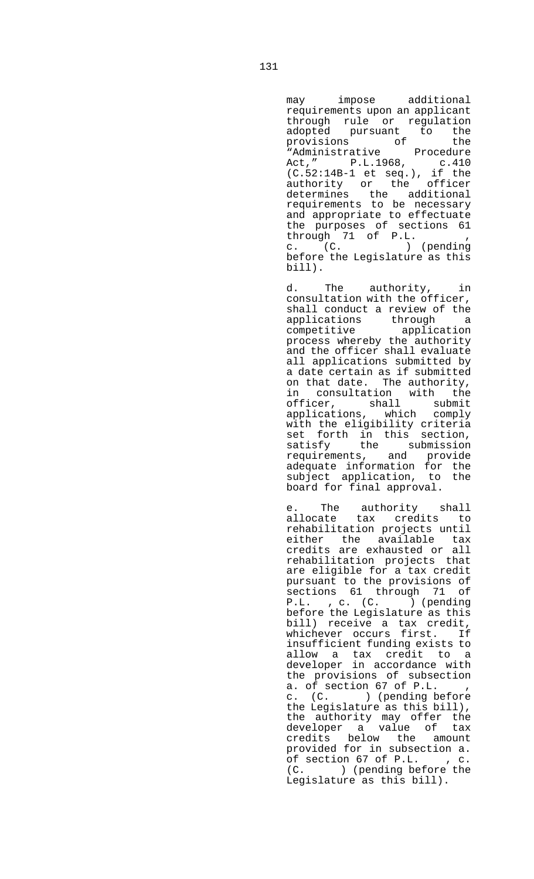may impose additional requirements upon an applicant through rule or regulation adopted pursuant to the provisions of the "Administrative Procedure Act," P.L.1968, c.410 (C.52:14B-1 et seq.), if the authority or the officer determines the additional requirements to be necessary and appropriate to effectuate the purposes of sections 61 through 71 of P.L. , c. (C. ) (pending

before the Legislature as this

bill).

 d. The authority, in consultation with the officer, shall conduct a review of the applications through a competitive application process whereby the authority and the officer shall evaluate all applications submitted by a date certain as if submitted on that date. The authority, in consultation with the officer, shall submit applications, which comply with the eligibility criteria set forth in this section, satisfy the submission requirements, and provide adequate information for the subject application, to the board for final approval.

 e. The authority shall allocate tax credits to rehabilitation projects until either the available tax credits are exhausted or all rehabilitation projects that are eligible for a tax credit pursuant to the provisions of sections 61 through 71 of P.L. , c. (C. ) (pending before the Legislature as this bill) receive a tax credit, whichever occurs first. If insufficient funding exists to allow a tax credit to a developer in accordance with the provisions of subsection a. of section  $67$  of  $P.L.$ <br>c.  $(C.$  ) (pending be ) (pending before the Legislature as this bill), the authority may offer the developer a value of tax credits below the amount provided for in subsection a. of section 67 of P.L. , c. (C. ) (pending before the Legislature as this bill).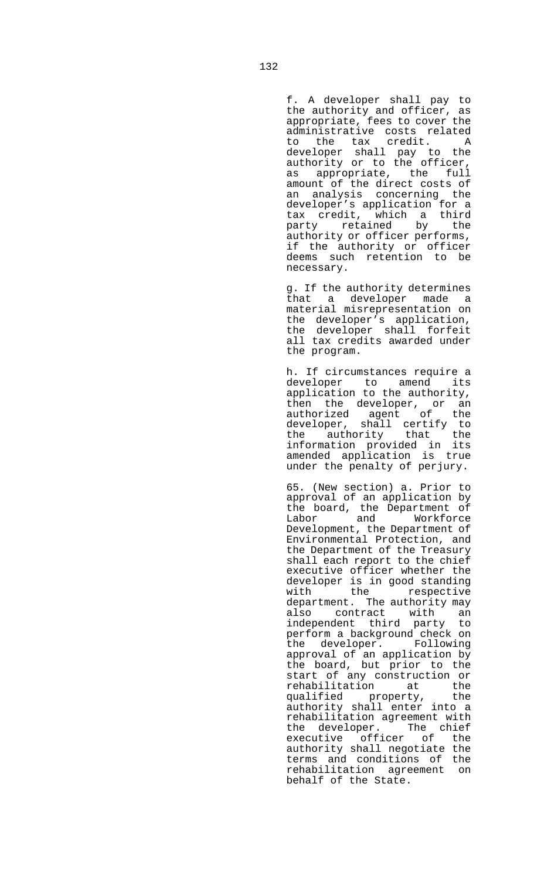f. A developer shall pay to the authority and officer, as appropriate, fees to cover the administrative costs related to the tax credit. A developer shall pay to the authority or to the officer, as appropriate, the full amount of the direct costs of an analysis concerning the developer's application for a tax credit, which a third party retained by the authority or officer performs, if the authority or officer deems such retention to be necessary.

 g. If the authority determines that a developer made a material misrepresentation on the developer's application, the developer shall forfeit all tax credits awarded under the program.

 h. If circumstances require a developer to amend its application to the authority, then the developer, or an authorized agent of the developer, shall certify to the authority that the information provided in its amended application is true under the penalty of perjury.

 65. (New section) a. Prior to approval of an application by the board, the Department of Labor and Workforce Development, the Department of Environmental Protection, and the Department of the Treasury shall each report to the chief executive officer whether the developer is in good standing with the respective department. The authority may also contract with an independent third party to perform a background check on the developer. Following approval of an application by the board, but prior to the start of any construction or rehabilitation at the<br>qualified property, the property, the authority shall enter into a rehabilitation agreement with the developer. The chief executive officer of the authority shall negotiate the terms and conditions of the rehabilitation agreement on behalf of the State.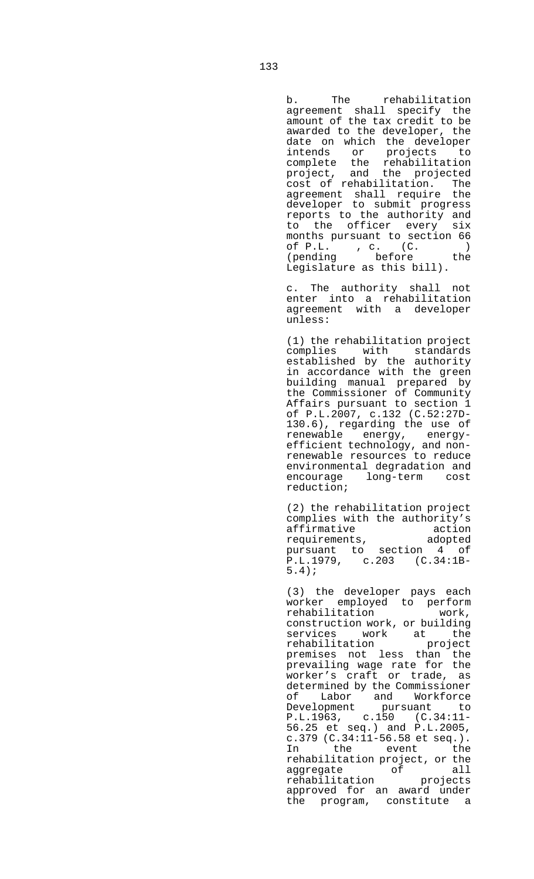b. The rehabilitation agreement shall specify the amount of the tax credit to be awarded to the developer, the date on which the developer intends or projects to complete the rehabilitation project, and the projected cost of rehabilitation. The agreement shall require the developer to submit progress reports to the authority and to the officer every six months pursuant to section 66 of P.L. , c. (C. ) (pending before the Legislature as this bill).

 c. The authority shall not enter into a rehabilitation agreement with a developer unless:

 (1) the rehabilitation project complies with standards established by the authority in accordance with the green building manual prepared by the Commissioner of Community Affairs pursuant to section 1 of P.L.2007, c.132 (C.52:27D-130.6), regarding the use of renewable energy, energyefficient technology, and nonrenewable resources to reduce environmental degradation and<br>encourage long-term cost long-term cost reduction;

 (2) the rehabilitation project complies with the authority's affirmative action<br>
requirements, adopted requirements, adopted pursuant to section 4 of P.L.1979, c.203 (C.34:1B-5.4);

 (3) the developer pays each worker employed to perform rehabilitation work, construction work, or building services work at the<br>rehabilitation project rehabilitation premises not less than the prevailing wage rate for the worker's craft or trade, as determined by the Commissioner of Labor and Workforce Development pursuant to P.L.1963, c.150 (C.34:11- 56.25 et seq.) and P.L.2005, c.379 (C.34:11-56.58 et seq.). In the event the rehabilitation project, or the aggregate of all rehabilitation projects approved for an award under the program, constitute a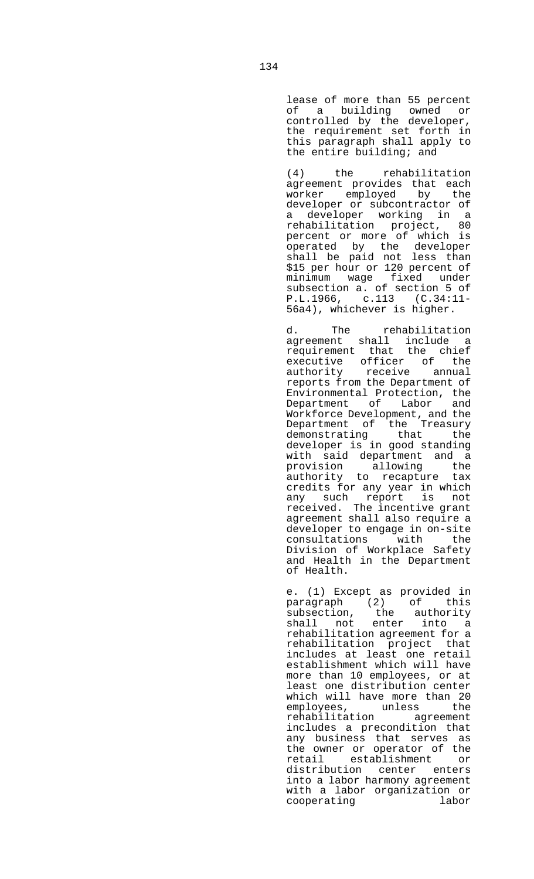lease of more than 55 percent of a building owned or controlled by the developer, the requirement set forth in this paragraph shall apply to the entire building; and

 (4) the rehabilitation agreement provides that each worker employed by the developer or subcontractor of a developer working in a rehabilitation project, 80 percent or more of which is operated by the developer shall be paid not less than \$15 per hour or 120 percent of minimum wage fixed under subsection a. of section 5 of P.L.1966, c.113 (C.34:11- 56a4), whichever is higher.

d. The rehabilitation agreement shall include a requirement that the chief executive officer of the authority receive annual reports from the Department of Environmental Protection, the Department of Labor and Workforce Development, and the Department of the Treasury demonstrating that the developer is in good standing with said department and a provision allowing the authority to recapture tax credits for any year in which any such report is not received. The incentive grant agreement shall also require a developer to engage in on-site consultations with the Division of Workplace Safety and Health in the Department of Health.

> e. (1) Except as provided in paragraph (2) of this subsection, the authority shall not enter into a rehabilitation agreement for a rehabilitation project that includes at least one retail establishment which will have more than 10 employees, or at least one distribution center which will have more than 20 employees, unless the rehabilitation agreement includes a precondition that any business that serves as the owner or operator of the retail establishment or distribution center enters into a labor harmony agreement with a labor organization or<br>cooperating labor cooperating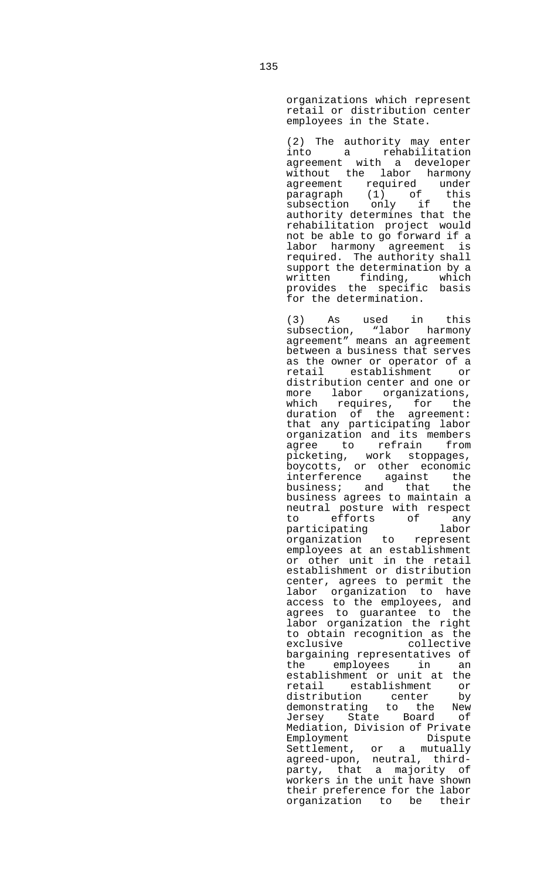organizations which represent retail or distribution center employees in the State.

 (2) The authority may enter into a rehabilitation agreement with a developer without the labor harmony agreement required under paragraph (1) of this subsection only if the authority determines that the rehabilitation project would not be able to go forward if a labor harmony agreement is required. The authority shall support the determination by a written finding, which provides the specific basis for the determination.

 (3) As used in this subsection, "labor harmony agreement" means an agreement between a business that serves as the owner or operator of a retail establishment or distribution center and one or more labor organizations, which requires, for the duration of the agreement: that any participating labor organization and its members agree to refrain from picketing, work stoppages, boycotts, or other economic interference against the<br>business; and that the  $b$ usiness; and that business agrees to maintain a neutral posture with respect<br>to efforts of any efforts of any participating labor organization to represent employees at an establishment or other unit in the retail establishment or distribution center, agrees to permit the labor organization to have access to the employees, and agrees to guarantee to the labor organization the right to obtain recognition as the exclusive collective bargaining representatives of the employees in an establishment or unit at the retail establishment or distribution center by demonstrating to the New Jersey State Board of Mediation, Division of Private<br>Employment Dispute Employment Dispute Settlement, or a mutually agreed-upon, neutral, thirdparty, that a majority of workers in the unit have shown their preference for the labor organization to be their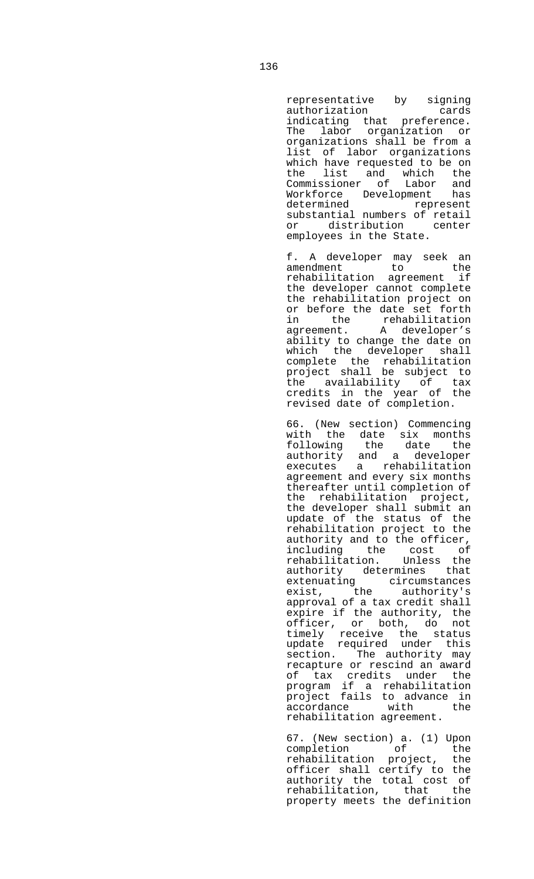representative by signing<br>authorization cards authorization cards indicating that preference. The labor organization or organizations shall be from a list of labor organizations which have requested to be on the list and which the Commissioner of Labor and Workforce Development has represent substantial numbers of retail or distribution center employees in the State.

 f. A developer may seek an amendment to the rehabilitation agreement if the developer cannot complete the rehabilitation project on or before the date set forth in the rehabilitation agreement. A developer's ability to change the date on which the developer shall complete the rehabilitation project shall be subject to the availability of tax credits in the year of the revised date of completion.

> 66. (New section) Commencing with the date six months following the date the authority and a developer executes a rehabilitation agreement and every six months thereafter until completion of the rehabilitation project, the developer shall submit an update of the status of the rehabilitation project to the authority and to the officer, including the cost of rehabilitation. Unless the authority determines that extenuating circumstances exist, the authority's approval of a tax credit shall expire if the authority, the officer, or both, do not timely receive the status update required under this section. The authority may recapture or rescind an award of tax credits under the program if a rehabilitation project fails to advance in accordance with the rehabilitation agreement.

> 67. (New section) a. (1) Upon<br>completion of the<br>rehabilitation project, the completion of the rehabilitation project, the officer shall certify to the authority the total cost of rehabilitation, that the property meets the definition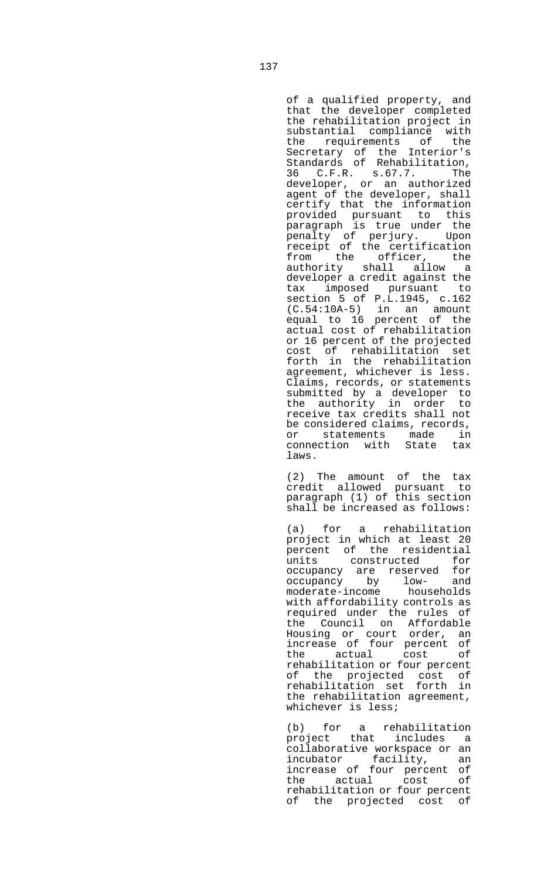of a qualified property, and that the developer completed the rehabilitation project in substantial compliance with the requirements of the Secretary of the Interior's Standards of Rehabilitation, 36 C.F.R. s.67.7. The developer, or an authorized agent of the developer, shall certify that the information provided pursuant to this paragraph is true under the penalty of perjury. Upon receipt of the certification from the officer, the authority shall allow a developer a credit against the tax imposed pursuant to section 5 of P.L.1945, c.162 (C.54:10A-5) in an amount equal to 16 percent of the actual cost of rehabilitation or 16 percent of the projected cost of rehabilitation set forth in the rehabilitation agreement, whichever is less. Claims, records, or statements submitted by a developer to the authority in order to receive tax credits shall not be considered claims, records, or statements made in<br>connection with State tax connection with laws.

 (2) The amount of the tax credit allowed pursuant to paragraph (1) of this section shall be increased as follows:

 (a) for a rehabilitation project in which at least 20 percent of the residential units constructed for occupancy are reserved for occupancy by low- and moderate-income households with affordability controls as required under the rules of the Council on Affordable Housing or court order, an increase of four percent of the actual cost of rehabilitation or four percent of the projected cost of rehabilitation set forth in the rehabilitation agreement, whichever is less;

 (b) for a rehabilitation project that includes a collaborative workspace or an incubator facility, an increase of four percent of the actual cost of rehabilitation or four percent of the projected cost of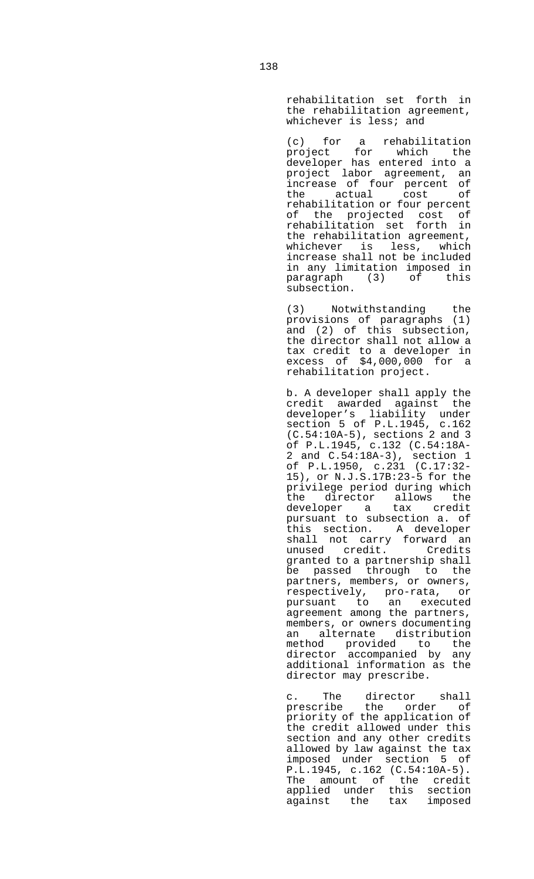rehabilitation set forth in the rehabilitation agreement, whichever is less; and

 (c) for a rehabilitation project for which the developer has entered into a project labor agreement, an increase of four percent of the actual cost of rehabilitation or four percent of the projected cost of rehabilitation set forth in the rehabilitation agreement, whichever is less, which increase shall not be included in any limitation imposed in<br>paragraph (3) of this paragraph (3) subsection.

> (3) Notwithstanding the provisions of paragraphs (1) and (2) of this subsection, the director shall not allow a tax credit to a developer in excess of \$4,000,000 for a rehabilitation project.

> b. A developer shall apply the credit awarded against the developer's liability under section 5 of P.L.1945, c.162 (C.54:10A-5), sections 2 and 3 of P.L.1945, c.132 (C.54:18A-2 and C.54:18A-3), section 1 of P.L.1950, c.231 (C.17:32- 15), or N.J.S.17B:23-5 for the privilege period during which the director allows the developer a tax credit pursuant to subsection a. of this section. A developer shall not carry forward an<br>unused credit. Credits unused credit. granted to a partnership shall be passed through to the partners, members, or owners, respectively, pro-rata, or pursuant to an executed agreement among the partners, members, or owners documenting an alternate distribution method provided to the director accompanied by any additional information as the director may prescribe.

 c. The director shall prescribe the order of priority of the application of the credit allowed under this section and any other credits allowed by law against the tax imposed under section 5 of P.L.1945, c.162 (C.54:10A-5). The amount of the credit applied under this section against the tax imposed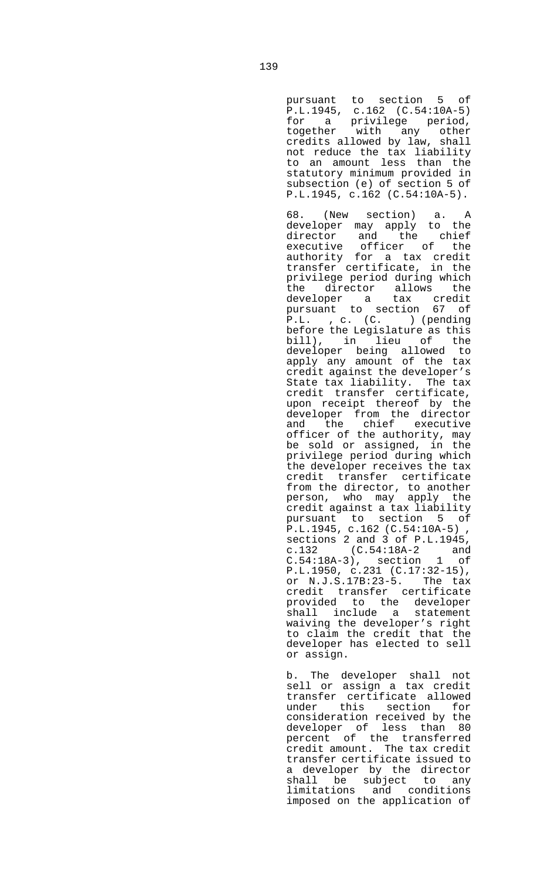pursuant to section 5 of P.L.1945, c.162 (C.54:10A-5) for a privilege period, together with any other credits allowed by law, shall not reduce the tax liability to an amount less than the statutory minimum provided in subsection (e) of section 5 of P.L.1945, c.162 (C.54:10A-5).

 68. (New section) a. A developer may apply to the director and the chief executive officer of the authority for a tax credit transfer certificate, in the privilege period during which the director allows the developer a tax credit pursuant to section 67 of P.L. , c. (C. ) (pending before the Legislature as this bill), in lieu of the developer being allowed to apply any amount of the tax credit against the developer's State tax liability. The tax credit transfer certificate, upon receipt thereof by the developer from the director and the chief executive officer of the authority, may be sold or assigned, in the privilege period during which the developer receives the tax credit transfer certificate from the director, to another person, who may apply the credit against a tax liability pursuant to section 5 of P.L.1945, c.162 (C.54:10A-5) , sections 2 and 3 of P.L.1945, c.132 (C.54:18A-2 and C.54:18A-3), section 1 of P.L.1950, c.231 (C.17:32-15), or N.J.S.17B:23-5. The tax credit transfer certificate provided to the developer shall include a statement waiving the developer's right to claim the credit that the developer has elected to sell or assign.

 b. The developer shall not sell or assign a tax credit transfer certificate allowed under this section for consideration received by the developer of less than 80 percent of the transferred credit amount. The tax credit transfer certificate issued to a developer by the director shall be subject to any limitations and conditions imposed on the application of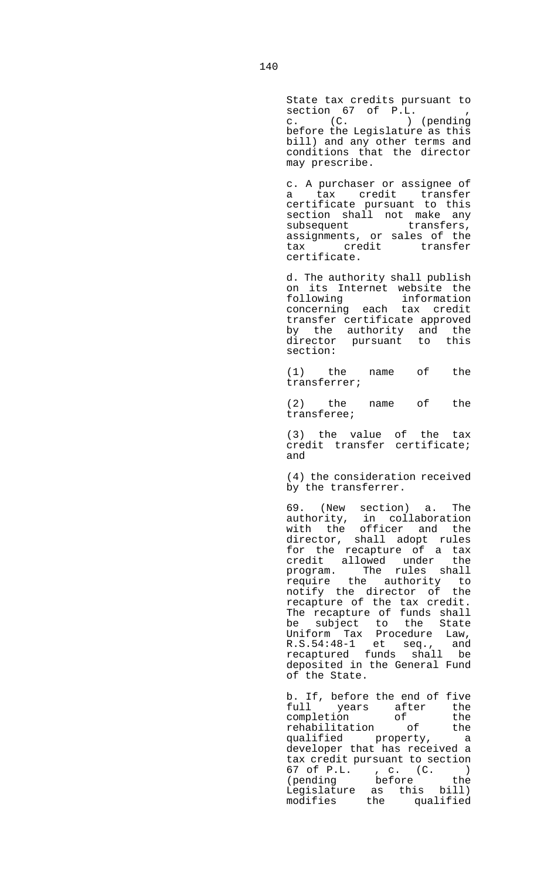State tax credits pursuant to section 67 of P.L. , c. (C. ) (pending before the Legislature as this bill) and any other terms and conditions that the director may prescribe.

 c. A purchaser or assignee of a tax credit transfer certificate pursuant to this section shall not make any subsequent transfers, assignments, or sales of the tax credit transfer certificate.

 d. The authority shall publish on its Internet website the<br>following information following information concerning each tax credit transfer certificate approved by the authority and the director pursuant to this section:

 (1) the name of the transferrer;

 (2) the name of the transferee;

 (3) the value of the tax credit transfer certificate; and

> (4) the consideration received by the transferrer.

 69. (New section) a. The authority, in collaboration with the officer and the director, shall adopt rules for the recapture of a tax credit allowed under the program. The rules shall require the authority to notify the director of the recapture of the tax credit. The recapture of funds shall be subject to the State Uniform Tax Procedure Law, R.S.54:48-1 et seq., and recaptured funds shall be deposited in the General Fund of the State.

 b. If, before the end of five full years after the completion of the rehabilitation of the qualified property, a developer that has received a tax credit pursuant to section 67 of P.L. , c. (C. ) (pending before the Legislature as this bill) modifies the qualified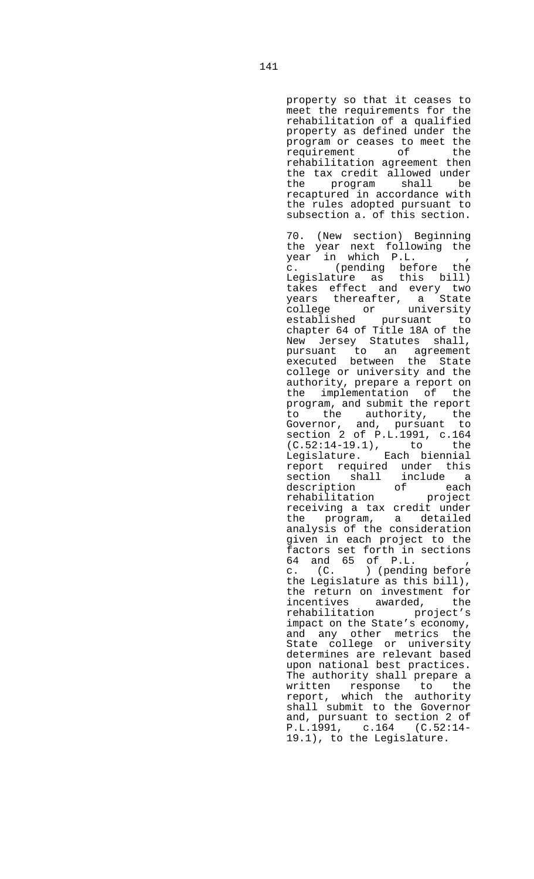property so that it ceases to meet the requirements for the rehabilitation of a qualified property as defined under the program or ceases to meet the<br>requirement of the requirement rehabilitation agreement then the tax credit allowed under the program shall be recaptured in accordance with the rules adopted pursuant to subsection a. of this section.

 70. (New section) Beginning the year next following the year in which P.L. , c. (pending before the Legislature as this bill) takes effect and every two years thereafter, a State college or university established pursuant to chapter 64 of Title 18A of the New Jersey Statutes shall, pursuant to an agreement executed between the State college or university and the authority, prepare a report on the implementation of the program, and submit the report to the authority, the Governor, and, pursuant to section 2 of P.L.1991, c.164 (C.52:14-19.1), to the Legislature. Each biennial report required under this section shall include a description of each rehabilitation project receiving a tax credit under the program, a detailed analysis of the consideration given in each project to the factors set forth in sections 64 and 65 of P.L. , c. (C. ) (pending before the Legislature as this bill), the return on investment for incentives awarded, the rehabilitation project's impact on the State's economy, and any other metrics the State college or university determines are relevant based upon national best practices. The authority shall prepare a written response to the report, which the authority shall submit to the Governor and, pursuant to section 2 of P.L.1991, c.164 (C.52:14- 19.1), to the Legislature.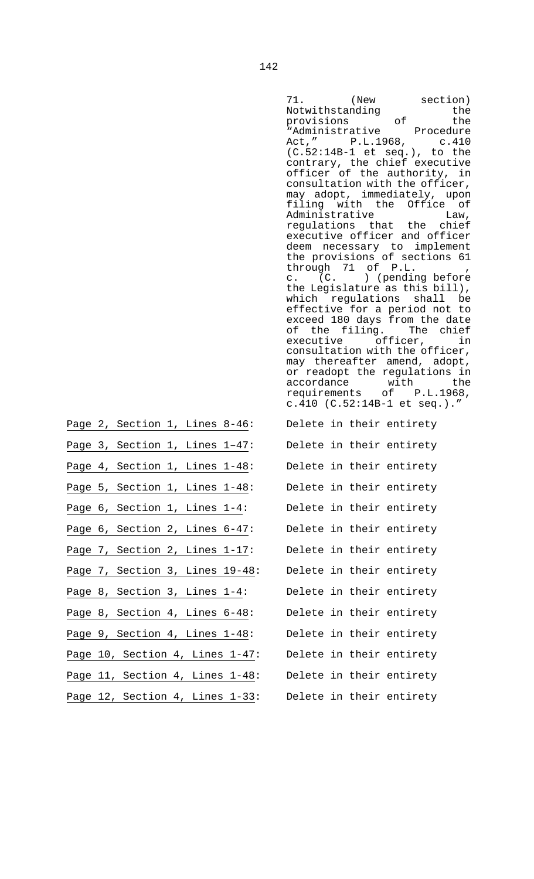|                                | 71. (New section)<br>Notwithstanding<br>the<br>provisions of<br>the<br>"Administrative Procedure<br>Act," P.L.1968, c.410<br>$(C.52:14B-1$ et seq.), to the<br>contrary, the chief executive<br>officer of the authority, in<br>consultation with the officer,<br>may adopt, immediately, upon<br>filing with the Office of<br>Administrative Law,<br>regulations that the chief<br>executive officer and officer<br>deem necessary to implement<br>the provisions of sections 61<br>through 71 of P.L. ,<br>$c.$ $(C.$ ) (pending before<br>the Legislature as this bill),<br>which regulations shall be<br>effective for a period not to<br>exceed 180 days from the date<br>of the filing. The chief<br>executive officer, in<br>consultation with the officer,<br>may thereafter amend, adopt,<br>or readopt the regulations in<br>accordance with the<br>requirements of P.L.1968,<br>c.410 (C.52:14B-1 et seq.)." |
|--------------------------------|-------------------------------------------------------------------------------------------------------------------------------------------------------------------------------------------------------------------------------------------------------------------------------------------------------------------------------------------------------------------------------------------------------------------------------------------------------------------------------------------------------------------------------------------------------------------------------------------------------------------------------------------------------------------------------------------------------------------------------------------------------------------------------------------------------------------------------------------------------------------------------------------------------------------------|
| Page 2, Section 1, Lines 8-46: | Delete in their entirety                                                                                                                                                                                                                                                                                                                                                                                                                                                                                                                                                                                                                                                                                                                                                                                                                                                                                                |
| Page 3, Section 1, Lines 1-47: | Delete in their entirety                                                                                                                                                                                                                                                                                                                                                                                                                                                                                                                                                                                                                                                                                                                                                                                                                                                                                                |
| Page 4, Section 1, Lines 1-48: | Delete in their entirety                                                                                                                                                                                                                                                                                                                                                                                                                                                                                                                                                                                                                                                                                                                                                                                                                                                                                                |
| Page 5, Section 1, Lines 1-48: | Delete in their entirety                                                                                                                                                                                                                                                                                                                                                                                                                                                                                                                                                                                                                                                                                                                                                                                                                                                                                                |
| Page 6, Section 1, Lines 1-4:  | Delete in their entirety                                                                                                                                                                                                                                                                                                                                                                                                                                                                                                                                                                                                                                                                                                                                                                                                                                                                                                |

Page 3, Section 1, Lines  $1-47$ : Page 4, Section 1, Lines  $1-48$ : Page 5, Section 1, Lines  $1-48$ : Page 6, Section 1, Lines  $1-4$ : Page 6, Section 2, Lines 6-47: Delete in their entirety Page 7, Section 2, Lines 1-17: Delete in their entirety Page 7, Section 3, Lines 19-48: Delete in their entirety Page 8, Section 3, Lines  $1-4$ : Delete in their entirety Page 8, Section 4, Lines 6-48: Delete in their entirety Page 9, Section 4, Lines 1-48: Delete in their entirety Page 10, Section 4, Lines 1-47: Delete in their entirety Page 11, Section 4, Lines  $1-48$ : Delete in their entirety Page 12, Section 4, Lines 1-33: Delete in their entirety

- 
-